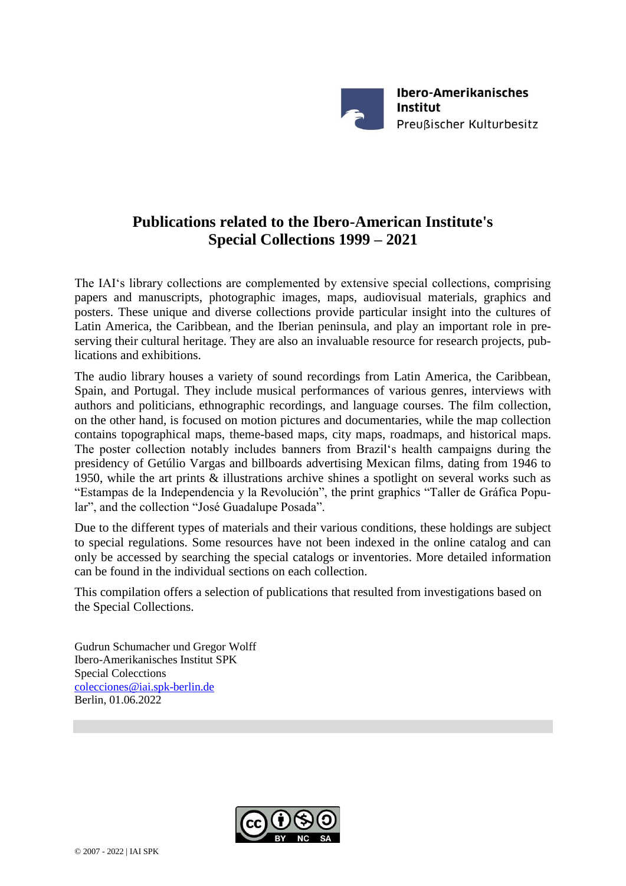

# **Publications related to the Ibero-American Institute's Special Collections 1999 – 2021**

The IAI's library collections are complemented by extensive special collections, comprising papers and manuscripts, photographic images, maps, audiovisual materials, graphics and posters. These unique and diverse collections provide particular insight into the cultures of Latin America, the Caribbean, and the Iberian peninsula, and play an important role in preserving their cultural heritage. They are also an invaluable resource for research projects, publications and exhibitions.

The audio library houses a variety of sound recordings from Latin America, the Caribbean, Spain, and Portugal. They include musical performances of various genres, interviews with authors and politicians, ethnographic recordings, and language courses. The film collection, on the other hand, is focused on motion pictures and documentaries, while the map collection contains topographical maps, theme-based maps, city maps, roadmaps, and historical maps. The poster collection notably includes banners from Brazil's health campaigns during the presidency of Getúlio Vargas and billboards advertising Mexican films, dating from 1946 to 1950, while the art prints & illustrations archive shines a spotlight on several works such as "Estampas de la Independencia y la Revolución", the print graphics "Taller de Gráfica Popular", and the collection "José Guadalupe Posada".

Due to the different types of materials and their various conditions, these holdings are subject to special regulations. Some resources have not been indexed in the online catalog and can only be accessed by searching the special catalogs or inventories. More detailed information can be found in the individual sections on each collection.

This compilation offers a selection of publications that resulted from investigations based on the Special Collections.

Gudrun Schumacher und Gregor Wolff Ibero-Amerikanisches Institut SPK Special Colecctions [colecciones@iai.spk-berlin.de](mailto:colecciones@iai.spk-berlin.de) Berlin, 01.06.2022

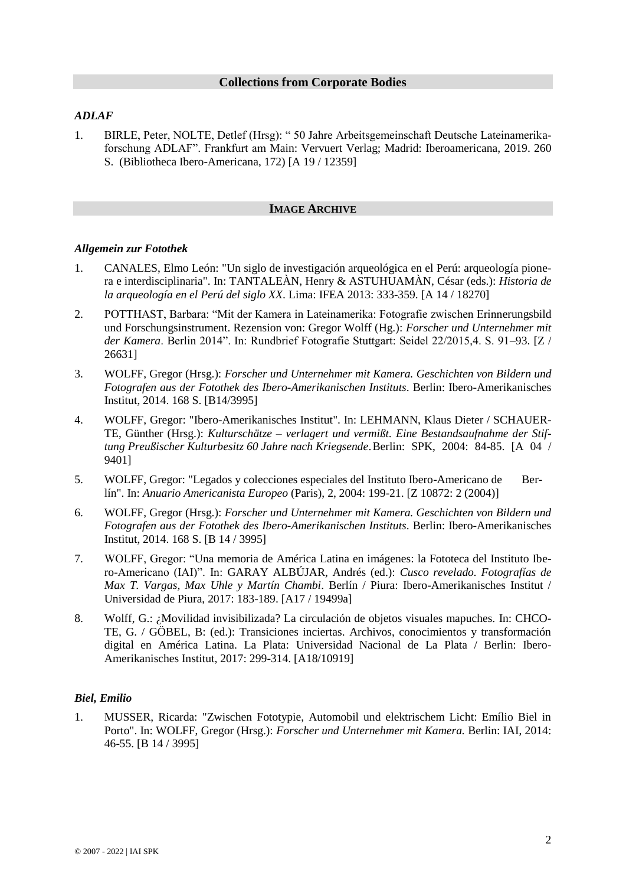## **Collections from Corporate Bodies**

## *ADLAF*

1. BIRLE, Peter, NOLTE, Detlef (Hrsg): " 50 Jahre Arbeitsgemeinschaft Deutsche Lateinamerikaforschung ADLAF". Frankfurt am Main: Vervuert Verlag; Madrid: Iberoamericana, 2019. 260 S. (Bibliotheca Ibero-Americana, 172) [A 19 / 12359]

## **IMAGE ARCHIVE**

### *Allgemein zur Fotothek*

- 1. CANALES, Elmo León: "Un siglo de investigación arqueológica en el Perú: arqueología pionera e interdisciplinaria". In: TANTALEÀN, Henry & ASTUHUAMÀN, César (eds.): *Historia de la arqueología en el Perú del siglo XX*. Lima: IFEA 2013: 333-359. [A 14 / 18270]
- 2. POTTHAST, Barbara: "Mit der Kamera in Lateinamerika: Fotografie zwischen Erinnerungsbild und Forschungsinstrument. Rezension von: Gregor Wolff (Hg.): *Forscher und Unternehmer mit der Kamera*. Berlin 2014". In: Rundbrief Fotografie Stuttgart: Seidel 22/2015,4. S. 91–93. [Z / 26631]
- 3. WOLFF, Gregor (Hrsg.): *Forscher und Unternehmer mit Kamera. Geschichten von Bildern und Fotografen aus der Fotothek des Ibero-Amerikanischen Instituts*. Berlin: Ibero-Amerikanisches Institut, 2014. 168 S. [B14/3995]
- 4. WOLFF, Gregor: "Ibero-Amerikanisches Institut". In: LEHMANN, Klaus Dieter / SCHAUER-TE, Günther (Hrsg.): *Kulturschätze – verlagert und vermißt. Eine Bestandsaufnahme der Stiftung Preußischer Kulturbesitz 60 Jahre nach Kriegsende*.Berlin: SPK, 2004: 84-85. [A 04 / 9401]
- 5. WOLFF, Gregor: "Legados y colecciones especiales del Instituto Ibero-Americano de Berlín". In: *Anuario Americanista Europeo* (Paris), 2, 2004: 199-21. [Z 10872: 2 (2004)]
- 6. WOLFF, Gregor (Hrsg.): *Forscher und Unternehmer mit Kamera. Geschichten von Bildern und Fotografen aus der Fotothek des Ibero-Amerikanischen Instituts*. Berlin: Ibero-Amerikanisches Institut, 2014. 168 S. [B 14 / 3995]
- 7. WOLFF, Gregor: "Una memoria de América Latina en imágenes: la Fototeca del Instituto Ibero-Americano (IAI)". In: GARAY ALBÚJAR, Andrés (ed.): *Cusco revelado. Fotografías de Max T. Vargas, Max Uhle y Martín Chambi*. Berlín / Piura: Ibero-Amerikanisches Institut / Universidad de Piura, 2017: 183-189. [A17 / 19499a]
- 8. Wolff, G.: ¿Movilidad invisibilizada? La circulación de objetos visuales mapuches. In: CHCO-TE, G. / GÖBEL, B: (ed.): Transiciones inciertas. Archivos, conocimientos y transformación digital en América Latina. La Plata: Universidad Nacional de La Plata / Berlin: Ibero-Amerikanisches Institut, 2017: 299-314. [A18/10919]

### *Biel, Emilio*

1. MUSSER, Ricarda: "Zwischen Fototypie, Automobil und elektrischem Licht: Emílio Biel in Porto". In: WOLFF, Gregor (Hrsg.): *Forscher und Unternehmer mit Kamera.* Berlin: IAI, 2014: 46-55. [B 14 / 3995]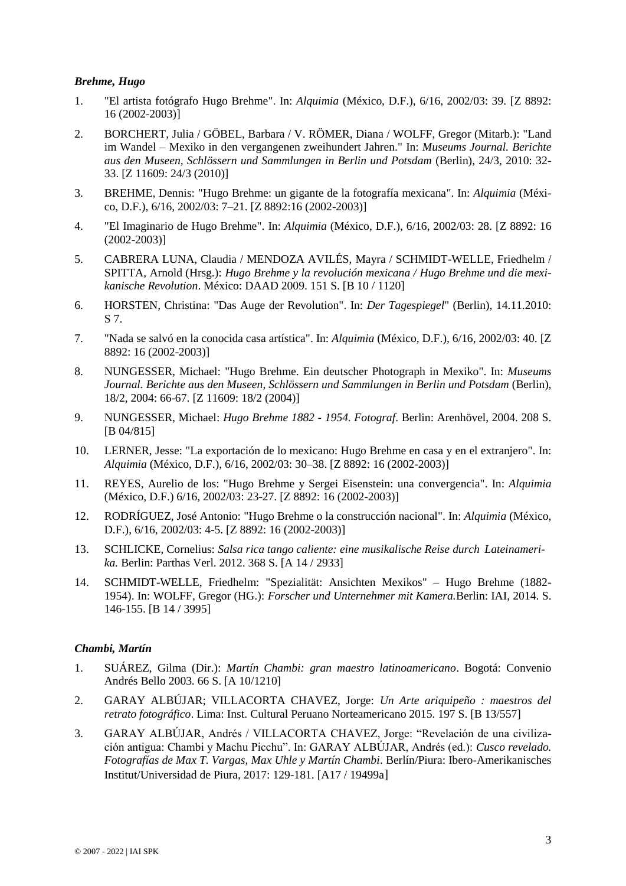## *Brehme, Hugo*

- 1. "El artista fotógrafo Hugo Brehme". In: *Alquimia* (México, D.F.), 6/16, 2002/03: 39. [Z 8892: 16 (2002-2003)]
- 2. BORCHERT, Julia / GÖBEL, Barbara / V. RÖMER, Diana / WOLFF, Gregor (Mitarb.): "Land im Wandel – Mexiko in den vergangenen zweihundert Jahren." In: *Museums Journal. Berichte aus den Museen, Schlössern und Sammlungen in Berlin und Potsdam* (Berlin), 24/3, 2010: 32- 33. [Z 11609: 24/3 (2010)]
- 3. BREHME, Dennis: "Hugo Brehme: un gigante de la fotografía mexicana". In: *Alquimia* (México, D.F.), 6/16, 2002/03: 7–21. [Z 8892:16 (2002-2003)]
- 4. "El Imaginario de Hugo Brehme". In: *Alquimia* (México, D.F.), 6/16, 2002/03: 28. [Z 8892: 16 (2002-2003)]
- 5. CABRERA LUNA, Claudia / MENDOZA AVILÉS, Mayra / SCHMIDT-WELLE, Friedhelm / SPITTA, Arnold (Hrsg.): *Hugo Brehme y la revolución mexicana / Hugo Brehme und die mexikanische Revolution*. México: DAAD 2009. 151 S. [B 10 / 1120]
- 6. HORSTEN, Christina: "Das Auge der Revolution". In: *Der Tagespiegel*" (Berlin), 14.11.2010: S 7.
- 7. "Nada se salvó en la conocida casa artística". In: *Alquimia* (México, D.F.), 6/16, 2002/03: 40. [Z 8892: 16 (2002-2003)]
- 8. NUNGESSER, Michael: "Hugo Brehme. Ein deutscher Photograph in Mexiko". In: *Museums Journal. Berichte aus den Museen, Schlössern und Sammlungen in Berlin und Potsdam* (Berlin), 18/2, 2004: 66-67. [Z 11609: 18/2 (2004)]
- 9. NUNGESSER, Michael: *Hugo Brehme 1882 - 1954. Fotograf*. Berlin: Arenhövel, 2004. 208 S. [B 04/815]
- 10. LERNER, Jesse: "La exportación de lo mexicano: Hugo Brehme en casa y en el extranjero". In: *Alquimia* (México, D.F.), 6/16, 2002/03: 30–38. [Z 8892: 16 (2002-2003)]
- 11. REYES, Aurelio de los: "Hugo Brehme y Sergei Eisenstein: una convergencia". In: *Alquimia* (México, D.F.) 6/16, 2002/03: 23-27. [Z 8892: 16 (2002-2003)]
- 12. RODRÍGUEZ, José Antonio: "Hugo Brehme o la construcción nacional". In: *Alquimia* (México, D.F.), 6/16, 2002/03: 4-5. [Z 8892: 16 (2002-2003)]
- 13. SCHLICKE, Cornelius: *Salsa rica tango caliente: eine musikalische Reise durch Lateinamerika.* Berlin: Parthas Verl. 2012. 368 S. [A 14 / 2933]
- 14. SCHMIDT-WELLE, Friedhelm: "Spezialität: Ansichten Mexikos" Hugo Brehme (1882- 1954). In: WOLFF, Gregor (HG.): *Forscher und Unternehmer mit Kamera.*Berlin: IAI, 2014. S. 146-155. [B 14 / 3995]

## *Chambi, Martín*

- 1. SUÁREZ, Gilma (Dir.): *Martín Chambi: gran maestro latinoamericano*. Bogotá: Convenio Andrés Bello 2003. 66 S. [A 10/1210]
- 2. GARAY ALBÚJAR; VILLACORTA CHAVEZ, Jorge: *Un Arte ariquipeño : maestros del retrato fotográfico*. Lima: Inst. Cultural Peruano Norteamericano 2015. 197 S. [B 13/557]
- 3. GARAY ALBÚJAR, Andrés / VILLACORTA CHAVEZ, Jorge: "Revelación de una civilización antigua: Chambi y Machu Picchu". In: GARAY ALBÚJAR, Andrés (ed.): *Cusco revelado. Fotografías de Max T. Vargas, Max Uhle y Martín Chambi*. Berlín/Piura: Ibero-Amerikanisches Institut/Universidad de Piura, 2017: 129-181. [A17 / 19499a]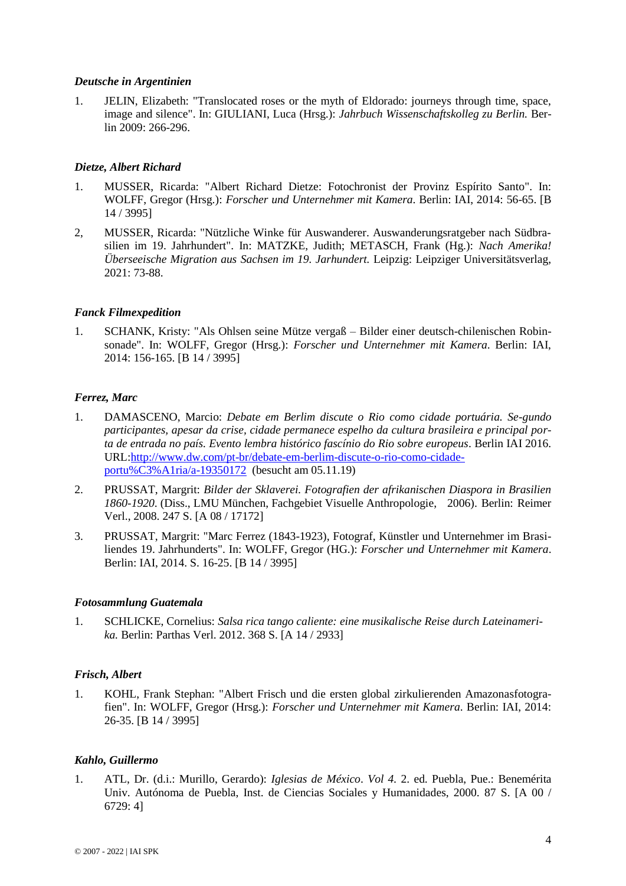#### *Deutsche in Argentinien*

1. JELIN, Elizabeth: "Translocated roses or the myth of Eldorado: journeys through time, space, image and silence". In: GIULIANI, Luca (Hrsg.): *Jahrbuch Wissenschaftskolleg zu Berlin.* Berlin 2009: 266-296.

#### *Dietze, Albert Richard*

- 1. MUSSER, Ricarda: "Albert Richard Dietze: Fotochronist der Provinz Espírito Santo". In: WOLFF, Gregor (Hrsg.): *Forscher und Unternehmer mit Kamera*. Berlin: IAI, 2014: 56-65. [B 14 / 3995]
- 2, MUSSER, Ricarda: "Nützliche Winke für Auswanderer. Auswanderungsratgeber nach Südbrasilien im 19. Jahrhundert". In: MATZKE, Judith; METASCH, Frank (Hg.): *Nach Amerika! Überseeische Migration aus Sachsen im 19. Jarhundert.* Leipzig: Leipziger Universitätsverlag, 2021: 73-88.

#### *Fanck Filmexpedition*

1. SCHANK, Kristy: "Als Ohlsen seine Mütze vergaß – Bilder einer deutsch-chilenischen Robinsonade". In: WOLFF, Gregor (Hrsg.): *Forscher und Unternehmer mit Kamera*. Berlin: IAI, 2014: 156-165. [B 14 / 3995]

### *Ferrez, Marc*

- 1. DAMASCENO, Marcio: *Debate em Berlim discute o Rio como cidade portuária. Se-gundo participantes, apesar da crise, cidade permanece espelho da cultura brasileira e principal porta de entrada no país. Evento lembra histórico fascínio do Rio sobre europeus*. Berlin IAI 2016. URL[:http://www.dw.com/pt-br/debate-em-berlim-discute-o-rio-como-cidade](http://www.dw.com/pt-br/debate-em-berlim-discute-o-rio-como-cidade-portu%C3%A1ria/a-19350172)[portu%C3%A1ria/a-19350172](http://www.dw.com/pt-br/debate-em-berlim-discute-o-rio-como-cidade-portu%C3%A1ria/a-19350172) (besucht am 05.11.19)
- 2. PRUSSAT, Margrit: *Bilder der Sklaverei. Fotografien der afrikanischen Diaspora in Brasilien 1860-1920*. (Diss., LMU München, Fachgebiet Visuelle Anthropologie, 2006). Berlin: Reimer Verl., 2008. 247 S. [A 08 / 17172]
- 3. PRUSSAT, Margrit: "Marc Ferrez (1843-1923), Fotograf, Künstler und Unternehmer im Brasiliendes 19. Jahrhunderts". In: WOLFF, Gregor (HG.): *Forscher und Unternehmer mit Kamera*. Berlin: IAI, 2014. S. 16-25. [B 14 / 3995]

#### *Fotosammlung Guatemala*

1. SCHLICKE, Cornelius: *Salsa rica tango caliente: eine musikalische Reise durch Lateinamerika.* Berlin: Parthas Verl. 2012. 368 S. [A 14 / 2933]

### *Frisch, Albert*

1. KOHL, Frank Stephan: "Albert Frisch und die ersten global zirkulierenden Amazonasfotografien". In: WOLFF, Gregor (Hrsg.): *Forscher und Unternehmer mit Kamera*. Berlin: IAI, 2014: 26-35. [B 14 / 3995]

#### *Kahlo, Guillermo*

1. ATL, Dr. (d.i.: Murillo, Gerardo): *Iglesias de México*. *Vol 4.* 2. ed. Puebla, Pue.: Benemérita Univ. Autónoma de Puebla, Inst. de Ciencias Sociales y Humanidades, 2000. 87 S. [A 00 / 6729: 4]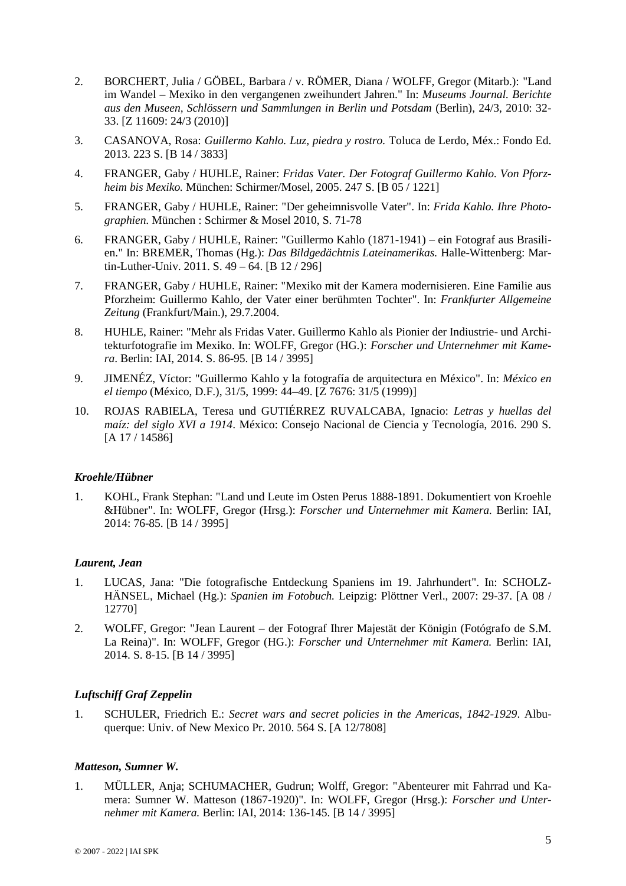- 2. BORCHERT, Julia / GÖBEL, Barbara / v. RÖMER, Diana / WOLFF, Gregor (Mitarb.): "Land im Wandel – Mexiko in den vergangenen zweihundert Jahren." In: *Museums Journal. Berichte aus den Museen, Schlössern und Sammlungen in Berlin und Potsdam* (Berlin), 24/3, 2010: 32- 33. [Z 11609: 24/3 (2010)]
- 3. CASANOVA, Rosa: *Guillermo Kahlo. Luz, piedra y rostro.* Toluca de Lerdo, Méx.: Fondo Ed. 2013. 223 S. [B 14 / 3833]
- 4. FRANGER, Gaby / HUHLE, Rainer: *Fridas Vater. Der Fotograf Guillermo Kahlo. Von Pforzheim bis Mexiko.* München: Schirmer/Mosel, 2005. 247 S. [B 05 / 1221]
- 5. FRANGER, Gaby / HUHLE, Rainer: "Der geheimnisvolle Vater". In: *Frida Kahlo. Ihre Photographien.* München : Schirmer & Mosel 2010, S. 71-78
- 6. FRANGER, Gaby / HUHLE, Rainer: "Guillermo Kahlo (1871-1941) ein Fotograf aus Brasilien." In: BREMER, Thomas (Hg.): *Das Bildgedächtnis Lateinamerikas.* Halle-Wittenberg: Martin-Luther-Univ. 2011. S. 49 – 64. [B 12 / 296]
- 7. FRANGER, Gaby / HUHLE, Rainer: "Mexiko mit der Kamera modernisieren. Eine Familie aus Pforzheim: Guillermo Kahlo, der Vater einer berühmten Tochter". In: *Frankfurter Allgemeine Zeitung* (Frankfurt/Main.), 29.7.2004.
- 8. HUHLE, Rainer: "Mehr als Fridas Vater. Guillermo Kahlo als Pionier der Indiustrie- und Architekturfotografie im Mexiko. In: WOLFF, Gregor (HG.): *Forscher und Unternehmer mit Kamera*. Berlin: IAI, 2014. S. 86-95. [B 14 / 3995]
- 9. JIMENÉZ, Víctor: "Guillermo Kahlo y la fotografía de arquitectura en México". In: *México en el tiempo* (México, D.F.), 31/5, 1999: 44–49. [Z 7676: 31/5 (1999)]
- 10. ROJAS RABIELA, Teresa und GUTIÉRREZ RUVALCABA, Ignacio: *Letras y huellas del maíz: del siglo XVI a 1914*. México: Consejo Nacional de Ciencia y Tecnología, 2016. 290 S. [A 17 / 14586]

### *Kroehle/Hübner*

1. KOHL, Frank Stephan: "Land und Leute im Osten Perus 1888-1891. Dokumentiert von Kroehle &Hübner". In: WOLFF, Gregor (Hrsg.): *Forscher und Unternehmer mit Kamera.* Berlin: IAI, 2014: 76-85. [B 14 / 3995]

### *Laurent, Jean*

- 1. LUCAS, Jana: "Die fotografische Entdeckung Spaniens im 19. Jahrhundert". In: SCHOLZ-HÄNSEL, Michael (Hg.): *Spanien im Fotobuch.* Leipzig: Plöttner Verl., 2007: 29-37. [A 08 / 12770]
- 2. WOLFF, Gregor: "Jean Laurent der Fotograf Ihrer Majestät der Königin (Fotógrafo de S.M. La Reina)". In: WOLFF, Gregor (HG.): *Forscher und Unternehmer mit Kamera.* Berlin: IAI, 2014. S. 8-15. [B 14 / 3995]

# *Luftschiff Graf Zeppelin*

1. SCHULER, Friedrich E.: *Secret wars and secret policies in the Americas, 1842-1929*. Albuquerque: Univ. of New Mexico Pr. 2010. 564 S. [A 12/7808]

### *Matteson, Sumner W.*

1. MÜLLER, Anja; SCHUMACHER, Gudrun; Wolff, Gregor: "Abenteurer mit Fahrrad und Kamera: Sumner W. Matteson (1867-1920)". In: WOLFF, Gregor (Hrsg.): *Forscher und Unternehmer mit Kamera.* Berlin: IAI, 2014: 136-145. [B 14 / 3995]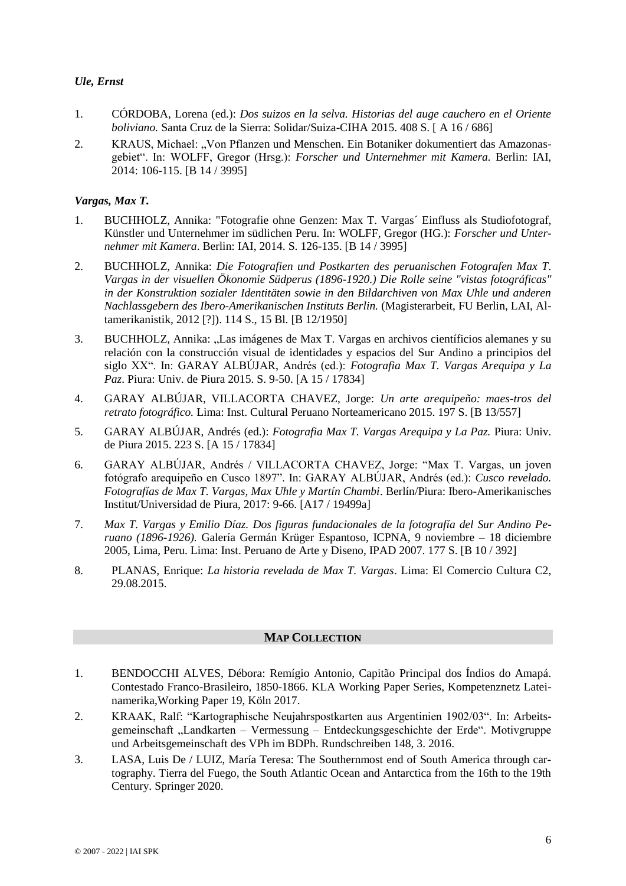# *Ule, Ernst*

- 1. CÓRDOBA, Lorena (ed.): *Dos suizos en la selva. Historias del auge cauchero en el Oriente boliviano.* Santa Cruz de la Sierra: Solidar/Suiza-CIHA 2015. 408 S. [ A 16 / 686]
- 2. KRAUS, Michael: "Von Pflanzen und Menschen. Ein Botaniker dokumentiert das Amazonasgebiet". In: WOLFF, Gregor (Hrsg.): *Forscher und Unternehmer mit Kamera.* Berlin: IAI, 2014: 106-115. [B 14 / 3995]

# *Vargas, Max T.*

- 1. BUCHHOLZ, Annika: "Fotografie ohne Genzen: Max T. Vargas´ Einfluss als Studiofotograf, Künstler und Unternehmer im südlichen Peru. In: WOLFF, Gregor (HG.): *Forscher und Unternehmer mit Kamera*. Berlin: IAI, 2014. S. 126-135. [B 14 / 3995]
- 2. BUCHHOLZ, Annika: *Die Fotografien und Postkarten des peruanischen Fotografen Max T. Vargas in der visuellen Ökonomie Südperus (1896-1920.) Die Rolle seine "vistas fotográficas" in der Konstruktion sozialer Identitäten sowie in den Bildarchiven von Max Uhle und anderen Nachlassgebern des Ibero-Amerikanischen Instituts Berlin.* (Magisterarbeit, FU Berlin, LAI, Altamerikanistik, 2012 [?]). 114 S., 15 Bl. [B 12/1950]
- 3. BUCHHOLZ, Annika: "Las imágenes de Max T. Vargas en archivos científicios alemanes y su relación con la construcción visual de identidades y espacios del Sur Andino a principios del siglo XX". In: GARAY ALBÚJAR, Andrés (ed.): *Fotografia Max T. Vargas Arequipa y La Paz*. Piura: Univ. de Piura 2015. S. 9-50. [A 15 / 17834]
- 4. GARAY ALBÚJAR, VILLACORTA CHAVEZ, Jorge: *Un arte arequipeño: maes-tros del retrato fotográfico.* Lima: Inst. Cultural Peruano Norteamericano 2015. 197 S. [B 13/557]
- 5. GARAY ALBÚJAR, Andrés (ed.): *Fotografia Max T. Vargas Arequipa y La Paz.* Piura: Univ. de Piura 2015. 223 S. [A 15 / 17834]
- 6. GARAY ALBÚJAR, Andrés / VILLACORTA CHAVEZ, Jorge: "Max T. Vargas, un joven fotógrafo arequipeño en Cusco 1897". In: GARAY ALBÚJAR, Andrés (ed.): *Cusco revelado. Fotografías de Max T. Vargas, Max Uhle y Martín Chambi*. Berlín/Piura: Ibero-Amerikanisches Institut/Universidad de Piura, 2017: 9-66. [A17 / 19499a]
- 7. *Max T. Vargas y Emilio Díaz. Dos figuras fundacionales de la fotografía del Sur Andino Peruano (1896-1926).* Galería Germán Krüger Espantoso, ICPNA, 9 noviembre – 18 diciembre 2005, Lima, Peru. Lima: Inst. Peruano de Arte y Diseno, IPAD 2007. 177 S. [B 10 / 392]
- 8. PLANAS, Enrique: *La historia revelada de Max T. Vargas*. Lima: El Comercio Cultura C2, 29.08.2015.

### **MAP COLLECTION**

- 1. BENDOCCHI ALVES, Débora: Remígio Antonio, Capitão Principal dos Índios do Amapá. Contestado Franco-Brasileiro, 1850-1866. KLA Working Paper Series, Kompetenznetz Lateinamerika,Working Paper 19, Köln 2017.
- 2. KRAAK, Ralf: "Kartographische Neujahrspostkarten aus Argentinien 1902/03". In: Arbeitsgemeinschaft "Landkarten – Vermessung – Entdeckungsgeschichte der Erde". Motivgruppe und Arbeitsgemeinschaft des VPh im BDPh. Rundschreiben 148, 3. 2016.
- 3. LASA, Luis De / LUIZ, María Teresa: The Southernmost end of South America through cartography. Tierra del Fuego, the South Atlantic Ocean and Antarctica from the 16th to the 19th Century. Springer 2020.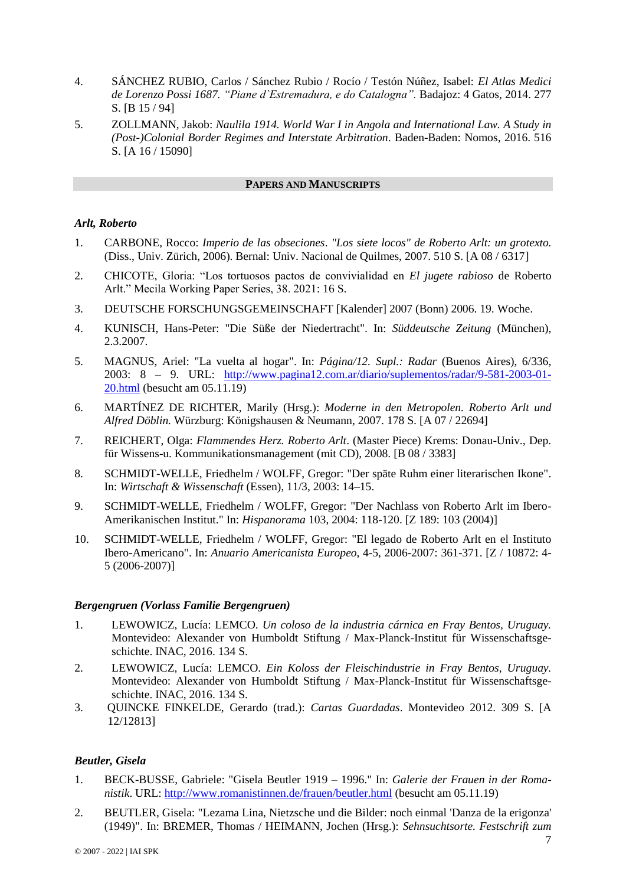- 4. SÁNCHEZ RUBIO, Carlos / Sánchez Rubio / Rocío / Testón Núñez, Isabel: *El Atlas Medici de Lorenzo Possi 1687. "Piane d`Estremadura, e do Catalogna".* Badajoz: 4 Gatos, 2014. 277 S. [B 15 / 94]
- 5. ZOLLMANN, Jakob: *Naulila 1914. World War I in Angola and International Law. A Study in (Post-)Colonial Border Regimes and Interstate Arbitration*. Baden-Baden: Nomos, 2016. 516 S. [A 16 / 15090]

#### **PAPERS AND MANUSCRIPTS**

### *Arlt, Roberto*

- 1. CARBONE, Rocco: *Imperio de las obseciones*. *"Los siete locos" de Roberto Arlt: un grotexto.*  (Diss., Univ. Zürich, 2006). Bernal: Univ. Nacional de Quilmes, 2007. 510 S. [A 08 / 6317]
- 2. CHICOTE, Gloria: "Los tortuosos pactos de convivialidad en *El jugete rabioso* de Roberto Arlt." Mecila Working Paper Series, 38. 2021: 16 S.
- 3. DEUTSCHE FORSCHUNGSGEMEINSCHAFT [Kalender] 2007 (Bonn) 2006. 19. Woche.
- 4. KUNISCH, Hans-Peter: "Die Süße der Niedertracht". In: *Süddeutsche Zeitung* (München), 2.3.2007.
- 5. MAGNUS, Ariel: "La vuelta al hogar". In: *Página/12. Supl.: Radar* (Buenos Aires), 6/336, 2003: 8 – 9. URL: [http://www.pagina12.com.ar/diario/suplementos/radar/9-581-2003-01-](http://www.pagina12.com.ar/diario/suplementos/radar/9-581-2003-01-20.html) [20.html](http://www.pagina12.com.ar/diario/suplementos/radar/9-581-2003-01-20.html) (besucht am 05.11.19)
- 6. MARTÍNEZ DE RICHTER, Marily (Hrsg.): *Moderne in den Metropolen. Roberto Arlt und Alfred Döblin.* Würzburg: Königshausen & Neumann, 2007. 178 S. [A 07 / 22694]
- 7. REICHERT, Olga: *Flammendes Herz. Roberto Arlt*. (Master Piece) Krems: Donau-Univ., Dep. für Wissens-u. Kommunikationsmanagement (mit CD), 2008. [B 08 / 3383]
- 8. SCHMIDT-WELLE, Friedhelm / WOLFF, Gregor: "Der späte Ruhm einer literarischen Ikone". In: *Wirtschaft & Wissenschaft* (Essen), 11/3, 2003: 14–15.
- 9. SCHMIDT-WELLE, Friedhelm / WOLFF, Gregor: "Der Nachlass von Roberto Arlt im Ibero-Amerikanischen Institut." In: *Hispanorama* 103, 2004: 118-120. [Z 189: 103 (2004)]
- 10. SCHMIDT-WELLE, Friedhelm / WOLFF, Gregor: "El legado de Roberto Arlt en el Instituto Ibero-Americano". In: *Anuario Americanista Europeo*, 4-5, 2006-2007: 361-371. [Z / 10872: 4- 5 (2006-2007)]

### *Bergengruen (Vorlass Familie Bergengruen)*

- 1. LEWOWICZ, Lucía: LEMCO. *Un coloso de la industria cárnica en Fray Bentos, Uruguay.* Montevideo: Alexander von Humboldt Stiftung / Max-Planck-Institut für Wissenschaftsgeschichte. INAC, 2016. 134 S.
- 2. LEWOWICZ, Lucía: LEMCO. *Ein Koloss der Fleischindustrie in Fray Bentos, Uruguay.* Montevideo: Alexander von Humboldt Stiftung / Max-Planck-Institut für Wissenschaftsgeschichte. INAC, 2016. 134 S.
- 3. QUINCKE FINKELDE, Gerardo (trad.): *Cartas Guardadas*. Montevideo 2012. 309 S. [A 12/12813]

### *Beutler, Gisela*

- 1. BECK-BUSSE, Gabriele: "Gisela Beutler 1919 1996." In: *Galerie der Frauen in der Romanistik*. URL:<http://www.romanistinnen.de/frauen/beutler.html> (besucht am 05.11.19)
- 2. BEUTLER, Gisela: "Lezama Lina, Nietzsche und die Bilder: noch einmal 'Danza de la erigonza' (1949)". In: BREMER, Thomas / HEIMANN, Jochen (Hrsg.): *Sehnsuchtsorte. Festschrift zum*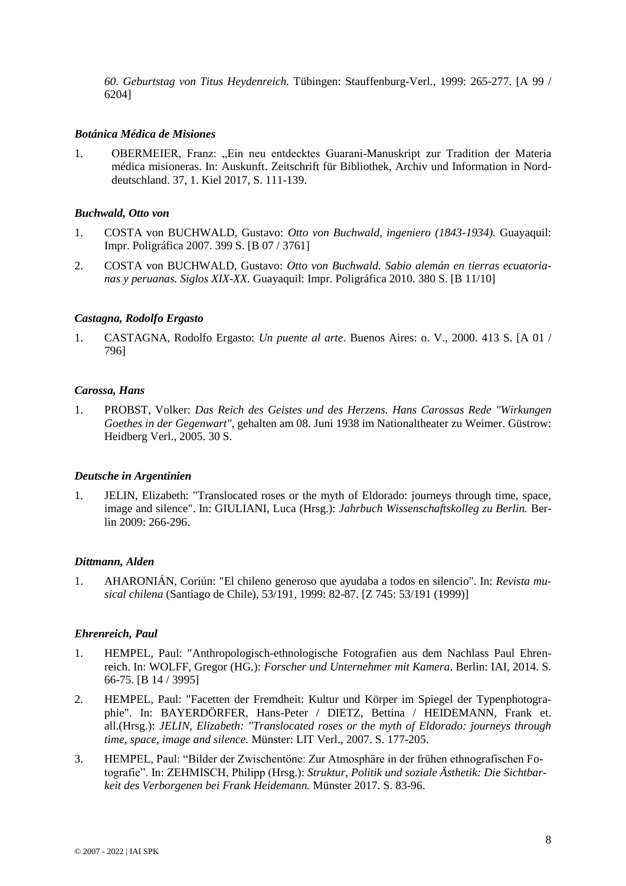*60. Geburtstag von Titus Heydenreich.* Tübingen: Stauffenburg-Verl., 1999: 265-277. [A 99 / 6204]

# *Botánica Médica de Misiones*

1. OBERMEIER, Franz: "Ein neu entdecktes Guarani-Manuskript zur Tradition der Materia médica misioneras. In: Auskunft. Zeitschrift für Bibliothek, Archiv und Information in Norddeutschland. 37, 1. Kiel 2017, S. 111-139.

# *Buchwald, Otto von*

- 1. COSTA von BUCHWALD, Gustavo: *Otto von Buchwald, ingeniero (1843-1934).* Guayaquil: Impr. Poligráfica 2007. 399 S. [B 07 / 3761]
- 2. COSTA von BUCHWALD, Gustavo: *Otto von Buchwald. Sabio alemán en tierras ecuatorianas y peruanas. Siglos XIX-XX.* Guayaquil: Impr. Poligráfica 2010. 380 S. [B 11/10]

# *Castagna, Rodolfo Ergasto*

1. CASTAGNA, Rodolfo Ergasto: *Un puente al arte*. Buenos Aires: o. V., 2000. 413 S. [A 01 / 796]

### *Carossa, Hans*

1. PROBST, Volker: *Das Reich des Geistes und des Herzens. Hans Carossas Rede "Wirkungen Goethes in der Gegenwart"*, gehalten am 08. Juni 1938 im Nationaltheater zu Weimer. Güstrow: Heidberg Verl., 2005. 30 S.

### *Deutsche in Argentinien*

1. JELIN, Elizabeth: "Translocated roses or the myth of Eldorado: journeys through time, space, image and silence". In: GIULIANI, Luca (Hrsg.): *Jahrbuch Wissenschaftskolleg zu Berlin.* Berlin 2009: 266-296.

### *Dittmann, Alden*

1. AHARONIÁN, Coriún: "El chileno generoso que ayudaba a todos en silencio". In: *Revista musical chilena* (Santiago de Chile), 53/191, 1999: 82-87. [Z 745: 53/191 (1999)]

### *Ehrenreich, Paul*

- 1. HEMPEL, Paul: "Anthropologisch-ethnologische Fotografien aus dem Nachlass Paul Ehrenreich. In: WOLFF, Gregor (HG.): *Forscher und Unternehmer mit Kamera*. Berlin: IAI, 2014. S. 66-75. [B 14 / 3995]
- 2. HEMPEL, Paul: "Facetten der Fremdheit: Kultur und Körper im Spiegel der Typenphotographie". In: BAYERDÖRFER, Hans-Peter / DIETZ, Bettina / HEIDEMANN, Frank et. all.(Hrsg.): *JELIN, Elizabeth: "Translocated roses or the myth of Eldorado: journeys through time, space, image and silence.* Münster: LIT Verl., 2007. S. 177-205.
- 3. HEMPEL, Paul: "Bilder der Zwischentöne: Zur Atmosphäre in der frühen ethnografischen Fotografie". In: ZEHMISCH, Philipp (Hrsg.): *Struktur, Politik und soziale Ästhetik: Die Sichtbarkeit des Verborgenen bei Frank Heidemann.* Münster 2017. S. 83-96.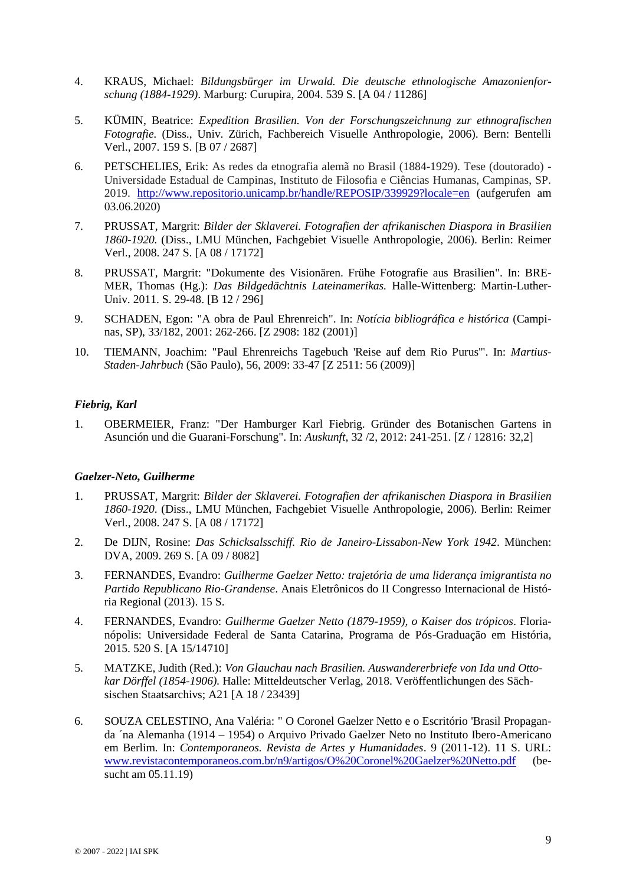- 4. KRAUS, Michael: *Bildungsbürger im Urwald. Die deutsche ethnologische Amazonienforschung (1884-1929)*. Marburg: Curupira, 2004. 539 S. [A 04 / 11286]
- 5. KÜMIN, Beatrice: *Expedition Brasilien. Von der Forschungszeichnung zur ethnografischen Fotografie.* (Diss., Univ. Zürich, Fachbereich Visuelle Anthropologie, 2006). Bern: Bentelli Verl., 2007. 159 S. [B 07 / 2687]
- 6. PETSCHELIES, Erik: As redes da etnografia alemã no Brasil (1884-1929). Tese (doutorado) Universidade Estadual de Campinas, Instituto de Filosofia e Ciências Humanas, Campinas, SP. 2019. <http://www.repositorio.unicamp.br/handle/REPOSIP/339929?locale=en> (aufgerufen am 03.06.2020)
- 7. PRUSSAT, Margrit: *Bilder der Sklaverei. Fotografien der afrikanischen Diaspora in Brasilien 1860-1920.* (Diss., LMU München, Fachgebiet Visuelle Anthropologie, 2006). Berlin: Reimer Verl., 2008. 247 S. [A 08 / 17172]
- 8. PRUSSAT, Margrit: "Dokumente des Visionären. Frühe Fotografie aus Brasilien". In: BRE-MER, Thomas (Hg.): *Das Bildgedächtnis Lateinamerikas.* Halle-Wittenberg: Martin-Luther-Univ. 2011. S. 29-48. [B 12 / 296]
- 9. SCHADEN, Egon: "A obra de Paul Ehrenreich". In: *Notícia bibliográfica e histórica* (Campinas, SP), 33/182, 2001: 262-266. [Z 2908: 182 (2001)]
- 10. TIEMANN, Joachim: "Paul Ehrenreichs Tagebuch 'Reise auf dem Rio Purus'". In: *Martius-Staden-Jahrbuch* (São Paulo), 56, 2009: 33-47 [Z 2511: 56 (2009)]

# *Fiebrig, Karl*

1. OBERMEIER, Franz: "Der Hamburger Karl Fiebrig. Gründer des Botanischen Gartens in Asunción und die Guarani-Forschung". In: *Auskunft,* 32 /2, 2012: 241-251. [Z / 12816: 32,2]

### *Gaelzer-Neto, Guilherme*

- 1. PRUSSAT, Margrit: *Bilder der Sklaverei. Fotografien der afrikanischen Diaspora in Brasilien 1860-1920*. (Diss., LMU München, Fachgebiet Visuelle Anthropologie, 2006). Berlin: Reimer Verl., 2008. 247 S. [A 08 / 17172]
- 2. De DIJN, Rosine: *Das Schicksalsschiff. Rio de Janeiro-Lissabon-New York 1942*. München: DVA, 2009. 269 S. [A 09 / 8082]
- 3. FERNANDES, Evandro: *Guilherme Gaelzer Netto: trajetória de uma liderança imigrantista no Partido Republicano Rio-Grandense*. Anais Eletrônicos do II Congresso Internacional de História Regional (2013). 15 S.
- 4. FERNANDES, Evandro: *Guilherme Gaelzer Netto (1879-1959), o Kaiser dos trópicos*. Florianópolis: Universidade Federal de Santa Catarina, Programa de Pós-Graduação em História, 2015. 520 S. [A 15/14710]
- 5. MATZKE, Judith (Red.): *Von Glauchau nach Brasilien. Auswandererbriefe von Ida und Ottokar Dörffel (1854-1906).* Halle: Mitteldeutscher Verlag, 2018. Veröffentlichungen des Sächsischen Staatsarchivs; A21 [A 18 / 23439]
- 6. SOUZA CELESTINO, Ana Valéria: " O Coronel Gaelzer Netto e o Escritório 'Brasil Propaganda ´na Alemanha (1914 – 1954) o Arquivo Privado Gaelzer Neto no Instituto Ibero-Americano em Berlim. In: *Contemporaneos. Revista de Artes y Humanidades*. 9 (2011-12). 11 S. URL: [www.revistacontemporaneos.com.br/n9/artigos/O%20Coronel%20Gaelzer%20Netto.pdf](http://www.revistacontemporaneos.com.br/n9/artigos/O%20Coronel%20Gaelzer%20Netto.pdf) (besucht am 05.11.19)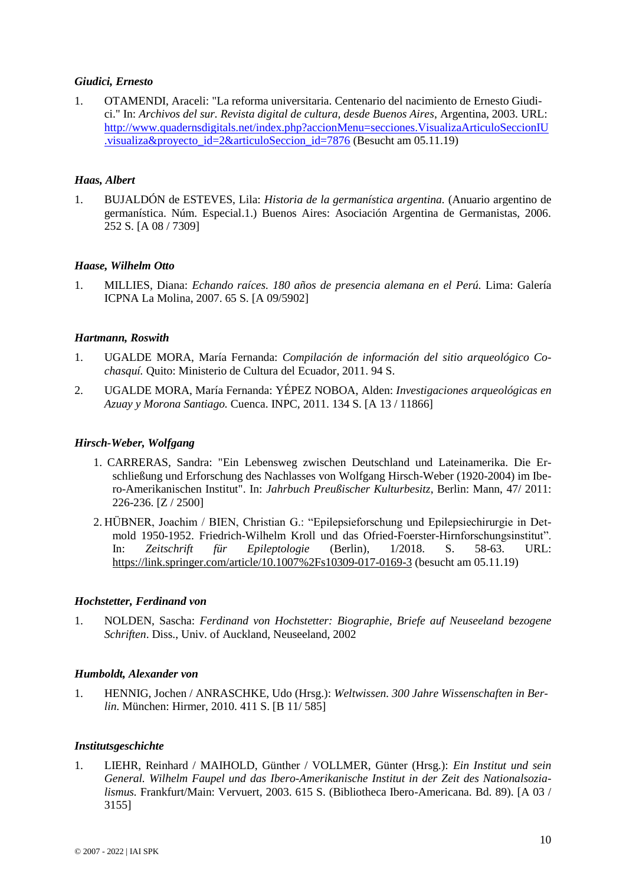## *Giudici, Ernesto*

1. OTAMENDI, Araceli: "La reforma universitaria. Centenario del nacimiento de Ernesto Giudici." In: *Archivos del sur. Revista digital de cultura, desde Buenos Aires*, Argentina, 2003. URL: [http://www.quadernsdigitals.net/index.php?accionMenu=secciones.VisualizaArticuloSeccionIU](http://www.quadernsdigitals.net/index.php?accionMenu=secciones.VisualizaArticuloSeccionIU.visualiza&proyecto_id=2&articuloSeccion_id=7876) [.visualiza&proyecto\\_id=2&articuloSeccion\\_id=7876](http://www.quadernsdigitals.net/index.php?accionMenu=secciones.VisualizaArticuloSeccionIU.visualiza&proyecto_id=2&articuloSeccion_id=7876) (Besucht am 05.11.19)

# *Haas, Albert*

1. BUJALDÓN de ESTEVES, Lila: *Historia de la germanística argentina.* (Anuario argentino de germanística. Núm. Especial.1.) Buenos Aires: Asociación Argentina de Germanistas, 2006. 252 S. [A 08 / 7309]

# *Haase, Wilhelm Otto*

1. MILLIES, Diana: *Echando raíces. 180 años de presencia alemana en el Perú.* Lima: Galería ICPNA La Molina, 2007. 65 S. [A 09/5902]

### *Hartmann, Roswith*

- 1. UGALDE MORA, María Fernanda: *Compilación de información del sitio arqueológico Cochasquí.* Quito: Ministerio de Cultura del Ecuador, 2011. 94 S.
- 2. UGALDE MORA, María Fernanda: YÉPEZ NOBOA, Alden: *Investigaciones arqueológicas en Azuay y Morona Santiago.* Cuenca. INPC, 2011. 134 S. [A 13 / 11866]

## *Hirsch-Weber, Wolfgang*

- 1. CARRERAS, Sandra: "Ein Lebensweg zwischen Deutschland und Lateinamerika. Die Erschließung und Erforschung des Nachlasses von Wolfgang Hirsch-Weber (1920-2004) im Ibero-Amerikanischen Institut". In: *Jahrbuch Preußischer Kulturbesitz*, Berlin: Mann, 47/ 2011: 226-236. [Z / 2500]
- 2. HÜBNER, Joachim / BIEN, Christian G.: "Epilepsieforschung und Epilepsiechirurgie in Detmold 1950-1952. Friedrich-Wilhelm Kroll und das Ofried-Foerster-Hirnforschungsinstitut". In: *Zeitschrift für Epileptologie* (Berlin), 1/2018. S. 58-63. URL: <https://link.springer.com/article/10.1007%2Fs10309-017-0169-3> (besucht am 05.11.19)

### *Hochstetter, Ferdinand von*

1. NOLDEN, Sascha: *Ferdinand von Hochstetter: Biographie, Briefe auf Neuseeland bezogene Schriften*. Diss., Univ. of Auckland, Neuseeland, 2002

### *Humboldt, Alexander von*

1. HENNIG, Jochen / ANRASCHKE, Udo (Hrsg.): *Weltwissen. 300 Jahre Wissenschaften in Berlin.* München: Hirmer, 2010. 411 S. [B 11/ 585]

### *Institutsgeschichte*

1. LIEHR, Reinhard / MAIHOLD, Günther / VOLLMER, Günter (Hrsg.): *Ein Institut und sein General. Wilhelm Faupel und das Ibero-Amerikanische Institut in der Zeit des Nationalsozialismus.* Frankfurt/Main: Vervuert, 2003. 615 S. (Bibliotheca Ibero-Americana. Bd. 89). [A 03 / 3155]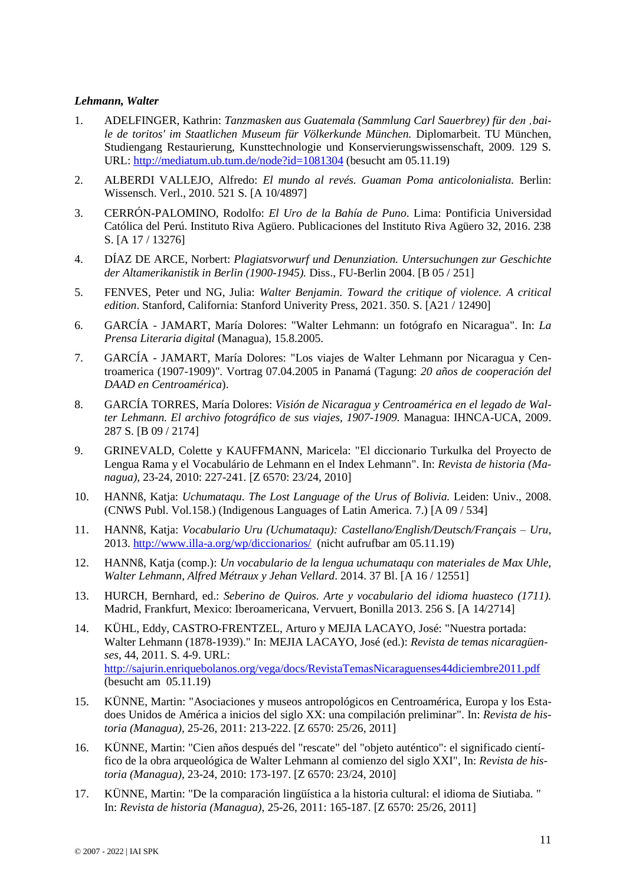## *Lehmann, Walter*

- 1. ADELFINGER, Kathrin: *Tanzmasken aus Guatemala (Sammlung Carl Sauerbrey) für den 'baile de toritos' im Staatlichen Museum für Völkerkunde München.* Diplomarbeit. TU München, Studiengang Restaurierung, Kunsttechnologie und Konservierungswissenschaft, 2009. 129 S. URL:<http://mediatum.ub.tum.de/node?id=1081304> (besucht am 05.11.19)
- 2. ALBERDI VALLEJO, Alfredo: *El mundo al revés. Guaman Poma anticolonialista.* Berlin: Wissensch. Verl., 2010. 521 S. [A 10/4897]
- 3. CERRÓN-PALOMINO, Rodolfo: *El Uro de la Bahía de Puno*. Lima: Pontificia Universidad Católica del Perú. Instituto Riva Agüero. Publicaciones del Instituto Riva Agüero 32, 2016. 238 S. [A 17 / 13276]
- 4. DÍAZ DE ARCE, Norbert: *Plagiatsvorwurf und Denunziation. Untersuchungen zur Geschichte der Altamerikanistik in Berlin (1900-1945).* Diss., FU-Berlin 2004. [B 05 / 251]
- 5. FENVES, Peter und NG, Julia: *Walter Benjamin. Toward the critique of violence. A critical edition*. Stanford, California: Stanford Univerity Press, 2021. 350. S. [A21 / 12490]
- 6. GARCÍA JAMART, María Dolores: "Walter Lehmann: un fotógrafo en Nicaragua". In: *La Prensa Literaria digital* (Managua), 15.8.2005.
- 7. GARCÍA JAMART, María Dolores: "Los viajes de Walter Lehmann por Nicaragua y Centroamerica (1907-1909)"*.* Vortrag 07.04.2005 in Panamá (Tagung: *20 años de cooperación del DAAD en Centroamérica*).
- 8. GARCÍA TORRES, María Dolores: *Visión de Nicaragua y Centroamérica en el legado de Walter Lehmann. El archivo fotográfico de sus viajes, 1907-1909*. Managua: IHNCA-UCA, 2009. 287 S. [B 09 / 2174]
- 9. GRINEVALD, Colette y KAUFFMANN, Maricela: "El diccionario Turkulka del Proyecto de Lengua Rama y el Vocabulário de Lehmann en el Index Lehmann". In: *Revista de historia (Managua),* 23-24, 2010: 227-241. [Z 6570: 23/24, 2010]
- 10. HANNß, Katja: *Uchumataqu. The Lost Language of the Urus of Bolivia.* Leiden: Univ., 2008. (CNWS Publ. Vol.158.) (Indigenous Languages of Latin America. 7.) [A 09 / 534]
- 11. HANNß, Katja: *Vocabulario Uru (Uchumataqu): Castellano/English/Deutsch/Français – Uru*, 2013[. http://www.illa-a.org/wp/diccionarios/](http://www.illa-a.org/wp/diccionarios/) (nicht aufrufbar am 05.11.19)
- 12. HANNß, Katja (comp.): *Un vocabulario de la lengua uchumataqu con materiales de Max Uhle, Walter Lehmann, Alfred Métraux y Jehan Vellard*. 2014. 37 Bl. [A 16 / 12551]
- 13. HURCH, Bernhard, ed.: *Seberino de Quiros. Arte y vocabulario del idioma huasteco (1711).* Madrid, Frankfurt, Mexico: Iberoamericana, Vervuert, Bonilla 2013. 256 S. [A 14/2714]
- 14. KÜHL, Eddy, CASTRO-FRENTZEL, Arturo y MEJIA LACAYO, José: "Nuestra portada: Walter Lehmann (1878-1939)." In: MEJIA LACAYO, José (ed.): *Revista de temas nicaragüenses*, 44, 2011. S. 4-9. URL: <http://sajurin.enriquebolanos.org/vega/docs/RevistaTemasNicaraguenses44diciembre2011.pdf> (besucht am 05.11.19)
- 15. KÜNNE, Martin: "Asociaciones y museos antropológicos en Centroamérica, Europa y los Estadoes Unidos de América a inicios del siglo XX: una compilación preliminar". In: *Revista de historia (Managua),* 25-26, 2011: 213-222. [Z 6570: 25/26, 2011]
- 16. KÜNNE, Martin: "Cien años después del "rescate" del "objeto auténtico": el significado científico de la obra arqueológica de Walter Lehmann al comienzo del siglo XXI", In: *Revista de historia (Managua),* 23-24, 2010: 173-197. [Z 6570: 23/24, 2010]
- 17. KÜNNE, Martin: "De la comparación lingüística a la historia cultural: el idioma de Siutiaba. " In: *Revista de historia (Managua),* 25-26, 2011: 165-187. [Z 6570: 25/26, 2011]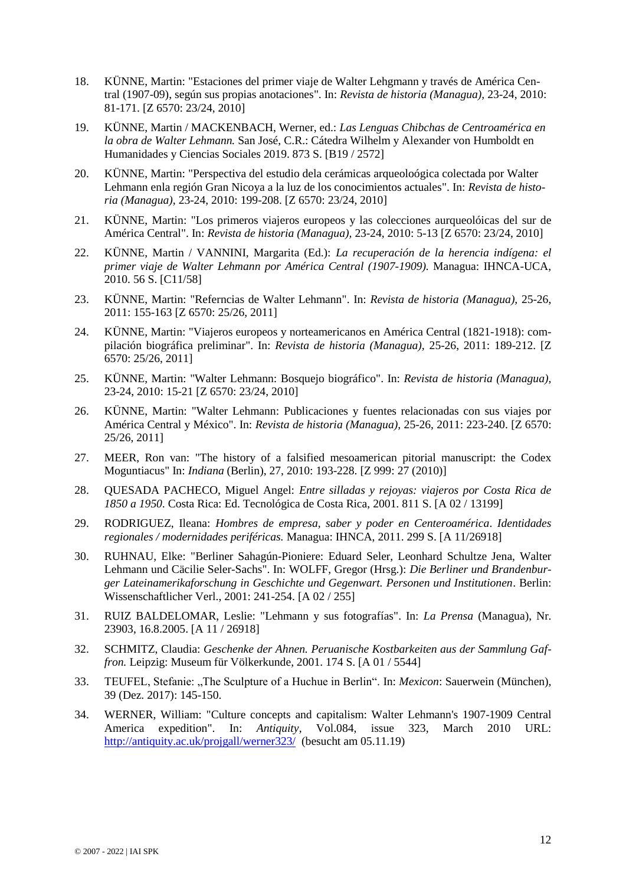- 18. KÜNNE, Martin: "Estaciones del primer viaje de Walter Lehgmann y través de América Central (1907-09), según sus propias anotaciones". In: *Revista de historia (Managua),* 23-24, 2010: 81-171. [Z 6570: 23/24, 2010]
- 19. KÜNNE, Martin / MACKENBACH, Werner, ed.: *Las Lenguas Chibchas de Centroamérica en la obra de Walter Lehmann.* San José, C.R.: Cátedra Wilhelm y Alexander von Humboldt en Humanidades y Ciencias Sociales 2019. 873 S. [B19 / 2572]
- 20. KÜNNE, Martin: "Perspectiva del estudio dela cerámicas arqueoloógica colectada por Walter Lehmann enla región Gran Nicoya a la luz de los conocimientos actuales". In: *Revista de historia (Managua),* 23-24, 2010: 199-208. [Z 6570: 23/24, 2010]
- 21. KÜNNE, Martin: "Los primeros viajeros europeos y las colecciones aurqueolóicas del sur de América Central". In: *Revista de historia (Managua),* 23-24, 2010: 5-13 [Z 6570: 23/24, 2010]
- 22. KÜNNE, Martin / VANNINI, Margarita (Ed.): *La recuperación de la herencia indígena: el primer viaje de Walter Lehmann por América Central (1907-1909).* Managua: IHNCA-UCA, 2010. 56 S. [C11/58]
- 23. KÜNNE, Martin: "Referncias de Walter Lehmann". In: *Revista de historia (Managua),* 25-26, 2011: 155-163 [Z 6570: 25/26, 2011]
- 24. KÜNNE, Martin: "Viajeros europeos y norteamericanos en América Central (1821-1918): compilación biográfica preliminar". In: *Revista de historia (Managua),* 25-26, 2011: 189-212. [Z 6570: 25/26, 2011]
- 25. KÜNNE, Martin: "Walter Lehmann: Bosquejo biográfico". In: *Revista de historia (Managua),*  23-24, 2010: 15-21 [Z 6570: 23/24, 2010]
- 26. KÜNNE, Martin: "Walter Lehmann: Publicaciones y fuentes relacionadas con sus viajes por América Central y México". In: *Revista de historia (Managua),* 25-26, 2011: 223-240. [Z 6570: 25/26, 2011]
- 27. MEER, Ron van: "The history of a falsified mesoamerican pitorial manuscript: the Codex Moguntiacus" In: *Indiana* (Berlin), 27, 2010: 193-228. [Z 999: 27 (2010)]
- 28. QUESADA PACHECO, Miguel Angel: *Entre silladas y rejoyas: viajeros por Costa Rica de 1850 a 1950*. Costa Rica: Ed. Tecnológica de Costa Rica, 2001. 811 S. [A 02 / 13199]
- 29. RODRIGUEZ, Ileana: *Hombres de empresa, saber y poder en Centeroamérica*. *Identidades regionales / modernidades periféricas.* Managua: IHNCA, 2011. 299 S. [A 11/26918]
- 30. RUHNAU, Elke: "Berliner Sahagún-Pioniere: Eduard Seler, Leonhard Schultze Jena, Walter Lehmann und Cäcilie Seler-Sachs". In: WOLFF, Gregor (Hrsg.): *Die Berliner und Brandenburger Lateinamerikaforschung in Geschichte und Gegenwart. Personen und Institutionen*. Berlin: Wissenschaftlicher Verl., 2001: 241-254. [A 02 / 255]
- 31. RUIZ BALDELOMAR, Leslie: "Lehmann y sus fotografías". In: *La Prensa* (Managua), Nr. 23903, 16.8.2005. [A 11 / 26918]
- 32. SCHMITZ, Claudia: *Geschenke der Ahnen. Peruanische Kostbarkeiten aus der Sammlung Gaffron.* Leipzig: Museum für Völkerkunde, 2001. 174 S. [A 01 / 5544]
- 33. TEUFEL, Stefanie: "The Sculpture of a Huchue in Berlin". In: *Mexicon*: Sauerwein (München), 39 (Dez. 2017): 145-150.
- 34. WERNER, William: "Culture concepts and capitalism: Walter Lehmann's 1907-1909 Central America expedition". In: *Antiquity*, Vol.084, issue 323, March 2010 URL: <http://antiquity.ac.uk/projgall/werner323/>(besucht am 05.11.19)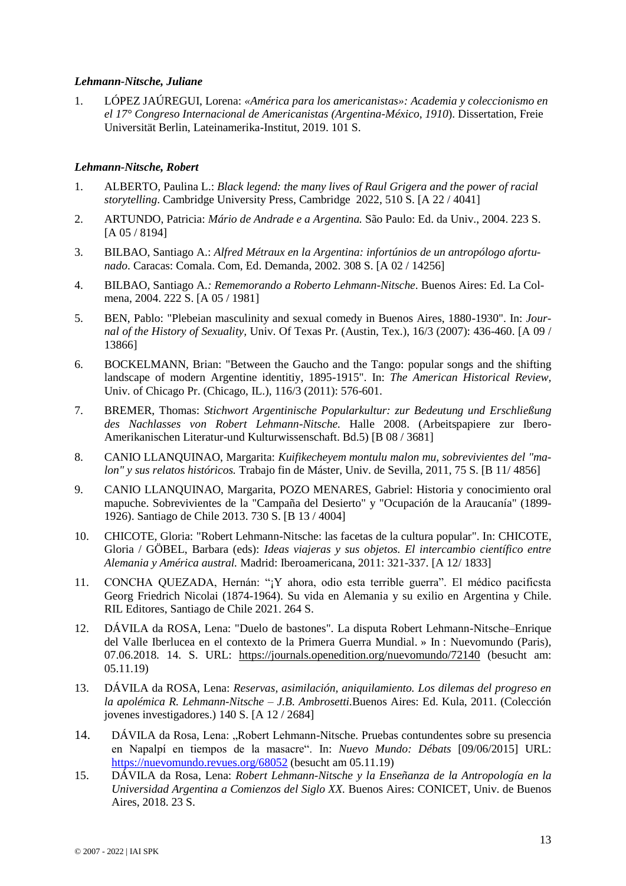## *Lehmann-Nitsche, Juliane*

1. LÓPEZ JAÚREGUI, Lorena: *«América para los americanistas»: Academia y coleccionismo en el 17° Congreso Internacional de Americanistas (Argentina-México, 1910*). Dissertation, Freie Universität Berlin, Lateinamerika-Institut, 2019. 101 S.

# *Lehmann-Nitsche, Robert*

- 1. ALBERTO, Paulina L.: *Black legend: the many lives of Raul Grigera and the power of racial storytelling*. Cambridge University Press, Cambridge 2022, 510 S. [A 22 / 4041]
- 2. ARTUNDO, Patricia: *Mário de Andrade e a Argentina.* São Paulo: Ed. da Univ., 2004. 223 S. [A 05 / 8194]
- 3. BILBAO, Santiago A.: *Alfred Métraux en la Argentina: infortúnios de un antropólogo afortunado*. Caracas: Comala. Com, Ed. Demanda, 2002. 308 S. [A 02 / 14256]
- 4. BILBAO, Santiago A*.: Rememorando a Roberto Lehmann-Nitsche*. Buenos Aires: Ed. La Colmena, 2004. 222 S. [A 05 / 1981]
- 5. BEN, Pablo: "Plebeian masculinity and sexual comedy in Buenos Aires, 1880-1930". In: *Journal of the History of Sexuality,* Univ. Of Texas Pr. (Austin, Tex.), 16/3 (2007): 436-460. [A 09 / 13866]
- 6. BOCKELMANN, Brian: "Between the Gaucho and the Tango: popular songs and the shifting landscape of modern Argentine identitiy, 1895-1915". In: *The American Historical Review,* Univ. of Chicago Pr. (Chicago, IL.), 116/3 (2011): 576-601.
- 7. BREMER, Thomas: *Stichwort Argentinische Popularkultur: zur Bedeutung und Erschließung des Nachlasses von Robert Lehmann-Nitsche.* Halle 2008. (Arbeitspapiere zur Ibero-Amerikanischen Literatur-und Kulturwissenschaft. Bd.5) [B 08 / 3681]
- 8. CANIO LLANQUINAO, Margarita: *Kuifikecheyem montulu malon mu, sobrevivientes del "malon" y sus relatos históricos.* Trabajo fin de Máster, Univ. de Sevilla, 2011, 75 S. [B 11/ 4856]
- 9. CANIO LLANQUINAO, Margarita, POZO MENARES, Gabriel: Historia y conocimiento oral mapuche. Sobrevivientes de la "Campaña del Desierto" y "Ocupación de la Araucanía" (1899- 1926). Santiago de Chile 2013. 730 S. [B 13 / 4004]
- 10. CHICOTE, Gloria: "Robert Lehmann-Nitsche: las facetas de la cultura popular". In: CHICOTE, Gloria / GÖBEL, Barbara (eds): *Ideas viajeras y sus objetos. El intercambio científico entre Alemania y América austral.* Madrid: Iberoamericana, 2011: 321-337. [A 12/ 1833]
- 11. CONCHA QUEZADA, Hernán: "¡Y ahora, odio esta terrible guerra". El médico pacificsta Georg Friedrich Nicolai (1874-1964). Su vida en Alemania y su exilio en Argentina y Chile. RIL Editores, Santiago de Chile 2021. 264 S.
- 12. DÁVILA da ROSA, Lena: "Duelo de bastones". La disputa Robert Lehmann-Nitsche–Enrique del Valle Iberlucea en el contexto de la Primera Guerra Mundial. » In : Nuevomundo (Paris), 07.06.2018. 14. S. URL: <https://journals.openedition.org/nuevomundo/72140> (besucht am: 05.11.19)
- 13. DÁVILA da ROSA, Lena: *Reservas, asimilación, aniquilamiento. Los dilemas del progreso en la apolémica R. Lehmann-Nitsche – J.B. Ambrosetti.*Buenos Aires: Ed. Kula, 2011. (Colección jovenes investigadores.) 140 S. [A 12 / 2684]
- 14. DÁVILA da Rosa, Lena: "Robert Lehmann-Nitsche. Pruebas contundentes sobre su presencia en Napalpí en tiempos de la masacre". In: *Nuevo Mundo: Débats* [09/06/2015] URL: <https://nuevomundo.revues.org/68052> (besucht am 05.11.19)
- 15. DÁVILA da Rosa, Lena: *Robert Lehmann-Nitsche y la Enseñanza de la Antropología en la Universidad Argentina a Comienzos del Siglo XX.* Buenos Aires: CONICET, Univ. de Buenos Aires, 2018. 23 S.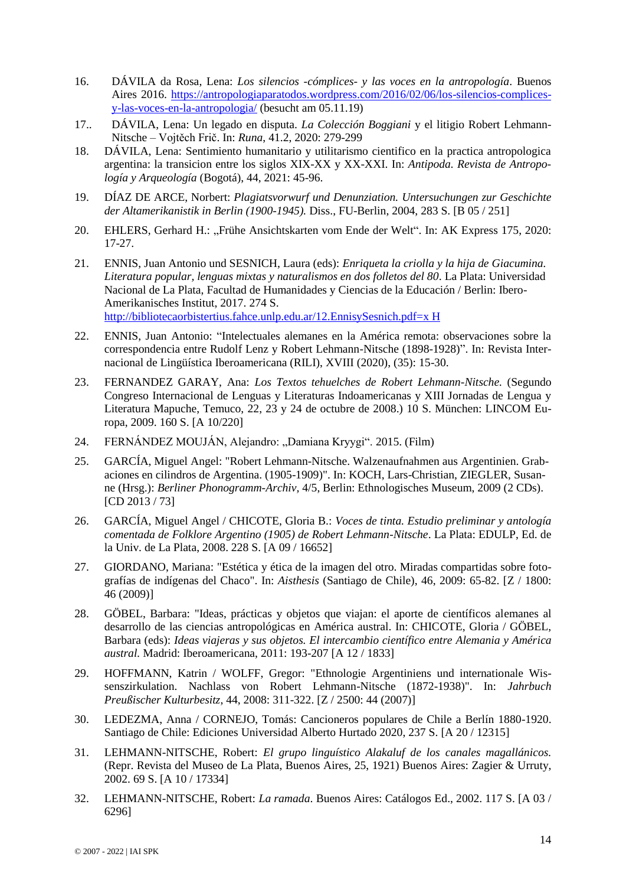- 16. DÁVILA da Rosa, Lena: *Los silencios -cómplices- y las voces en la antropología*. Buenos Aires 2016. [https://antropologiaparatodos.wordpress.com/2016/02/06/los-silencios-complices](https://antropologiaparatodos.wordpress.com/2016/02/06/los-silencios-complices-y-las-voces-en-la-antropologia/)[y-las-voces-en-la-antropologia/](https://antropologiaparatodos.wordpress.com/2016/02/06/los-silencios-complices-y-las-voces-en-la-antropologia/) (besucht am 05.11.19)
- 17.. DÁVILA, Lena: Un legado en disputa. *La Colección Boggiani* y el litigio Robert Lehmann-Nitsche – Vojtěch Frič. In: *Runa*, 41.2, 2020: 279-299
- 18. DÁVILA, Lena: Sentimiento humanitario y utilitarismo cientifico en la practica antropologica argentina: la transicion entre los siglos XIX-XX y XX-XXI. In: *Antipoda. Revista de Antropología y Arqueología* (Bogotá), 44, 2021: 45-96.
- 19. DÍAZ DE ARCE, Norbert: *Plagiatsvorwurf und Denunziation. Untersuchungen zur Geschichte der Altamerikanistik in Berlin (1900-1945).* Diss., FU-Berlin, 2004, 283 S. [B 05 / 251]
- 20. EHLERS, Gerhard H.: "Frühe Ansichtskarten vom Ende der Welt". In: AK Express 175, 2020: 17-27.
- 21. ENNIS, Juan Antonio und SESNICH, Laura (eds): *Enriqueta la criolla y la hija de Giacumina. Literatura popular, lenguas mixtas y naturalismos en dos folletos del 80*. La Plata: Universidad Nacional de La Plata, Facultad de Humanidades y Ciencias de la Educación / Berlin: Ibero-Amerikanisches Institut, 2017. 274 S. [http://bibliotecaorbistertius.fahce.unlp.edu.ar/12.EnnisySesnich.pdf=x H](http://bibliotecaorbistertius.fahce.unlp.edu.ar/12.EnnisySesnich.pdf=x%20H)
- 22. ENNIS, Juan Antonio: "Intelectuales alemanes en la América remota: observaciones sobre la correspondencia entre Rudolf Lenz y Robert Lehmann-Nitsche (1898-1928)". In: Revista Internacional de Lingüística Iberoamericana (RILI), XVIII (2020), (35): 15-30.
- 23. FERNANDEZ GARAY, Ana: *Los Textos tehuelches de Robert Lehmann-Nitsche.* (Segundo Congreso Internacional de Lenguas y Literaturas Indoamericanas y XIII Jornadas de Lengua y Literatura Mapuche, Temuco, 22, 23 y 24 de octubre de 2008.) 10 S. München: LINCOM Europa, 2009. 160 S. [A 10/220]
- 24. FERNÁNDEZ MOUJÁN, Alejandro: "Damiana Kryygi". 2015. (Film)
- 25. GARCÍA, Miguel Angel: "Robert Lehmann-Nitsche. Walzenaufnahmen aus Argentinien. Grabaciones en cilindros de Argentina. (1905-1909)". In: KOCH, Lars-Christian, ZIEGLER, Susanne (Hrsg.): *Berliner Phonogramm-Archiv,* 4/5, Berlin: Ethnologisches Museum, 2009 (2 CDs). [CD 2013 / 73]
- 26. GARCÍA, Miguel Angel / CHICOTE, Gloria B.: *Voces de tinta. Estudio preliminar y antología comentada de Folklore Argentino (1905) de Robert Lehmann-Nitsche*. La Plata: EDULP, Ed. de la Univ. de La Plata, 2008. 228 S. [A 09 / 16652]
- 27. GIORDANO, Mariana: "Estética y ética de la imagen del otro. Miradas compartidas sobre fotografías de indígenas del Chaco". In: *Aisthesis* (Santiago de Chile), 46, 2009: 65-82. [Z / 1800: 46 (2009)]
- 28. GÖBEL, Barbara: "Ideas, prácticas y objetos que viajan: el aporte de científicos alemanes al desarrollo de las ciencias antropológicas en América austral. In: CHICOTE, Gloria / GÖBEL, Barbara (eds): *Ideas viajeras y sus objetos. El intercambio científico entre Alemania y América austral.* Madrid: Iberoamericana, 2011: 193-207 [A 12 / 1833]
- 29. HOFFMANN, Katrin / WOLFF, Gregor: "Ethnologie Argentiniens und internationale Wissenszirkulation. Nachlass von Robert Lehmann-Nitsche (1872-1938)". In: *Jahrbuch Preußischer Kulturbesitz*, 44, 2008: 311-322. [Z / 2500: 44 (2007)]
- 30. LEDEZMA, Anna / CORNEJO, Tomás: Cancioneros populares de Chile a Berlín 1880-1920. Santiago de Chile: Ediciones Universidad Alberto Hurtado 2020, 237 S. [A 20 / 12315]
- 31. LEHMANN-NITSCHE, Robert: *El grupo linguístico Alakaluf de los canales magallánicos.* (Repr. Revista del Museo de La Plata, Buenos Aires, 25, 1921) Buenos Aires: Zagier & Urruty, 2002. 69 S. [A 10 / 17334]
- 32. LEHMANN-NITSCHE, Robert: *La ramada*. Buenos Aires: Catálogos Ed., 2002. 117 S. [A 03 / 6296]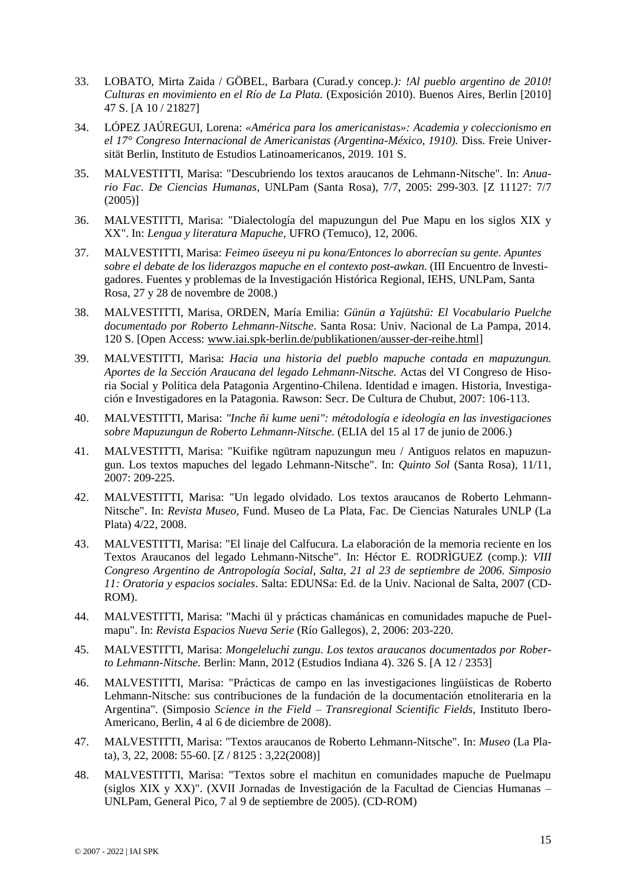- 33. LOBATO, Mirta Zaida / GÖBEL, Barbara (Curad.y concep*.): !Al pueblo argentino de 2010! Culturas en movimiento en el Río de La Plata.* (Exposición 2010). Buenos Aires, Berlin [2010] 47 S. [A 10 / 21827]
- 34. LÓPEZ JAÚREGUI, Lorena: *«América para los americanistas»: Academia y coleccionismo en el 17° Congreso Internacional de Americanistas (Argentina-México, 1910).* Diss. Freie Universität Berlin, Instituto de Estudios Latinoamericanos, 2019. 101 S.
- 35. MALVESTITTI, Marisa: "Descubriendo los textos araucanos de Lehmann-Nitsche". In: *Anuario Fac. De Ciencias Humanas*, UNLPam (Santa Rosa), 7/7, 2005: 299-303. [Z 11127: 7/7 (2005)]
- 36. MALVESTITTI, Marisa: "Dialectología del mapuzungun del Pue Mapu en los siglos XIX y XX". In: *Lengua y literatura Mapuche,* UFRO (Temuco), 12, 2006.
- 37. MALVESTITTI, Marisa: *Feimeo üseeyu ni pu kona/Entonces lo aborrecían su gente. Apuntes sobre el debate de los liderazgos mapuche en el contexto post-awkan*. (III Encuentro de Investigadores. Fuentes y problemas de la Investigación Histórica Regional, IEHS, UNLPam, Santa Rosa, 27 y 28 de novembre de 2008.)
- 38. MALVESTITTI, Marisa, ORDEN, María Emilia: *Günün a Yajütshü: El Vocabulario Puelche documentado por Roberto Lehmann-Nitsche*. Santa Rosa: Univ. Nacional de La Pampa, 2014. 120 S. [Open Access: [www.iai.spk-berlin.de/publikationen/ausser-der-reihe.html\]](http://www.iai.spk-berlin.de/publikationen/ausser-der-reihe.html)
- 39. MALVESTITTI, Marisa: *Hacia una historia del pueblo mapuche contada en mapuzungun. Aportes de la Sección Araucana del legado Lehmann-Nitsche.* Actas del VI Congreso de Hisoria Social y Política dela Patagonia Argentino-Chilena. Identidad e imagen. Historia, Investigación e Investigadores en la Patagonia. Rawson: Secr. De Cultura de Chubut, 2007: 106-113.
- 40. MALVESTITTI, Marisa: *"Inche ñi kume ueni": métodología e ideología en las investigaciones sobre Mapuzungun de Roberto Lehmann-Nitsche.* (ELIA del 15 al 17 de junio de 2006.)
- 41. MALVESTITTI, Marisa: "Kuifike ngütram napuzungun meu / Antiguos relatos en mapuzungun. Los textos mapuches del legado Lehmann-Nitsche". In: *Quinto Sol* (Santa Rosa), 11/11, 2007: 209-225.
- 42. MALVESTITTI, Marisa: "Un legado olvidado. Los textos araucanos de Roberto Lehmann-Nitsche". In: *Revista Museo,* Fund. Museo de La Plata, Fac. De Ciencias Naturales UNLP (La Plata) 4/22, 2008.
- 43. MALVESTITTI, Marisa: "El linaje del Calfucura. La elaboración de la memoria reciente en los Textos Araucanos del legado Lehmann-Nitsche". In: Héctor E. RODRÌGUEZ (comp.): *VIII Congreso Argentino de Antropología Social, Salta, 21 al 23 de septiembre de 2006. Simposio 11: Oratoria y espacios sociales*. Salta: EDUNSa: Ed. de la Univ. Nacional de Salta, 2007 (CD-ROM).
- 44. MALVESTITTI, Marisa: "Machi ül y prácticas chamánicas en comunidades mapuche de Puelmapu". In: *Revista Espacios Nueva Serie* (Río Gallegos), 2, 2006: 203-220.
- 45. MALVESTITTI, Marisa: *Mongeleluchi zungu. Los textos araucanos documentados por Roberto Lehmann-Nitsche.* Berlin: Mann, 2012 (Estudios Indiana 4). 326 S. [A 12 / 2353]
- 46. MALVESTITTI, Marisa: "Prácticas de campo en las investigaciones lingüísticas de Roberto Lehmann-Nitsche: sus contribuciones de la fundación de la documentación etnoliteraria en la Argentina"*.* (Simposio *Science in the Field – Transregional Scientific Fields*, Instituto Ibero-Americano, Berlin, 4 al 6 de diciembre de 2008).
- 47. MALVESTITTI, Marisa: "Textos araucanos de Roberto Lehmann-Nitsche". In: *Museo* (La Plata), 3, 22, 2008: 55-60. [Z / 8125 : 3,22(2008)]
- 48. MALVESTITTI, Marisa: "Textos sobre el machitun en comunidades mapuche de Puelmapu (siglos XIX y XX)". (XVII Jornadas de Investigación de la Facultad de Ciencias Humanas – UNLPam, General Pico, 7 al 9 de septiembre de 2005). (CD-ROM)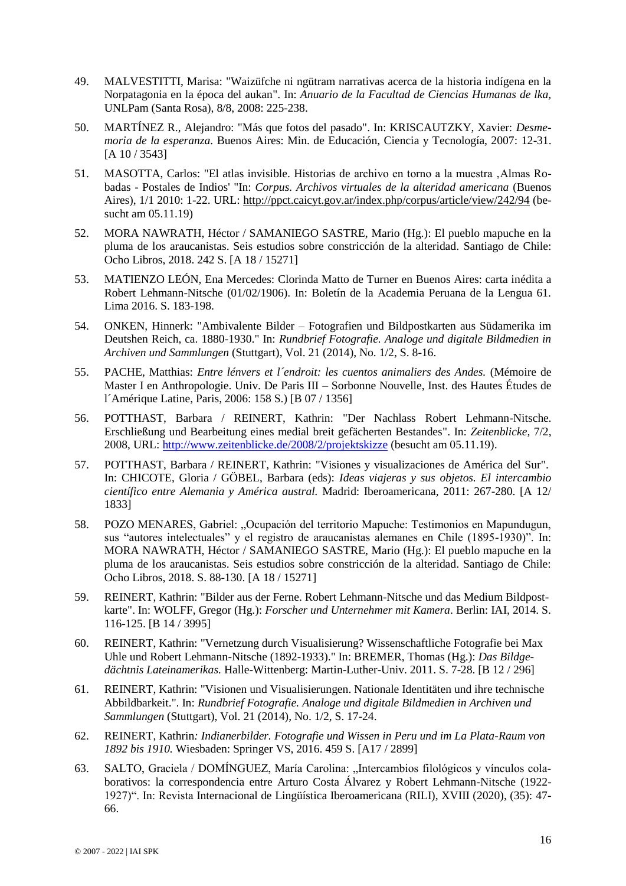- 49. MALVESTITTI, Marisa: "Waizüfche ni ngütram narrativas acerca de la historia indígena en la Norpatagonia en la época del aukan". In: *Anuario de la Facultad de Ciencias Humanas de lka,*  UNLPam (Santa Rosa), 8/8, 2008: 225-238.
- 50. MARTÍNEZ R., Alejandro: "Más que fotos del pasado". In: KRISCAUTZKY, Xavier: *Desmemoria de la esperanza*. Buenos Aires: Min. de Educación, Ciencia y Tecnología, 2007: 12-31. [A 10 / 3543]
- 51. MASOTTA, Carlos: "El atlas invisible. Historias de archivo en torno a la muestra 'Almas Robadas - Postales de Indios' "In: *Corpus. Archivos virtuales de la alteridad americana* (Buenos Aires), 1/1 2010: 1-22. URL:<http://ppct.caicyt.gov.ar/index.php/corpus/article/view/242/94> (besucht am 05.11.19)
- 52. MORA NAWRATH, Héctor / SAMANIEGO SASTRE, Mario (Hg.): El pueblo mapuche en la pluma de los araucanistas. Seis estudios sobre constricción de la alteridad. Santiago de Chile: Ocho Libros, 2018. 242 S. [A 18 / 15271]
- 53. MATIENZO LEÓN, Ena Mercedes: Clorinda Matto de Turner en Buenos Aires: carta inédita a Robert Lehmann-Nitsche (01/02/1906). In: Boletín de la Academia Peruana de la Lengua 61. Lima 2016. S. 183-198.
- 54. ONKEN, Hinnerk: "Ambivalente Bilder Fotografien und Bildpostkarten aus Südamerika im Deutshen Reich, ca. 1880-1930." In: *Rundbrief Fotografie. Analoge und digitale Bildmedien in Archiven und Sammlungen* (Stuttgart), Vol. 21 (2014), No. 1/2, S. 8-16.
- 55. PACHE, Matthias: *Entre lénvers et l´endroit: les cuentos animaliers des Andes.* (Mémoire de Master I en Anthropologie. Univ. De Paris III – Sorbonne Nouvelle, Inst. des Hautes Études de l´Amérique Latine, Paris, 2006: 158 S.) [B 07 / 1356]
- 56. POTTHAST, Barbara / REINERT, Kathrin: "Der Nachlass Robert Lehmann-Nitsche. Erschließung und Bearbeitung eines medial breit gefächerten Bestandes". In: *Zeitenblicke,* 7/2, 2008, URL:<http://www.zeitenblicke.de/2008/2/projektskizze> (besucht am 05.11.19).
- 57. POTTHAST, Barbara / REINERT, Kathrin: "Visiones y visualizaciones de América del Sur". In: CHICOTE, Gloria / GÖBEL, Barbara (eds): *Ideas viajeras y sus objetos. El intercambio científico entre Alemania y América austral.* Madrid: Iberoamericana, 2011: 267-280. [A 12/ 1833]
- 58. POZO MENARES, Gabriel: "Ocupación del territorio Mapuche: Testimonios en Mapundugun, sus "autores intelectuales" y el registro de araucanistas alemanes en Chile (1895-1930)". In: MORA NAWRATH, Héctor / SAMANIEGO SASTRE, Mario (Hg.): El pueblo mapuche en la pluma de los araucanistas. Seis estudios sobre constricción de la alteridad. Santiago de Chile: Ocho Libros, 2018. S. 88-130. [A 18 / 15271]
- 59. REINERT, Kathrin: "Bilder aus der Ferne. Robert Lehmann-Nitsche und das Medium Bildpostkarte". In: WOLFF, Gregor (Hg.): *Forscher und Unternehmer mit Kamera*. Berlin: IAI, 2014. S. 116-125. [B 14 / 3995]
- 60. REINERT, Kathrin: "Vernetzung durch Visualisierung? Wissenschaftliche Fotografie bei Max Uhle und Robert Lehmann-Nitsche (1892-1933)." In: BREMER, Thomas (Hg.): *Das Bildgedächtnis Lateinamerikas.* Halle-Wittenberg: Martin-Luther-Univ. 2011. S. 7-28. [B 12 / 296]
- 61. REINERT, Kathrin: "Visionen und Visualisierungen. Nationale Identitäten und ihre technische Abbildbarkeit.". In: *Rundbrief Fotografie. Analoge und digitale Bildmedien in Archiven und Sammlungen* (Stuttgart), Vol. 21 (2014), No. 1/2, S. 17-24.
- 62. REINERT, Kathrin*: Indianerbilder. Fotografie und Wissen in Peru und im La Plata-Raum von 1892 bis 1910.* Wiesbaden: Springer VS, 2016. 459 S. [A17 / 2899]
- 63. SALTO, Graciela / DOMÍNGUEZ, María Carolina: "Intercambios filológicos y vínculos colaborativos: la correspondencia entre Arturo Costa Álvarez y Robert Lehmann-Nitsche (1922- 1927)". In: Revista Internacional de Lingüística Iberoamericana (RILI), XVIII (2020), (35): 47- 66.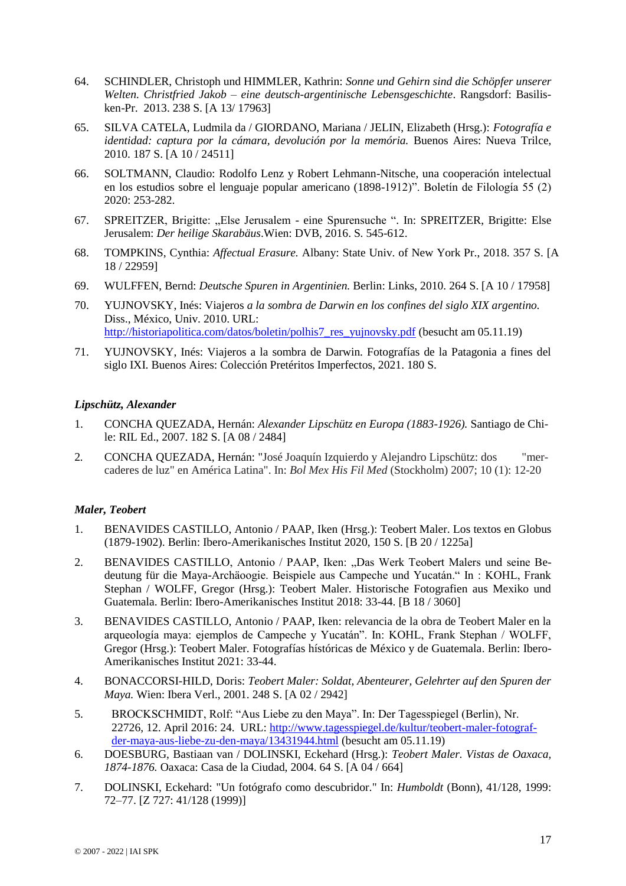- 64. SCHINDLER, Christoph und HIMMLER, Kathrin: *Sonne und Gehirn sind die Schöpfer unserer Welten. Christfried Jakob – eine deutsch-argentinische Lebensgeschichte*. Rangsdorf: Basilisken-Pr. 2013. 238 S. [A 13/ 17963]
- 65. SILVA CATELA, Ludmila da / GIORDANO, Mariana / JELIN, Elizabeth (Hrsg.): *Fotografía e identidad: captura por la cámara, devolución por la memória. Buenos Aires: Nueva Trilce,* 2010. 187 S. [A 10 / 24511]
- 66. SOLTMANN, Claudio: Rodolfo Lenz y Robert Lehmann-Nitsche, una cooperación intelectual en los estudios sobre el lenguaje popular americano (1898-1912)". Boletín de Filología 55 (2) 2020: 253-282.
- 67. SPREITZER, Brigitte: "Else Jerusalem eine Spurensuche ". In: SPREITZER, Brigitte: Else Jerusalem: *Der heilige Skarabäus*.Wien: DVB, 2016. S. 545-612.
- 68. TOMPKINS, Cynthia: *Affectual Erasure.* Albany: State Univ. of New York Pr., 2018. 357 S. [A 18 / 22959]
- 69. WULFFEN, Bernd: *Deutsche Spuren in Argentinien.* Berlin: Links, 2010. 264 S. [A 10 / 17958]
- 70. YUJNOVSKY, Inés: Viajeros *a la sombra de Darwin en los confines del siglo XIX argentino.*  Diss., México, Univ. 2010. URL: [http://historiapolitica.com/datos/boletin/polhis7\\_res\\_yujnovsky.pdf](http://historiapolitica.com/datos/boletin/polhis7_res_yujnovsky.pdf) (besucht am 05.11.19)
- 71. YUJNOVSKY, Inés: Viajeros a la sombra de Darwin. Fotografías de la Patagonia a fines del siglo IXI. Buenos Aires: Colección Pretéritos Imperfectos, 2021. 180 S.

#### *Lipschütz, Alexander*

- 1. CONCHA QUEZADA, Hernán: *Alexander Lipschütz en Europa (1883-1926).* Santiago de Chile: RIL Ed., 2007. 182 S. [A 08 / 2484]
- 2*.* CONCHA QUEZADA, Hernán: "José Joaquín Izquierdo y Alejandro Lipschütz: dos "mercaderes de luz" en América Latina". In: *Bol Mex His Fil Med* (Stockholm) 2007; 10 (1): 12-20

#### *Maler, Teobert*

- 1. BENAVIDES CASTILLO, Antonio / PAAP, Iken (Hrsg.): Teobert Maler. Los textos en Globus (1879-1902). Berlin: Ibero-Amerikanisches Institut 2020, 150 S. [B 20 / 1225a]
- 2. BENAVIDES CASTILLO, Antonio / PAAP, Iken: "Das Werk Teobert Malers und seine Bedeutung für die Maya-Archäoogie. Beispiele aus Campeche und Yucatán." In : KOHL, Frank Stephan / WOLFF, Gregor (Hrsg.): Teobert Maler. Historische Fotografien aus Mexiko und Guatemala. Berlin: Ibero-Amerikanisches Institut 2018: 33-44. [B 18 / 3060]
- 3. BENAVIDES CASTILLO, Antonio / PAAP, Iken: relevancia de la obra de Teobert Maler en la arqueología maya: ejemplos de Campeche y Yucatán". In: KOHL, Frank Stephan / WOLFF, Gregor (Hrsg.): Teobert Maler. Fotografías hístóricas de México y de Guatemala. Berlin: Ibero-Amerikanisches Institut 2021: 33-44.
- 4. BONACCORSI-HILD, Doris: *Teobert Maler: Soldat, Abenteurer, Gelehrter auf den Spuren der Maya.* Wien: Ibera Verl., 2001. 248 S. [A 02 / 2942]
- 5. BROCKSCHMIDT, Rolf: "Aus Liebe zu den Maya". In: Der Tagesspiegel (Berlin), Nr. 22726, 12. April 2016: 24. URL: [http://www.tagesspiegel.de/kultur/teobert-maler-fotograf](http://www.tagesspiegel.de/kultur/teobert-maler-fotograf-der-maya-aus-liebe-zu-den-maya/13431944.html)[der-maya-aus-liebe-zu-den-maya/13431944.html](http://www.tagesspiegel.de/kultur/teobert-maler-fotograf-der-maya-aus-liebe-zu-den-maya/13431944.html) (besucht am 05.11.19)
- 6. DOESBURG, Bastiaan van / DOLINSKI, Eckehard (Hrsg.): *Teobert Maler. Vistas de Oaxaca, 1874-1876.* Oaxaca: Casa de la Ciudad, 2004. 64 S. [A 04 / 664]
- 7. DOLINSKI, Eckehard: "Un fotógrafo como descubridor." In: *Humboldt* (Bonn), 41/128, 1999: 72–77. [Z 727: 41/128 (1999)]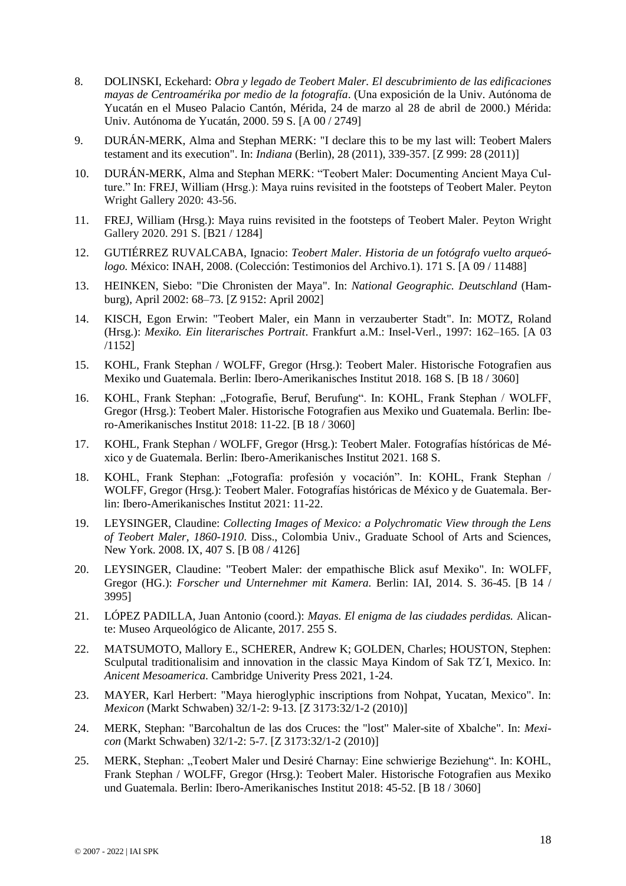- 8. DOLINSKI, Eckehard: *Obra y legado de Teobert Maler. El descubrimiento de las edificaciones mayas de Centroamérika por medio de la fotografía*. (Una exposición de la Univ. Autónoma de Yucatán en el Museo Palacio Cantón, Mérida, 24 de marzo al 28 de abril de 2000.) Mérida: Univ. Autónoma de Yucatán, 2000. 59 S. [A 00 / 2749]
- 9. DURÁN-MERK, Alma and Stephan MERK: "I declare this to be my last will: Teobert Malers testament and its execution". In: *Indiana* (Berlin), 28 (2011), 339-357. [Z 999: 28 (2011)]
- 10. DURÁN-MERK, Alma and Stephan MERK: "Teobert Maler: Documenting Ancient Maya Culture." In: FREJ, William (Hrsg.): Maya ruins revisited in the footsteps of Teobert Maler. Peyton Wright Gallery 2020: 43-56.
- 11. FREJ, William (Hrsg.): Maya ruins revisited in the footsteps of Teobert Maler. Peyton Wright Gallery 2020. 291 S. [B21 / 1284]
- 12. GUTIÉRREZ RUVALCABA, Ignacio: *Teobert Maler. Historia de un fotógrafo vuelto arqueólogo.* México: INAH, 2008. (Colección: Testimonios del Archivo.1). 171 S. [A 09 / 11488]
- 13. HEINKEN, Siebo: "Die Chronisten der Maya". In: *National Geographic. Deutschland* (Hamburg), April 2002: 68–73. [Z 9152: April 2002]
- 14. KISCH, Egon Erwin: "Teobert Maler, ein Mann in verzauberter Stadt". In: MOTZ, Roland (Hrsg.): *Mexiko. Ein literarisches Portrait*. Frankfurt a.M.: Insel-Verl., 1997: 162–165. [A 03 /1152]
- 15. KOHL, Frank Stephan / WOLFF, Gregor (Hrsg.): Teobert Maler. Historische Fotografien aus Mexiko und Guatemala. Berlin: Ibero-Amerikanisches Institut 2018. 168 S. [B 18 / 3060]
- 16. KOHL, Frank Stephan: "Fotografie, Beruf, Berufung". In: KOHL, Frank Stephan / WOLFF, Gregor (Hrsg.): Teobert Maler. Historische Fotografien aus Mexiko und Guatemala. Berlin: Ibero-Amerikanisches Institut 2018: 11-22. [B 18 / 3060]
- 17. KOHL, Frank Stephan / WOLFF, Gregor (Hrsg.): Teobert Maler. Fotografías hístóricas de México y de Guatemala. Berlin: Ibero-Amerikanisches Institut 2021. 168 S.
- 18. KOHL, Frank Stephan: "Fotografía: profesión y vocación". In: KOHL, Frank Stephan / WOLFF, Gregor (Hrsg.): Teobert Maler. Fotografías históricas de México y de Guatemala. Berlin: Ibero-Amerikanisches Institut 2021: 11-22.
- 19. LEYSINGER, Claudine: *Collecting Images of Mexico: a Polychromatic View through the Lens of Teobert Maler, 1860-1910*. Diss., Colombia Univ., Graduate School of Arts and Sciences, New York. 2008. IX, 407 S. [B 08 / 4126]
- 20. LEYSINGER, Claudine: "Teobert Maler: der empathische Blick asuf Mexiko". In: WOLFF, Gregor (HG.): *Forscher und Unternehmer mit Kamera.* Berlin: IAI, 2014. S. 36-45. [B 14 / 3995]
- 21. LÓPEZ PADILLA, Juan Antonio (coord.): *Mayas. El enigma de las ciudades perdidas.* Alicante: Museo Arqueológico de Alicante, 2017. 255 S.
- 22. MATSUMOTO, Mallory E., SCHERER, Andrew K; GOLDEN, Charles; HOUSTON, Stephen: Sculputal traditionalisim and innovation in the classic Maya Kindom of Sak TZ´I, Mexico. In: *Anicent Mesoamerica.* Cambridge Univerity Press 2021, 1-24.
- 23. MAYER, Karl Herbert: "Maya hieroglyphic inscriptions from Nohpat, Yucatan, Mexico". In: *Mexicon* (Markt Schwaben) 32/1-2: 9-13. [Z 3173:32/1-2 (2010)]
- 24. MERK, Stephan: "Barcohaltun de las dos Cruces: the "lost" Maler-site of Xbalche". In: *Mexicon* (Markt Schwaben) 32/1-2: 5-7. [Z 3173:32/1-2 (2010)]
- 25. MERK, Stephan: "Teobert Maler und Desiré Charnay: Eine schwierige Beziehung". In: KOHL, Frank Stephan / WOLFF, Gregor (Hrsg.): Teobert Maler. Historische Fotografien aus Mexiko und Guatemala. Berlin: Ibero-Amerikanisches Institut 2018: 45-52. [B 18 / 3060]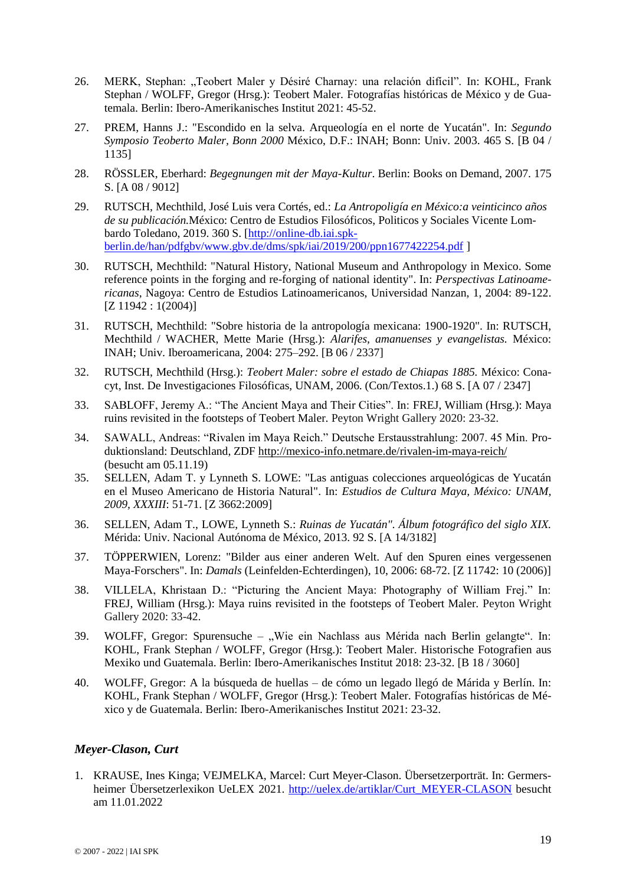- 26. MERK, Stephan: "Teobert Maler y Désiré Charnay: una relación difícil". In: KOHL, Frank Stephan / WOLFF, Gregor (Hrsg.): Teobert Maler. Fotografías históricas de México y de Guatemala. Berlin: Ibero-Amerikanisches Institut 2021: 45-52.
- 27. PREM, Hanns J.: "Escondido en la selva. Arqueología en el norte de Yucatán". In: *Segundo Symposio Teoberto Maler, Bonn 2000* México, D.F.: INAH; Bonn: Univ. 2003. 465 S. [B 04 / 1135]
- 28. RÖSSLER, Eberhard: *Begegnungen mit der Maya-Kultur*. Berlin: Books on Demand, 2007. 175 S. [A 08 / 9012]
- 29. RUTSCH, Mechthild, José Luis vera Cortés, ed.: *La Antropoligía en México:a veinticinco años de su publicación.*México: Centro de Estudios Filosóficos, Politicos y Sociales Vicente Lombardo Toledano, 2019. 360 S. [\[http://online-db.iai.spk](http://online-db.iai.spk-berlin.de/han/pdfgbv/www.gbv.de/dms/spk/iai/2019/200/ppn1677422254.pdf)[berlin.de/han/pdfgbv/www.gbv.de/dms/spk/iai/2019/200/ppn1677422254.pdf](http://online-db.iai.spk-berlin.de/han/pdfgbv/www.gbv.de/dms/spk/iai/2019/200/ppn1677422254.pdf) ]
- 30. RUTSCH, Mechthild: "Natural History, National Museum and Anthropology in Mexico. Some reference points in the forging and re-forging of national identity". In: *Perspectivas Latinoamericanas*, Nagoya: Centro de Estudios Latinoamericanos, Universidad Nanzan, 1, 2004: 89-122. [Z 11942 : 1(2004)]
- 31. RUTSCH, Mechthild: "Sobre historia de la antropología mexicana: 1900-1920". In: RUTSCH, Mechthild / WACHER, Mette Marie (Hrsg.): *Alarifes, amanuenses y evangelistas.* México: INAH; Univ. Iberoamericana, 2004: 275–292. [B 06 / 2337]
- 32. RUTSCH, Mechthild (Hrsg.): *Teobert Maler: sobre el estado de Chiapas 1885.* México: Conacyt, Inst. De Investigaciones Filosóficas, UNAM, 2006. (Con/Textos.1.) 68 S. [A 07 / 2347]
- 33. SABLOFF, Jeremy A.: "The Ancient Maya and Their Cities". In: FREJ, William (Hrsg.): Maya ruins revisited in the footsteps of Teobert Maler. Peyton Wright Gallery 2020: 23-32.
- 34. SAWALL, Andreas: "Rivalen im Maya Reich." Deutsche Erstausstrahlung: 2007. 45 Min. Produktionsland: Deutschland, ZDF<http://mexico-info.netmare.de/rivalen-im-maya-reich/> (besucht am 05.11.19)
- 35. SELLEN, Adam T. y Lynneth S. LOWE: "Las antiguas colecciones arqueológicas de Yucatán en el Museo Americano de Historia Natural". In: *Estudios de Cultura Maya, México: UNAM, 2009, XXXIII*: 51-71. [Z 3662:2009]
- 36. SELLEN, Adam T., LOWE, Lynneth S.: *Ruinas de Yucatán". Álbum fotográfico del siglo XIX.*  Mérida: Univ. Nacional Autónoma de México, 2013. 92 S. [A 14/3182]
- 37. TÖPPERWIEN, Lorenz: "Bilder aus einer anderen Welt. Auf den Spuren eines vergessenen Maya-Forschers". In: *Damals* (Leinfelden-Echterdingen)*,* 10, 2006: 68-72. [Z 11742: 10 (2006)]
- 38. VILLELA, Khristaan D.: "Picturing the Ancient Maya: Photography of William Frej." In: FREJ, William (Hrsg.): Maya ruins revisited in the footsteps of Teobert Maler. Peyton Wright Gallery 2020: 33-42.
- 39. WOLFF, Gregor: Spurensuche "Wie ein Nachlass aus Mérida nach Berlin gelangte". In: KOHL, Frank Stephan / WOLFF, Gregor (Hrsg.): Teobert Maler. Historische Fotografien aus Mexiko und Guatemala. Berlin: Ibero-Amerikanisches Institut 2018: 23-32. [B 18 / 3060]
- 40. WOLFF, Gregor: A la búsqueda de huellas de cómo un legado llegó de Márida y Berlín. In: KOHL, Frank Stephan / WOLFF, Gregor (Hrsg.): Teobert Maler. Fotografías históricas de México y de Guatemala. Berlin: Ibero-Amerikanisches Institut 2021: 23-32.

# *Meyer-Clason, Curt*

1. KRAUSE, Ines Kinga; VEJMELKA, Marcel: Curt Meyer-Clason. Übersetzerporträt. In: Germersheimer Übersetzerlexikon UeLEX 2021. [http://uelex.de/artiklar/Curt\\_MEYER-CLASON](http://uelex.de/artiklar/Curt_MEYER-CLASON) besucht am 11.01.2022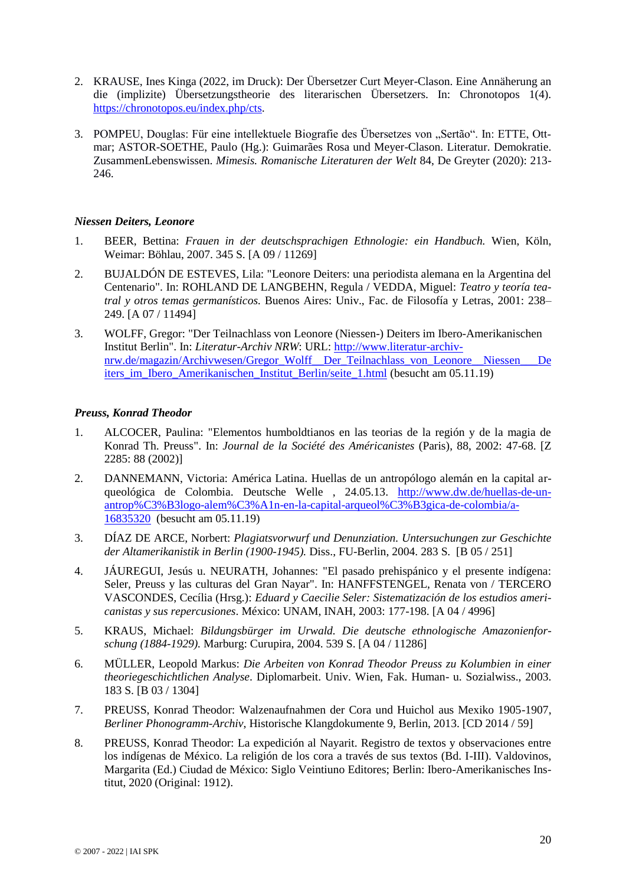- 2. KRAUSE, Ines Kinga (2022, im Druck): Der Übersetzer Curt Meyer-Clason. Eine Annäherung an die (implizite) Übersetzungstheorie des literarischen Übersetzers. In: Chronotopos 1(4). [https://chronotopos.eu/index.php/cts.](https://chronotopos.eu/index.php/cts)
- 3. POMPEU, Douglas: Für eine intellektuele Biografie des Übersetzes von "Sertão". In: ETTE, Ottmar; ASTOR-SOETHE, Paulo (Hg.): Guimarães Rosa und Meyer-Clason. Literatur. Demokratie. ZusammenLebenswissen. *Mimesis. Romanische Literaturen der Welt* 84, De Greyter (2020): 213- 246.

### *Niessen Deiters, Leonore*

- 1. BEER, Bettina: *Frauen in der deutschsprachigen Ethnologie: ein Handbuch.* Wien, Köln, Weimar: Böhlau, 2007. 345 S. [A 09 / 11269]
- 2. BUJALDÓN DE ESTEVES, Lila: "Leonore Deiters: una periodista alemana en la Argentina del Centenario". In: ROHLAND DE LANGBEHN, Regula / VEDDA, Miguel: *Teatro y teoría teatral y otros temas germanísticos.* Buenos Aires: Univ., Fac. de Filosofía y Letras, 2001: 238– 249. [A 07 / 11494]
- 3. WOLFF, Gregor: "Der Teilnachlass von Leonore (Niessen-) Deiters im Ibero-Amerikanischen Institut Berlin". In: *Literatur-Archiv NRW*: URL: [http://www.literatur-archiv](http://www.literatur-archiv-nrw.de/magazin/Archivwesen/Gregor_Wolff__Der_Teilnachlass_von_Leonore__Niessen___Deiters_im_Ibero_Amerikanischen_Institut_Berlin/seite_1.html)[nrw.de/magazin/Archivwesen/Gregor\\_Wolff\\_\\_Der\\_Teilnachlass\\_von\\_Leonore\\_\\_Niessen\\_\\_\\_De](http://www.literatur-archiv-nrw.de/magazin/Archivwesen/Gregor_Wolff__Der_Teilnachlass_von_Leonore__Niessen___Deiters_im_Ibero_Amerikanischen_Institut_Berlin/seite_1.html) [iters\\_im\\_Ibero\\_Amerikanischen\\_Institut\\_Berlin/seite\\_1.html](http://www.literatur-archiv-nrw.de/magazin/Archivwesen/Gregor_Wolff__Der_Teilnachlass_von_Leonore__Niessen___Deiters_im_Ibero_Amerikanischen_Institut_Berlin/seite_1.html) (besucht am 05.11.19)

# *Preuss, Konrad Theodor*

- 1. ALCOCER, Paulina: "Elementos humboldtianos en las teorias de la región y de la magia de Konrad Th. Preuss". In: *Journal de la Société des Américanistes* (Paris), 88, 2002: 47-68. [Z 2285: 88 (2002)]
- 2. DANNEMANN, Victoria: América Latina. Huellas de un antropólogo alemán en la capital arqueológica de Colombia. Deutsche Welle , 24.05.13. [http://www.dw.de/huellas-de-un](http://www.dw.de/huellas-de-un-antrop%C3%B3logo-alem%C3%A1n-en-la-capital-arqueol%C3%B3gica-de-colombia/a-16835320)[antrop%C3%B3logo-alem%C3%A1n-en-la-capital-arqueol%C3%B3gica-de-colombia/a-](http://www.dw.de/huellas-de-un-antrop%C3%B3logo-alem%C3%A1n-en-la-capital-arqueol%C3%B3gica-de-colombia/a-16835320)[16835320](http://www.dw.de/huellas-de-un-antrop%C3%B3logo-alem%C3%A1n-en-la-capital-arqueol%C3%B3gica-de-colombia/a-16835320) (besucht am 05.11.19)
- 3. DÍAZ DE ARCE, Norbert: *Plagiatsvorwurf und Denunziation. Untersuchungen zur Geschichte der Altamerikanistik in Berlin (1900-1945).* Diss., FU-Berlin, 2004. 283 S. [B 05 / 251]
- 4. JÁUREGUI, Jesús u. NEURATH, Johannes: "El pasado prehispánico y el presente indígena: Seler, Preuss y las culturas del Gran Nayar". In: HANFFSTENGEL, Renata von / TERCERO VASCONDES, Cecília (Hrsg.): *Eduard y Caecilie Seler: Sistematización de los estudios americanistas y sus repercusiones*. México: UNAM, INAH, 2003: 177-198. [A 04 / 4996]
- 5. KRAUS, Michael: *Bildungsbürger im Urwald. Die deutsche ethnologische Amazonienforschung (1884-1929).* Marburg: Curupira, 2004. 539 S. [A 04 / 11286]
- 6. MÜLLER, Leopold Markus: *Die Arbeiten von Konrad Theodor Preuss zu Kolumbien in einer theoriegeschichtlichen Analyse*. Diplomarbeit. Univ. Wien, Fak. Human- u. Sozialwiss., 2003. 183 S. [B 03 / 1304]
- 7. PREUSS, Konrad Theodor: Walzenaufnahmen der Cora und Huichol aus Mexiko 1905-1907, *Berliner Phonogramm-Archiv*, Historische Klangdokumente 9, Berlin, 2013. [CD 2014 / 59]
- 8. PREUSS, Konrad Theodor: La expedición al Nayarit. Registro de textos y observaciones entre los indígenas de México. La religión de los cora a través de sus textos (Bd. I-III). Valdovinos, Margarita (Ed.) Ciudad de México: Siglo Veintiuno Editores; Berlin: Ibero-Amerikanisches Institut, 2020 (Original: 1912).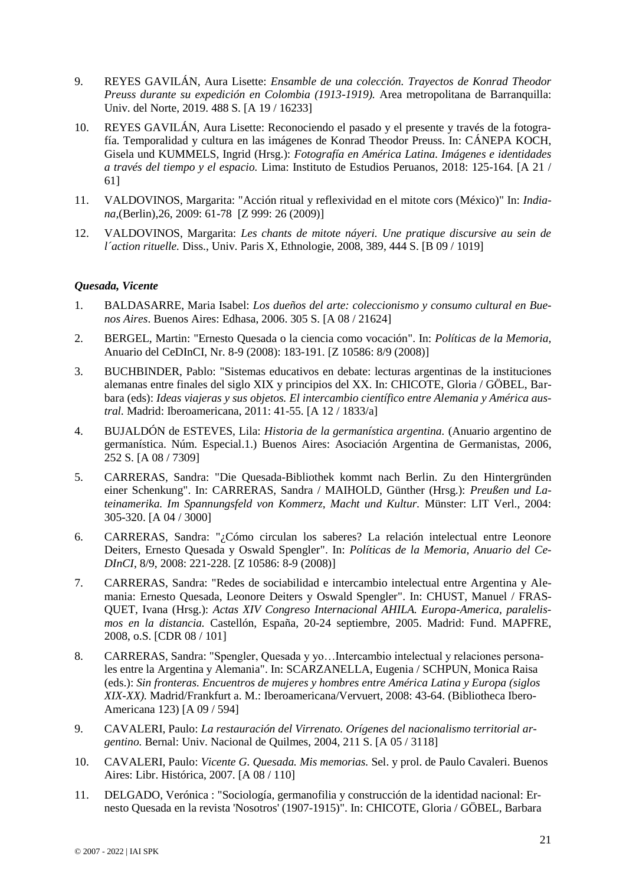- 9. REYES GAVILÁN, Aura Lisette: *Ensamble de una colección. Trayectos de Konrad Theodor Preuss durante su expedición en Colombia (1913-1919).* Area metropolitana de Barranquilla: Univ. del Norte, 2019. 488 S. [A 19 / 16233]
- 10. REYES GAVILÁN, Aura Lisette: Reconociendo el pasado y el presente y través de la fotografía. Temporalidad y cultura en las imágenes de Konrad Theodor Preuss. In: CÁNEPA KOCH, Gisela und KUMMELS, Ingrid (Hrsg.): *Fotografía en América Latina. Imágenes e identidades a través del tiempo y el espacio.* Lima: Instituto de Estudios Peruanos, 2018: 125-164. [A 21 / 61]
- 11. VALDOVINOS, Margarita: "Acción ritual y reflexividad en el mitote cors (México)" In: *Indiana,*(Berlin),26, 2009: 61-78 [Z 999: 26 (2009)]
- 12. VALDOVINOS, Margarita: *Les chants de mitote náyeri. Une pratique discursive au sein de l´action rituelle.* Diss., Univ. Paris X, Ethnologie, 2008, 389, 444 S. [B 09 / 1019]

# *Quesada, Vicente*

- 1. BALDASARRE, Maria Isabel: *Los dueños del arte: coleccionismo y consumo cultural en Buenos Aires*. Buenos Aires: Edhasa, 2006. 305 S. [A 08 / 21624]
- 2. BERGEL, Martin: "Ernesto Quesada o la ciencia como vocación". In: *Políticas de la Memoria,*  Anuario del CeDInCI, Nr. 8-9 (2008): 183-191. [Z 10586: 8/9 (2008)]
- 3. BUCHBINDER, Pablo: "Sistemas educativos en debate: lecturas argentinas de la instituciones alemanas entre finales del siglo XIX y principios del XX. In: CHICOTE, Gloria / GÖBEL, Barbara (eds): *Ideas viajeras y sus objetos. El intercambio científico entre Alemania y América austral.* Madrid: Iberoamericana, 2011: 41-55. [A 12 / 1833/a]
- 4. BUJALDÓN de ESTEVES, Lila: *Historia de la germanística argentina.* (Anuario argentino de germanística. Núm. Especial.1.) Buenos Aires: Asociación Argentina de Germanistas, 2006, 252 S. [A 08 / 7309]
- 5. CARRERAS, Sandra: "Die Quesada-Bibliothek kommt nach Berlin. Zu den Hintergründen einer Schenkung". In: CARRERAS, Sandra / MAIHOLD, Günther (Hrsg.): *Preußen und Lateinamerika. Im Spannungsfeld von Kommerz, Macht und Kultur.* Münster: LIT Verl., 2004: 305-320. [A 04 / 3000]
- 6. CARRERAS, Sandra: "¿Cómo circulan los saberes? La relación intelectual entre Leonore Deiters, Ernesto Quesada y Oswald Spengler". In: *Políticas de la Memoria, Anuario del Ce-DInCI*, 8/9, 2008: 221-228. [Z 10586: 8-9 (2008)]
- 7. CARRERAS, Sandra: "Redes de sociabilidad e intercambio intelectual entre Argentina y Alemania: Ernesto Quesada, Leonore Deiters y Oswald Spengler". In: CHUST, Manuel / FRAS-QUET, Ivana (Hrsg.): *Actas XIV Congreso Internacional AHILA. Europa-America, paralelismos en la distancia.* Castellón, España, 20-24 septiembre, 2005. Madrid: Fund. MAPFRE, 2008, o.S. [CDR 08 / 101]
- 8. CARRERAS, Sandra: "Spengler, Quesada y yo…Intercambio intelectual y relaciones personales entre la Argentina y Alemania". In: SCARZANELLA, Eugenia / SCHPUN, Monica Raisa (eds.): *Sin fronteras. Encuentros de mujeres y hombres entre América Latina y Europa (siglos XIX-XX).* Madrid/Frankfurt a. M.: Iberoamericana/Vervuert, 2008: 43-64. (Bibliotheca Ibero-Americana 123) [A 09 / 594]
- 9. CAVALERI, Paulo: *La restauración del Virrenato. Orígenes del nacionalismo territorial argentino.* Bernal: Univ. Nacional de Quilmes, 2004, 211 S. [A 05 / 3118]
- 10. CAVALERI, Paulo: *Vicente G. Quesada. Mis memorias.* Sel. y prol. de Paulo Cavaleri. Buenos Aires: Libr. Histórica, 2007. [A 08 / 110]
- 11. DELGADO, Verónica : "Sociología, germanofilia y construcción de la identidad nacional: Ernesto Quesada en la revista 'Nosotros' (1907-1915)". In: CHICOTE, Gloria / GÖBEL, Barbara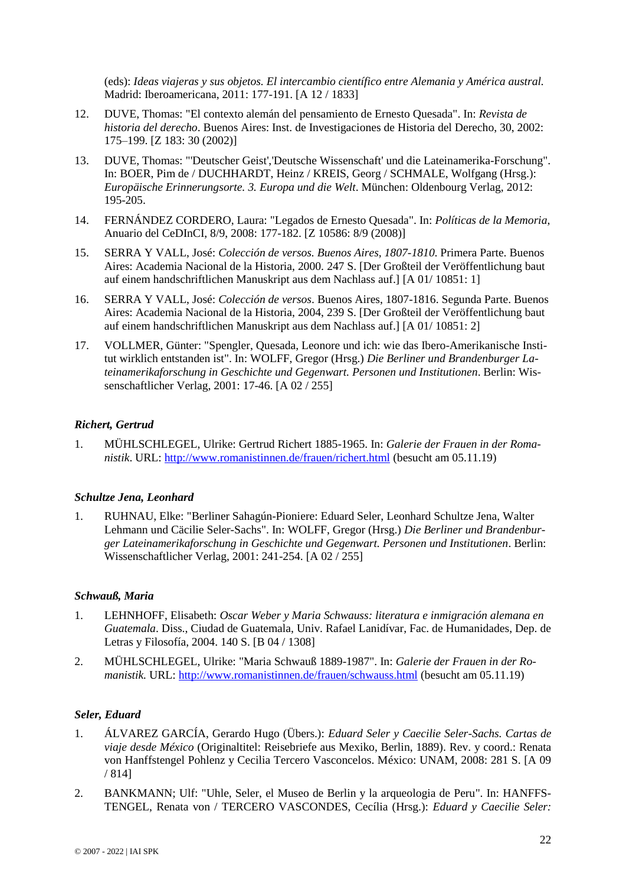(eds): *Ideas viajeras y sus objetos. El intercambio científico entre Alemania y América austral.* Madrid: Iberoamericana, 2011: 177-191. [A 12 / 1833]

- 12. DUVE, Thomas: "El contexto alemán del pensamiento de Ernesto Quesada". In: *Revista de historia del derecho*. Buenos Aires: Inst. de Investigaciones de Historia del Derecho, 30, 2002: 175–199. [Z 183: 30 (2002)]
- 13. DUVE, Thomas: "'Deutscher Geist','Deutsche Wissenschaft' und die Lateinamerika-Forschung". In: BOER, Pim de / DUCHHARDT, Heinz / KREIS, Georg / SCHMALE, Wolfgang (Hrsg.): *Europäische Erinnerungsorte. 3. Europa und die Welt*. München: Oldenbourg Verlag, 2012: 195-205.
- 14. FERNÁNDEZ CORDERO, Laura: "Legados de Ernesto Quesada". In: *Políticas de la Memoria*, Anuario del CeDInCI, 8/9, 2008: 177-182. [Z 10586: 8/9 (2008)]
- 15. SERRA Y VALL, José: *Colección de versos. Buenos Aires, 1807-1810*. Primera Parte. Buenos Aires: Academia Nacional de la Historia, 2000. 247 S. [Der Großteil der Veröffentlichung baut auf einem handschriftlichen Manuskript aus dem Nachlass auf.] [A 01/ 10851: 1]
- 16. SERRA Y VALL, José: *Colección de versos*. Buenos Aires, 1807-1816. Segunda Parte. Buenos Aires: Academia Nacional de la Historia, 2004, 239 S. [Der Großteil der Veröffentlichung baut auf einem handschriftlichen Manuskript aus dem Nachlass auf.] [A 01/ 10851: 2]
- 17. VOLLMER, Günter: "Spengler, Quesada, Leonore und ich: wie das Ibero-Amerikanische Institut wirklich entstanden ist". In: WOLFF, Gregor (Hrsg.) *Die Berliner und Brandenburger Lateinamerikaforschung in Geschichte und Gegenwart. Personen und Institutionen*. Berlin: Wissenschaftlicher Verlag, 2001: 17-46. [A 02 / 255]

# *Richert, Gertrud*

1. MÜHLSCHLEGEL, Ulrike: Gertrud Richert 1885-1965. In: *Galerie der Frauen in der Romanistik*. URL:<http://www.romanistinnen.de/frauen/richert.html> (besucht am 05.11.19)

### *Schultze Jena, Leonhard*

1. RUHNAU, Elke: "Berliner Sahagún-Pioniere: Eduard Seler, Leonhard Schultze Jena, Walter Lehmann und Cäcilie Seler-Sachs". In: WOLFF, Gregor (Hrsg.) *Die Berliner und Brandenburger Lateinamerikaforschung in Geschichte und Gegenwart. Personen und Institutionen*. Berlin: Wissenschaftlicher Verlag, 2001: 241-254. [A 02 / 255]

### *Schwauß, Maria*

- 1. LEHNHOFF, Elisabeth: *Oscar Weber y Maria Schwauss: literatura e inmigración alemana en Guatemala*. Diss., Ciudad de Guatemala, Univ. Rafael Lanidívar, Fac. de Humanidades, Dep. de Letras y Filosofía, 2004. 140 S. [B 04 / 1308]
- 2. MÜHLSCHLEGEL, Ulrike: "Maria Schwauß 1889-1987". In: *Galerie der Frauen in der Romanistik.* URL:<http://www.romanistinnen.de/frauen/schwauss.html> (besucht am 05.11.19)

### *Seler, Eduard*

- 1. ÁLVAREZ GARCÍA, Gerardo Hugo (Übers.): *Eduard Seler y Caecilie Seler-Sachs. Cartas de viaje desde México* (Originaltitel: Reisebriefe aus Mexiko, Berlin, 1889). Rev. y coord.: Renata von Hanffstengel Pohlenz y Cecilia Tercero Vasconcelos. México: UNAM, 2008: 281 S. [A 09 / 814]
- 2. BANKMANN; Ulf: "Uhle, Seler, el Museo de Berlin y la arqueologia de Peru". In: HANFFS-TENGEL, Renata von / TERCERO VASCONDES, Cecília (Hrsg.): *Eduard y Caecilie Seler:*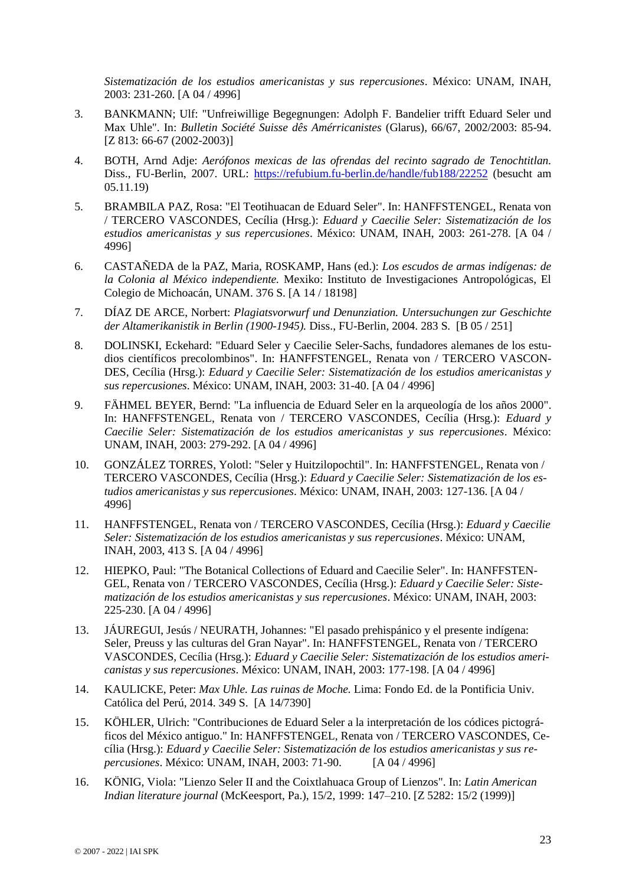*Sistematización de los estudios americanistas y sus repercusiones*. México: UNAM, INAH, 2003: 231-260. [A 04 / 4996]

- 3. BANKMANN; Ulf: "Unfreiwillige Begegnungen: Adolph F. Bandelier trifft Eduard Seler und Max Uhle". In: *Bulletin Société Suisse dês Amérricanistes* (Glarus), 66/67, 2002/2003: 85-94. [Z 813: 66-67 (2002-2003)]
- 4. BOTH, Arnd Adje: *Aerófonos mexicas de las ofrendas del recinto sagrado de Tenochtitlan.* Diss., FU-Berlin, 2007. URL:<https://refubium.fu-berlin.de/handle/fub188/22252> (besucht am 05.11.19)
- 5. BRAMBILA PAZ, Rosa: "El Teotihuacan de Eduard Seler". In: HANFFSTENGEL, Renata von / TERCERO VASCONDES, Cecília (Hrsg.): *Eduard y Caecilie Seler: Sistematización de los estudios americanistas y sus repercusiones*. México: UNAM, INAH, 2003: 261-278. [A 04 / 4996]
- 6. CASTAÑEDA de la PAZ, Maria, ROSKAMP, Hans (ed.): *Los escudos de armas indígenas: de la Colonia al México independiente.* Mexiko: Instituto de Investigaciones Antropológicas, El Colegio de Michoacán, UNAM. 376 S. [A 14 / 18198]
- 7. DÍAZ DE ARCE, Norbert: *Plagiatsvorwurf und Denunziation. Untersuchungen zur Geschichte der Altamerikanistik in Berlin (1900-1945).* Diss., FU-Berlin, 2004. 283 S. [B 05 / 251]
- 8. DOLINSKI, Eckehard: "Eduard Seler y Caecilie Seler-Sachs, fundadores alemanes de los estudios científicos precolombinos". In: HANFFSTENGEL, Renata von / TERCERO VASCON-DES, Cecília (Hrsg.): *Eduard y Caecilie Seler: Sistematización de los estudios americanistas y sus repercusiones*. México: UNAM, INAH, 2003: 31-40. [A 04 / 4996]
- 9. FÄHMEL BEYER, Bernd: "La influencia de Eduard Seler en la arqueología de los años 2000". In: HANFFSTENGEL, Renata von / TERCERO VASCONDES, Cecília (Hrsg.): *Eduard y Caecilie Seler: Sistematización de los estudios americanistas y sus repercusiones*. México: UNAM, INAH, 2003: 279-292. [A 04 / 4996]
- 10. GONZÁLEZ TORRES, Yolotl: "Seler y Huitzilopochtil". In: HANFFSTENGEL, Renata von / TERCERO VASCONDES, Cecília (Hrsg.): *Eduard y Caecilie Seler: Sistematización de los estudios americanistas y sus repercusiones*. México: UNAM, INAH, 2003: 127-136. [A 04 / 4996]
- 11. HANFFSTENGEL, Renata von / TERCERO VASCONDES, Cecília (Hrsg.): *Eduard y Caecilie Seler: Sistematización de los estudios americanistas y sus repercusiones*. México: UNAM, INAH, 2003, 413 S. [A 04 / 4996]
- 12. HIEPKO, Paul: "The Botanical Collections of Eduard and Caecilie Seler". In: HANFFSTEN-GEL, Renata von / TERCERO VASCONDES, Cecília (Hrsg.): *Eduard y Caecilie Seler: Sistematización de los estudios americanistas y sus repercusiones*. México: UNAM, INAH, 2003: 225-230. [A 04 / 4996]
- 13. JÁUREGUI, Jesús / NEURATH, Johannes: "El pasado prehispánico y el presente indígena: Seler, Preuss y las culturas del Gran Nayar". In: HANFFSTENGEL, Renata von / TERCERO VASCONDES, Cecília (Hrsg.): *Eduard y Caecilie Seler: Sistematización de los estudios americanistas y sus repercusiones*. México: UNAM, INAH, 2003: 177-198. [A 04 / 4996]
- 14. KAULICKE, Peter: *Max Uhle. Las ruinas de Moche.* Lima: Fondo Ed. de la Pontificia Univ. Católica del Perú, 2014. 349 S. [A 14/7390]
- 15. KÖHLER, Ulrich: "Contribuciones de Eduard Seler a la interpretación de los códices pictográficos del México antiguo." In: HANFFSTENGEL, Renata von / TERCERO VASCONDES, Cecília (Hrsg.): *Eduard y Caecilie Seler: Sistematización de los estudios americanistas y sus repercusiones*. México: UNAM, INAH, 2003: 71-90. [A 04 / 4996]
- 16. KÖNIG, Viola: "Lienzo Seler II and the Coixtlahuaca Group of Lienzos". In: *Latin American Indian literature journal* (McKeesport, Pa.), 15/2, 1999: 147–210. [Z 5282: 15/2 (1999)]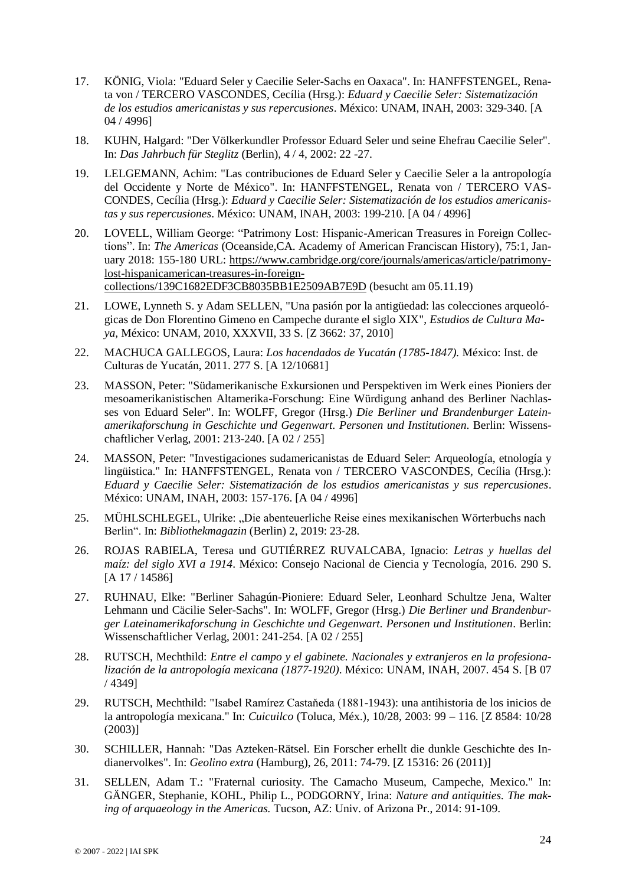- 17. KÖNIG, Viola: "Eduard Seler y Caecilie Seler-Sachs en Oaxaca". In: HANFFSTENGEL, Renata von / TERCERO VASCONDES, Cecília (Hrsg.): *Eduard y Caecilie Seler: Sistematización de los estudios americanistas y sus repercusiones*. México: UNAM, INAH, 2003: 329-340. [A 04 / 4996]
- 18. KUHN, Halgard: "Der Völkerkundler Professor Eduard Seler und seine Ehefrau Caecilie Seler". In: *Das Jahrbuch für Steglitz* (Berlin), 4 / 4, 2002: 22 -27.
- 19. LELGEMANN, Achim: "Las contribuciones de Eduard Seler y Caecilie Seler a la antropología del Occidente y Norte de México". In: HANFFSTENGEL, Renata von / TERCERO VAS-CONDES, Cecília (Hrsg.): *Eduard y Caecilie Seler: Sistematización de los estudios americanistas y sus repercusiones*. México: UNAM, INAH, 2003: 199-210. [A 04 / 4996]
- 20. LOVELL, William George: "Patrimony Lost: Hispanic-American Treasures in Foreign Collections". In: *The Americas* (Oceanside,CA. Academy of American Franciscan History), 75:1, January 2018: 155-180 URL: [https://www.cambridge.org/core/journals/americas/article/patrimony](https://www.cambridge.org/core/journals/americas/article/patrimony-lost-hispanicamerican-treasures-in-foreign-collections/139C1682EDF3CB8035BB1E2509AB7E9D)[lost-hispanicamerican-treasures-in-foreign](https://www.cambridge.org/core/journals/americas/article/patrimony-lost-hispanicamerican-treasures-in-foreign-collections/139C1682EDF3CB8035BB1E2509AB7E9D)[collections/139C1682EDF3CB8035BB1E2509AB7E9D](https://www.cambridge.org/core/journals/americas/article/patrimony-lost-hispanicamerican-treasures-in-foreign-collections/139C1682EDF3CB8035BB1E2509AB7E9D) (besucht am 05.11.19)
- 21. LOWE, Lynneth S. y Adam SELLEN, "Una pasión por la antigüedad: las colecciones arqueológicas de Don Florentino Gimeno en Campeche durante el siglo XIX", *Estudios de Cultura Maya,* México: UNAM, 2010, XXXVII*,* 33 S. [Z 3662: 37, 2010]
- 22. MACHUCA GALLEGOS, Laura: *Los hacendados de Yucatán (1785-1847).* México: Inst. de Culturas de Yucatán, 2011. 277 S. [A 12/10681]
- 23. MASSON, Peter: "Südamerikanische Exkursionen und Perspektiven im Werk eines Pioniers der mesoamerikanistischen Altamerika-Forschung: Eine Würdigung anhand des Berliner Nachlasses von Eduard Seler". In: WOLFF, Gregor (Hrsg.) *Die Berliner und Brandenburger Lateinamerikaforschung in Geschichte und Gegenwart. Personen und Institutionen*. Berlin: Wissenschaftlicher Verlag, 2001: 213-240. [A 02 / 255]
- 24. MASSON, Peter: "Investigaciones sudamericanistas de Eduard Seler: Arqueología, etnología y lingüistica." In: HANFFSTENGEL, Renata von / TERCERO VASCONDES, Cecília (Hrsg.): *Eduard y Caecilie Seler: Sistematización de los estudios americanistas y sus repercusiones*. México: UNAM, INAH, 2003: 157-176. [A 04 / 4996]
- 25. MÜHLSCHLEGEL, Ulrike: "Die abenteuerliche Reise eines mexikanischen Wörterbuchs nach Berlin". In: *Bibliothekmagazin* (Berlin) 2, 2019: 23-28.
- 26. ROJAS RABIELA, Teresa und GUTIÉRREZ RUVALCABA, Ignacio: *Letras y huellas del maíz: del siglo XVI a 1914*. México: Consejo Nacional de Ciencia y Tecnología, 2016. 290 S. [A 17 / 14586]
- 27. RUHNAU, Elke: "Berliner Sahagún-Pioniere: Eduard Seler, Leonhard Schultze Jena, Walter Lehmann und Cäcilie Seler-Sachs". In: WOLFF, Gregor (Hrsg.) *Die Berliner und Brandenburger Lateinamerikaforschung in Geschichte und Gegenwart. Personen und Institutionen*. Berlin: Wissenschaftlicher Verlag, 2001: 241-254. [A 02 / 255]
- 28. RUTSCH, Mechthild: *Entre el campo y el gabinete. Nacionales y extranjeros en la profesionalización de la antropología mexicana (1877-1920)*. México: UNAM, INAH, 2007. 454 S. [B 07 / 4349]
- 29. RUTSCH, Mechthild: "Isabel Ramírez Castaňeda (1881-1943): una antihistoria de los inicios de la antropología mexicana." In: *Cuicuilco* (Toluca, Méx.), 10/28, 2003: 99 – 116. [Z 8584: 10/28 (2003)]
- 30. SCHILLER, Hannah: "Das Azteken-Rätsel. Ein Forscher erhellt die dunkle Geschichte des Indianervolkes". In: *Geolino extra* (Hamburg), 26, 2011: 74-79. [Z 15316: 26 (2011)]
- 31. SELLEN, Adam T.: "Fraternal curiosity. The Camacho Museum, Campeche, Mexico." In: GÄNGER, Stephanie, KOHL, Philip L., PODGORNY, Irina: *Nature and antiquities. The making of arquaeology in the Americas.* Tucson, AZ: Univ. of Arizona Pr., 2014: 91-109.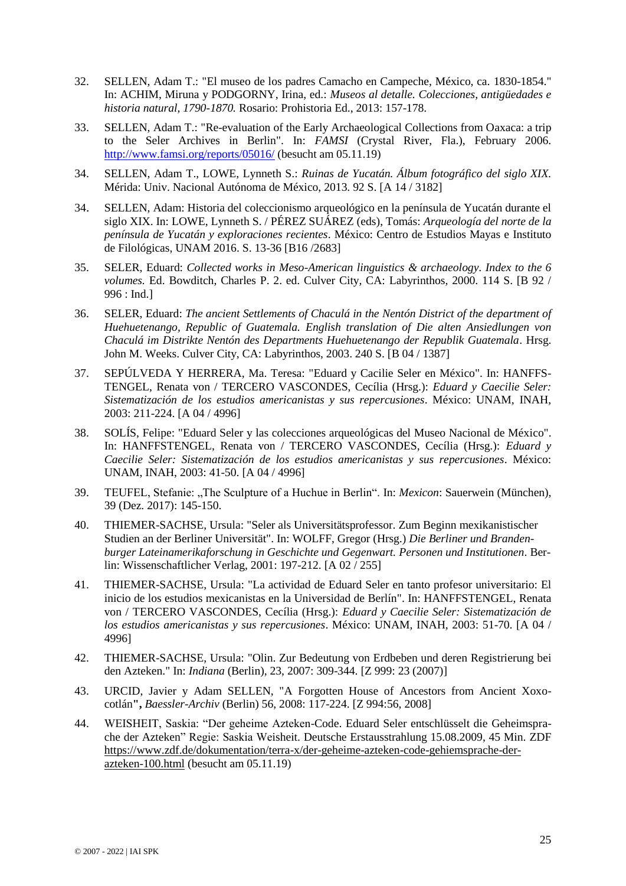- 32. SELLEN, Adam T.: "El museo de los padres Camacho en Campeche, México, ca. 1830-1854." In: ACHIM, Miruna y PODGORNY, Irina, ed.: *Museos al detalle. Colecciones, antigüedades e historia natural, 1790-1870.* Rosario: Prohistoria Ed., 2013: 157-178.
- 33. SELLEN, Adam T.: "Re-evaluation of the Early Archaeological Collections from Oaxaca: a trip to the Seler Archives in Berlin". In: *FAMSI* (Crystal River, Fla.), February 2006. <http://www.famsi.org/reports/05016/> (besucht am 05.11.19)
- 34. SELLEN, Adam T., LOWE, Lynneth S.: *Ruinas de Yucatán. Álbum fotográfico del siglo XIX.* Mérida: Univ. Nacional Autónoma de México, 2013. 92 S. [A 14 / 3182]
- 34. SELLEN, Adam: Historia del coleccionismo arqueológico en la península de Yucatán durante el siglo XIX. In: LOWE, Lynneth S. / PÉREZ SUÁREZ (eds), Tomás: *Arqueología del norte de la península de Yucatán y exploraciones recientes*. México: Centro de Estudios Mayas e Instituto de Filológicas, UNAM 2016. S. 13-36 [B16 /2683]
- 35. SELER, Eduard: *Collected works in Meso-American linguistics & archaeology. Index to the 6 volumes.* Ed. Bowditch, Charles P. 2. ed. Culver City, CA: Labyrinthos, 2000. 114 S. [B 92 / 996 : Ind.]
- 36. SELER, Eduard: *The ancient Settlements of Chaculá in the Nentón District of the department of Huehuetenango, Republic of Guatemala. English translation of Die alten Ansiedlungen von Chaculá im Distrikte Nentón des Departments Huehuetenango der Republik Guatemala*. Hrsg. John M. Weeks. Culver City, CA: Labyrinthos, 2003. 240 S. [B 04 / 1387]
- 37. SEPÚLVEDA Y HERRERA, Ma. Teresa: "Eduard y Cacilie Seler en México". In: HANFFS-TENGEL, Renata von / TERCERO VASCONDES, Cecília (Hrsg.): *Eduard y Caecilie Seler: Sistematización de los estudios americanistas y sus repercusiones*. México: UNAM, INAH, 2003: 211-224. [A 04 / 4996]
- 38. SOLÍS, Felipe: "Eduard Seler y las colecciones arqueológicas del Museo Nacional de México". In: HANFFSTENGEL, Renata von / TERCERO VASCONDES, Cecília (Hrsg.): *Eduard y Caecilie Seler: Sistematización de los estudios americanistas y sus repercusiones*. México: UNAM, INAH, 2003: 41-50. [A 04 / 4996]
- 39. TEUFEL, Stefanie: "The Sculpture of a Huchue in Berlin". In: *Mexicon*: Sauerwein (München), 39 (Dez. 2017): 145-150.
- 40. THIEMER-SACHSE, Ursula: "Seler als Universitätsprofessor. Zum Beginn mexikanistischer Studien an der Berliner Universität". In: WOLFF, Gregor (Hrsg.) *Die Berliner und Brandenburger Lateinamerikaforschung in Geschichte und Gegenwart. Personen und Institutionen*. Berlin: Wissenschaftlicher Verlag, 2001: 197-212. [A 02 / 255]
- 41. THIEMER-SACHSE, Ursula: "La actividad de Eduard Seler en tanto profesor universitario: El inicio de los estudios mexicanistas en la Universidad de Berlín". In: HANFFSTENGEL, Renata von / TERCERO VASCONDES, Cecília (Hrsg.): *Eduard y Caecilie Seler: Sistematización de los estudios americanistas y sus repercusiones*. México: UNAM, INAH, 2003: 51-70. [A 04 / 4996]
- 42. THIEMER-SACHSE, Ursula: "Olin. Zur Bedeutung von Erdbeben und deren Registrierung bei den Azteken." In: *Indiana* (Berlin), 23, 2007: 309-344. [Z 999: 23 (2007)]
- 43. URCID, Javier y Adam SELLEN, "A Forgotten House of Ancestors from Ancient Xoxocotlán**",** *Baessler-Archiv* (Berlin) 56, 2008: 117-224. [Z 994:56, 2008]
- 44. WEISHEIT, Saskia: "Der geheime Azteken-Code. Eduard Seler entschlüsselt die Geheimsprache der Azteken" Regie: Saskia Weisheit. Deutsche Erstausstrahlung 15.08.2009, 45 Min. ZDF [https://www.zdf.de/dokumentation/terra-x/der-geheime-azteken-code-gehiemsprache-der](https://www.zdf.de/dokumentation/terra-x/der-geheime-azteken-code-gehiemsprache-der-azteken-100.html)[azteken-100.html](https://www.zdf.de/dokumentation/terra-x/der-geheime-azteken-code-gehiemsprache-der-azteken-100.html) (besucht am 05.11.19)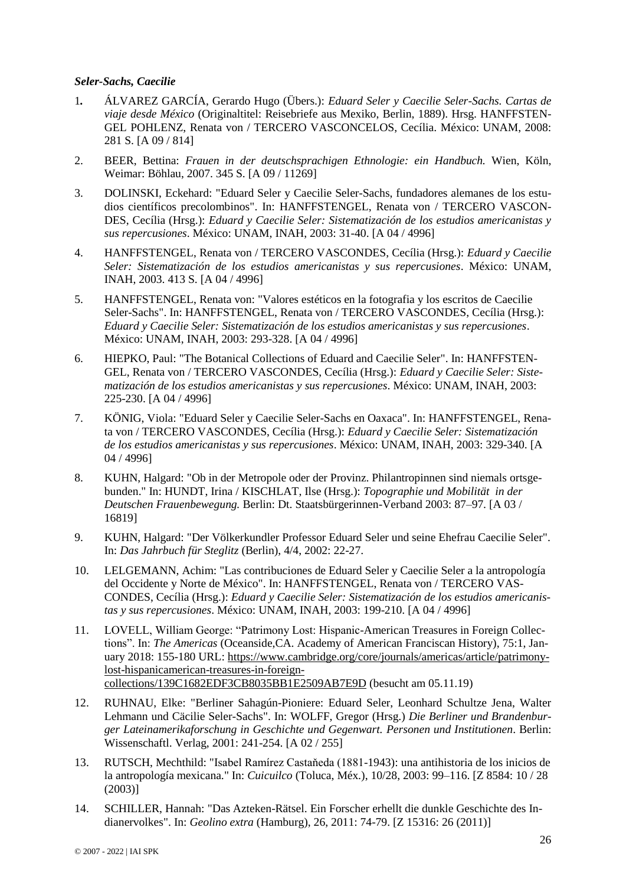### *Seler-Sachs, Caecilie*

- 1*.* ÁLVAREZ GARCÍA, Gerardo Hugo (Übers.): *Eduard Seler y Caecilie Seler-Sachs. Cartas de viaje desde México* (Originaltitel: Reisebriefe aus Mexiko, Berlin, 1889). Hrsg. HANFFSTEN-GEL POHLENZ, Renata von / TERCERO VASCONCELOS, Cecília. México: UNAM, 2008: 281 S. [A 09 / 814]
- 2. BEER, Bettina: *Frauen in der deutschsprachigen Ethnologie: ein Handbuch.* Wien, Köln, Weimar: Böhlau, 2007. 345 S. [A 09 / 11269]
- 3. DOLINSKI, Eckehard: "Eduard Seler y Caecilie Seler-Sachs, fundadores alemanes de los estudios científicos precolombinos". In: HANFFSTENGEL, Renata von / TERCERO VASCON-DES, Cecília (Hrsg.): *Eduard y Caecilie Seler: Sistematización de los estudios americanistas y sus repercusiones*. México: UNAM, INAH, 2003: 31-40. [A 04 / 4996]
- 4. HANFFSTENGEL, Renata von / TERCERO VASCONDES, Cecília (Hrsg.): *Eduard y Caecilie Seler: Sistematización de los estudios americanistas y sus repercusiones*. México: UNAM, INAH, 2003. 413 S. [A 04 / 4996]
- 5. HANFFSTENGEL, Renata von: "Valores estéticos en la fotografia y los escritos de Caecilie Seler-Sachs". In: HANFFSTENGEL, Renata von / TERCERO VASCONDES, Cecília (Hrsg.): *Eduard y Caecilie Seler: Sistematización de los estudios americanistas y sus repercusiones*. México: UNAM, INAH, 2003: 293-328. [A 04 / 4996]
- 6. HIEPKO, Paul: "The Botanical Collections of Eduard and Caecilie Seler". In: HANFFSTEN-GEL, Renata von / TERCERO VASCONDES, Cecília (Hrsg.): *Eduard y Caecilie Seler: Sistematización de los estudios americanistas y sus repercusiones*. México: UNAM, INAH, 2003: 225-230. [A 04 / 4996]
- 7. KÖNIG, Viola: "Eduard Seler y Caecilie Seler-Sachs en Oaxaca". In: HANFFSTENGEL, Renata von / TERCERO VASCONDES, Cecília (Hrsg.): *Eduard y Caecilie Seler: Sistematización de los estudios americanistas y sus repercusiones*. México: UNAM, INAH, 2003: 329-340. [A 04 / 4996]
- 8. KUHN, Halgard: "Ob in der Metropole oder der Provinz. Philantropinnen sind niemals ortsgebunden." In: HUNDT, Irina / KISCHLAT, Ilse (Hrsg.): *Topographie und Mobilität in der Deutschen Frauenbewegung.* Berlin: Dt. Staatsbürgerinnen-Verband 2003: 87–97. [A 03 / 16819]
- 9. KUHN, Halgard: "Der Völkerkundler Professor Eduard Seler und seine Ehefrau Caecilie Seler". In: *Das Jahrbuch für Steglitz* (Berlin), 4/4, 2002: 22-27.
- 10. LELGEMANN, Achim: "Las contribuciones de Eduard Seler y Caecilie Seler a la antropología del Occidente y Norte de México". In: HANFFSTENGEL, Renata von / TERCERO VAS-CONDES, Cecília (Hrsg.): *Eduard y Caecilie Seler: Sistematización de los estudios americanistas y sus repercusiones*. México: UNAM, INAH, 2003: 199-210. [A 04 / 4996]
- 11. LOVELL, William George: "Patrimony Lost: Hispanic-American Treasures in Foreign Collections". In: *The Americas* (Oceanside,CA. Academy of American Franciscan History), 75:1, January 2018: 155-180 URL: [https://www.cambridge.org/core/journals/americas/article/patrimony](https://www.cambridge.org/core/journals/americas/article/patrimony-lost-hispanicamerican-treasures-in-foreign-collections/139C1682EDF3CB8035BB1E2509AB7E9D)[lost-hispanicamerican-treasures-in-foreign](https://www.cambridge.org/core/journals/americas/article/patrimony-lost-hispanicamerican-treasures-in-foreign-collections/139C1682EDF3CB8035BB1E2509AB7E9D)[collections/139C1682EDF3CB8035BB1E2509AB7E9D](https://www.cambridge.org/core/journals/americas/article/patrimony-lost-hispanicamerican-treasures-in-foreign-collections/139C1682EDF3CB8035BB1E2509AB7E9D) (besucht am 05.11.19)
- 12. RUHNAU, Elke: "Berliner Sahagún-Pioniere: Eduard Seler, Leonhard Schultze Jena, Walter Lehmann und Cäcilie Seler-Sachs". In: WOLFF, Gregor (Hrsg.) *Die Berliner und Brandenburger Lateinamerikaforschung in Geschichte und Gegenwart. Personen und Institutionen*. Berlin: Wissenschaftl. Verlag, 2001: 241-254. [A 02 / 255]
- 13. RUTSCH, Mechthild: "Isabel Ramírez Castaňeda (1881-1943): una antihistoria de los inicios de la antropología mexicana." In: *Cuicuilco* (Toluca, Méx.), 10/28, 2003: 99–116. [Z 8584: 10 / 28 (2003)]
- 14. SCHILLER, Hannah: "Das Azteken-Rätsel. Ein Forscher erhellt die dunkle Geschichte des Indianervolkes". In: *Geolino extra* (Hamburg), 26, 2011: 74-79. [Z 15316: 26 (2011)]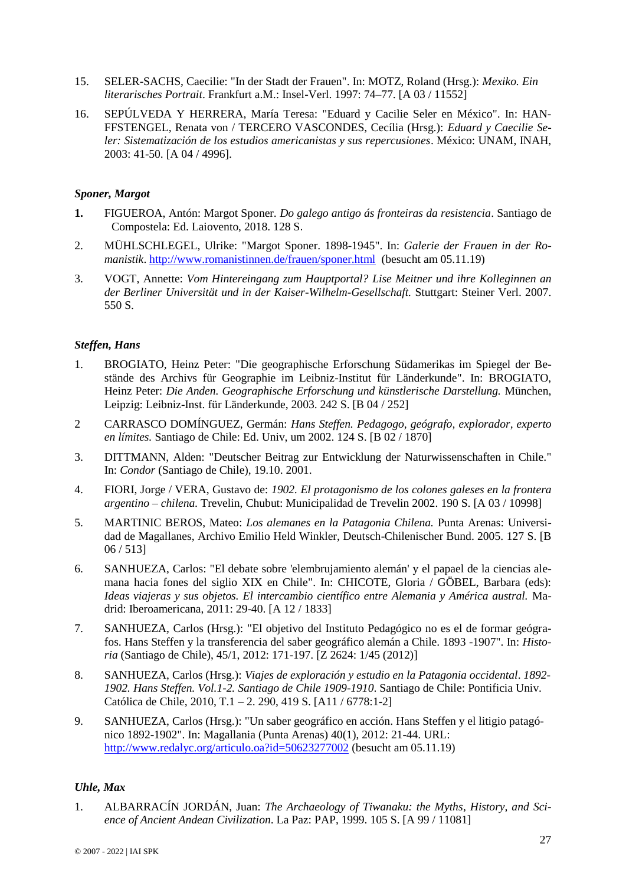- 15. SELER-SACHS, Caecilie: "In der Stadt der Frauen". In: MOTZ, Roland (Hrsg.): *Mexiko. Ein literarisches Portrait*. Frankfurt a.M.: Insel-Verl. 1997: 74–77. [A 03 / 11552]
- 16. SEPÚLVEDA Y HERRERA, María Teresa: "Eduard y Cacilie Seler en México". In: HAN-FFSTENGEL, Renata von / TERCERO VASCONDES, Cecília (Hrsg.): *Eduard y Caecilie Seler: Sistematización de los estudios americanistas y sus repercusiones*. México: UNAM, INAH, 2003: 41-50. [A 04 / 4996].

## *Sponer, Margot*

- **1.** FIGUEROA, Antón: Margot Sponer. *Do galego antigo ás fronteiras da resistencia*. Santiago de Compostela: Ed. Laiovento, 2018. 128 S.
- 2. MÜHLSCHLEGEL, Ulrike: "Margot Sponer. 1898-1945". In: *Galerie der Frauen in der Romanistik*.<http://www.romanistinnen.de/frauen/sponer.html>(besucht am 05.11.19)
- 3. VOGT, Annette: *Vom Hintereingang zum Hauptportal? Lise Meitner und ihre Kolleginnen an der Berliner Universität und in der Kaiser-Wilhelm-Gesellschaft.* Stuttgart: Steiner Verl. 2007. 550 S.

# *Steffen, Hans*

- 1. BROGIATO, Heinz Peter: "Die geographische Erforschung Südamerikas im Spiegel der Bestände des Archivs für Geographie im Leibniz-Institut für Länderkunde". In: BROGIATO, Heinz Peter: *Die Anden. Geographische Erforschung und künstlerische Darstellung.* München, Leipzig: Leibniz-Inst. für Länderkunde, 2003. 242 S. [B 04 / 252]
- 2 CARRASCO DOMÍNGUEZ, Germán: *Hans Steffen. Pedagogo, geógrafo, explorador, experto en límites.* Santiago de Chile: Ed. Univ, um 2002. 124 S. [B 02 / 1870]
- 3. DITTMANN, Alden: "Deutscher Beitrag zur Entwicklung der Naturwissenschaften in Chile." In: *Condor* (Santiago de Chile), 19.10. 2001.
- 4. FIORI, Jorge / VERA, Gustavo de: *1902. El protagonismo de los colones galeses en la frontera argentino – chilena.* Trevelin, Chubut: Municipalidad de Trevelin 2002. 190 S. [A 03 / 10998]
- 5. MARTINIC BEROS, Mateo: *Los alemanes en la Patagonia Chilena.* Punta Arenas: Universidad de Magallanes, Archivo Emilio Held Winkler, Deutsch-Chilenischer Bund. 2005. 127 S. [B 06 / 513]
- 6. SANHUEZA, Carlos: "El debate sobre 'elembrujamiento alemán' y el papael de la ciencias alemana hacia fones del siglio XIX en Chile". In: CHICOTE, Gloria / GÖBEL, Barbara (eds): *Ideas viajeras y sus objetos. El intercambio científico entre Alemania y América austral.* Madrid: Iberoamericana, 2011: 29-40. [A 12 / 1833]
- 7. SANHUEZA, Carlos (Hrsg.): "El objetivo del Instituto Pedagógico no es el de formar geógrafos. Hans Steffen y la transferencia del saber geográfico alemán a Chile. 1893 -1907". In: *Historia* (Santiago de Chile), 45/1, 2012: 171-197. [Z 2624: 1/45 (2012)]
- 8. SANHUEZA, Carlos (Hrsg.): *Viajes de exploración y estudio en la Patagonia occidental*. *1892- 1902. Hans Steffen. Vol.1-2. Santiago de Chile 1909-1910*. Santiago de Chile: Pontificia Univ. Católica de Chile, 2010, T.1 – 2. 290, 419 S. [A11 / 6778:1-2]
- 9. SANHUEZA, Carlos (Hrsg.): "Un saber geográfico en acción. Hans Steffen y el litigio patagónico 1892-1902". In: Magallania (Punta Arenas) 40(1), 2012: 21-44. URL: <http://www.redalyc.org/articulo.oa?id=50623277002> (besucht am 05.11.19)

### *Uhle, Max*

1. ALBARRACÍN JORDÁN, Juan: *The Archaeology of Tiwanaku: the Myths, History, and Science of Ancient Andean Civilization*. La Paz: PAP, 1999. 105 S. [A 99 / 11081]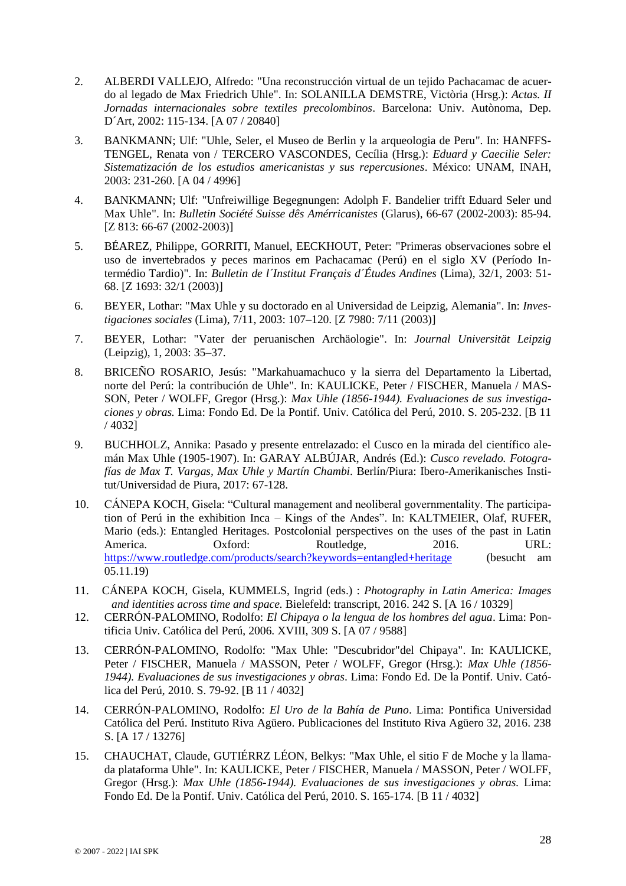- 2. ALBERDI VALLEJO, Alfredo: "Una reconstrucción virtual de un tejido Pachacamac de acuerdo al legado de Max Friedrich Uhle". In: SOLANILLA DEMSTRE, Victòria (Hrsg.): *Actas. II Jornadas internacionales sobre textiles precolombinos*. Barcelona: Univ. Autònoma, Dep. D´Art, 2002: 115-134. [A 07 / 20840]
- 3. BANKMANN; Ulf: "Uhle, Seler, el Museo de Berlin y la arqueologia de Peru". In: HANFFS-TENGEL, Renata von / TERCERO VASCONDES, Cecília (Hrsg.): *Eduard y Caecilie Seler: Sistematización de los estudios americanistas y sus repercusiones*. México: UNAM, INAH, 2003: 231-260. [A 04 / 4996]
- 4. BANKMANN; Ulf: "Unfreiwillige Begegnungen: Adolph F. Bandelier trifft Eduard Seler und Max Uhle". In: *Bulletin Société Suisse dês Amérricanistes* (Glarus), 66-67 (2002-2003): 85-94. [Z 813: 66-67 (2002-2003)]
- 5. BÉAREZ, Philippe, GORRITI, Manuel, EECKHOUT, Peter: "Primeras observaciones sobre el uso de invertebrados y peces marinos em Pachacamac (Perú) en el siglo XV (Período Intermédio Tardio)". In: *Bulletin de l´Institut Français d´Études Andines* (Lima), 32/1, 2003: 51- 68. [Z 1693: 32/1 (2003)]
- 6. BEYER, Lothar: "Max Uhle y su doctorado en al Universidad de Leipzig, Alemania". In: *Investigaciones sociales* (Lima), 7/11, 2003: 107–120. [Z 7980: 7/11 (2003)]
- 7. BEYER, Lothar: "Vater der peruanischen Archäologie". In: *Journal Universität Leipzig* (Leipzig), 1, 2003: 35–37.
- 8. BRICEÑO ROSARIO, Jesús: "Markahuamachuco y la sierra del Departamento la Libertad, norte del Perú: la contribución de Uhle". In: KAULICKE, Peter / FISCHER, Manuela / MAS-SON, Peter / WOLFF, Gregor (Hrsg.): *Max Uhle (1856-1944). Evaluaciones de sus investigaciones y obras.* Lima: Fondo Ed. De la Pontif. Univ. Católica del Perú, 2010. S. 205-232. [B 11 / 4032]
- 9. BUCHHOLZ, Annika: Pasado y presente entrelazado: el Cusco en la mirada del científico alemán Max Uhle (1905-1907). In: GARAY ALBÚJAR, Andrés (Ed.): *Cusco revelado. Fotografías de Max T. Vargas, Max Uhle y Martín Chambi*. Berlín/Piura: Ibero-Amerikanisches Institut/Universidad de Piura, 2017: 67-128.
- 10. CÁNEPA KOCH, Gisela: "Cultural management and neoliberal governmentality. The participation of Perú in the exhibition Inca – Kings of the Andes". In: KALTMEIER, Olaf, RUFER, Mario (eds.): Entangled Heritages. Postcolonial perspectives on the uses of the past in Latin America. Cxford: Routledge, 2016. URL: <https://www.routledge.com/products/search?keywords=entangled+heritage>(besucht am 05.11.19)
- 11. CÁNEPA KOCH, Gisela, KUMMELS, Ingrid [\(eds.\)](http://www.transcript-verlag.de/programmbereiche/?f=86018) : *Photography in Latin America: Images and identities across time and space.* Bielefeld: transcript, 2016. 242 S. [A 16 / 10329]
- 12. CERRÓN-PALOMINO, Rodolfo: *El Chipaya o la lengua de los hombres del agua*. Lima: Pontificia Univ. Católica del Perú, 2006. XVIII, 309 S. [A 07 / 9588]
- 13. CERRÓN-PALOMINO, Rodolfo: "Max Uhle: "Descubridor"del Chipaya". In: KAULICKE, Peter / FISCHER, Manuela / MASSON, Peter / WOLFF, Gregor (Hrsg.): *Max Uhle (1856- 1944). Evaluaciones de sus investigaciones y obras*. Lima: Fondo Ed. De la Pontif. Univ. Católica del Perú, 2010. S. 79-92. [B 11 / 4032]
- 14. CERRÓN-PALOMINO, Rodolfo: *El Uro de la Bahía de Puno*. Lima: Pontifica Universidad Católica del Perú. Instituto Riva Agüero. Publicaciones del Instituto Riva Agüero 32, 2016. 238 S. [A 17 / 13276]
- 15. CHAUCHAT, Claude, GUTIÉRRZ LÉON, Belkys: "Max Uhle, el sitio F de Moche y la llamada plataforma Uhle". In: KAULICKE, Peter / FISCHER, Manuela / MASSON, Peter / WOLFF, Gregor (Hrsg.): *Max Uhle (1856-1944). Evaluaciones de sus investigaciones y obras.* Lima: Fondo Ed. De la Pontif. Univ. Católica del Perú, 2010. S. 165-174. [B 11 / 4032]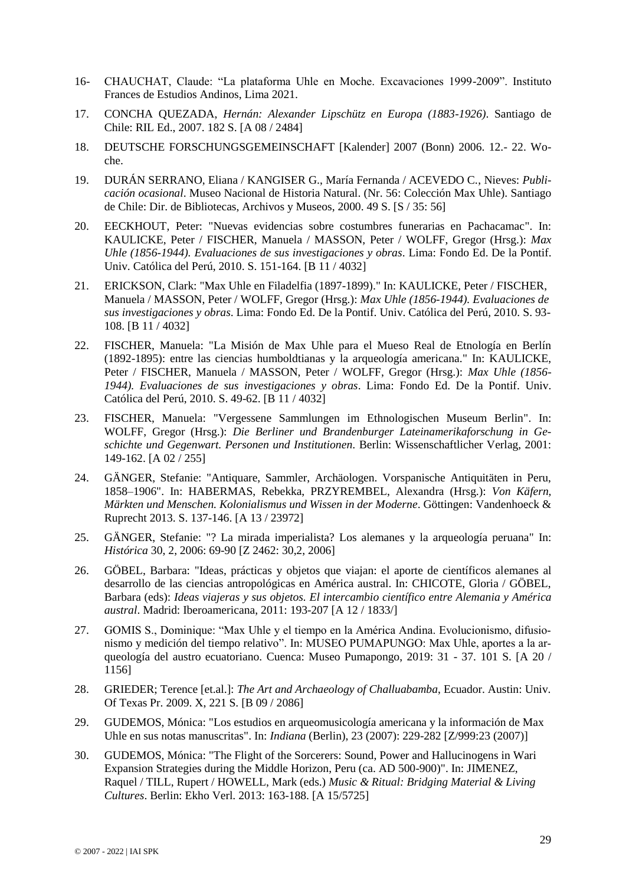- 16- CHAUCHAT, Claude: "La plataforma Uhle en Moche. Excavaciones 1999-2009". Instituto Frances de Estudios Andinos, Lima 2021.
- 17. CONCHA QUEZADA, *Hernán: Alexander Lipschütz en Europa (1883-1926)*. Santiago de Chile: RIL Ed., 2007. 182 S. [A 08 / 2484]
- 18. DEUTSCHE FORSCHUNGSGEMEINSCHAFT [Kalender] 2007 (Bonn) 2006. 12.- 22. Woche.
- 19. DURÁN SERRANO, Eliana / KANGISER G., María Fernanda / ACEVEDO C., Nieves: *Publicación ocasional*. Museo Nacional de Historia Natural. (Nr. 56: Colección Max Uhle). Santiago de Chile: Dir. de Bibliotecas, Archivos y Museos, 2000. 49 S. [S / 35: 56]
- 20. EECKHOUT, Peter: "Nuevas evidencias sobre costumbres funerarias en Pachacamac". In: KAULICKE, Peter / FISCHER, Manuela / MASSON, Peter / WOLFF, Gregor (Hrsg.): *Max Uhle (1856-1944). Evaluaciones de sus investigaciones y obras*. Lima: Fondo Ed. De la Pontif. Univ. Católica del Perú, 2010. S. 151-164. [B 11 / 4032]
- 21. ERICKSON, Clark: "Max Uhle en Filadelfia (1897-1899)." In: KAULICKE, Peter / FISCHER, Manuela / MASSON, Peter / WOLFF, Gregor (Hrsg.): *Max Uhle (1856-1944). Evaluaciones de sus investigaciones y obras*. Lima: Fondo Ed. De la Pontif. Univ. Católica del Perú, 2010. S. 93- 108. [B 11 / 4032]
- 22. FISCHER, Manuela: "La Misión de Max Uhle para el Mueso Real de Etnología en Berlín (1892-1895): entre las ciencias humboldtianas y la arqueología americana." In: KAULICKE, Peter / FISCHER, Manuela / MASSON, Peter / WOLFF, Gregor (Hrsg.): *Max Uhle (1856- 1944). Evaluaciones de sus investigaciones y obras*. Lima: Fondo Ed. De la Pontif. Univ. Católica del Perú, 2010. S. 49-62. [B 11 / 4032]
- 23. FISCHER, Manuela: "Vergessene Sammlungen im Ethnologischen Museum Berlin". In: WOLFF, Gregor (Hrsg.): *Die Berliner und Brandenburger Lateinamerikaforschung in Geschichte und Gegenwart. Personen und Institutionen*. Berlin: Wissenschaftlicher Verlag, 2001: 149-162. [A 02 / 255]
- 24. GÄNGER, Stefanie: "Antiquare, Sammler, Archäologen. Vorspanische Antiquitäten in Peru, 1858–1906". In: HABERMAS, Rebekka, PRZYREMBEL, Alexandra (Hrsg.): *Von Käfern, Märkten und Menschen. Kolonialismus und Wissen in der Moderne*. Göttingen: Vandenhoeck & Ruprecht 2013. S. 137-146. [A 13 / 23972]
- 25. GÄNGER, Stefanie: "? La mirada imperialista? Los alemanes y la arqueología peruana" In: *Histórica* 30, 2, 2006: 69-90 [Z 2462: 30,2, 2006]
- 26. GÖBEL, Barbara: "Ideas, prácticas y objetos que viajan: el aporte de científicos alemanes al desarrollo de las ciencias antropológicas en América austral. In: CHICOTE, Gloria / GÖBEL, Barbara (eds): *Ideas viajeras y sus objetos. El intercambio científico entre Alemania y América austral*. Madrid: Iberoamericana, 2011: 193-207 [A 12 / 1833/]
- 27. GOMIS S., Dominique: "Max Uhle y el tiempo en la América Andina. Evolucionismo, difusionismo y medición del tiempo relativo". In: MUSEO PUMAPUNGO: Max Uhle, aportes a la arqueología del austro ecuatoriano. Cuenca: Museo Pumapongo, 2019: 31 - 37. 101 S. [A 20 / 1156]
- 28. GRIEDER; Terence [et.al.]: *The Art and Archaeology of Challuabamba*, Ecuador. Austin: Univ. Of Texas Pr. 2009. X, 221 S. [B 09 / 2086]
- 29. GUDEMOS, Mónica: "Los estudios en arqueomusicología americana y la información de Max Uhle en sus notas manuscritas". In: *Indiana* (Berlin), 23 (2007): 229-282 [Z/999:23 (2007)]
- 30. GUDEMOS, Mónica: "The Flight of the Sorcerers: Sound, Power and Hallucinogens in Wari Expansion Strategies during the Middle Horizon, Peru (ca. AD 500-900)". In: JIMENEZ, Raquel / TILL, Rupert / HOWELL, Mark (eds.) *Music & Ritual: Bridging Material & Living Cultures*. Berlin: Ekho Verl. 2013: 163-188. [A 15/5725]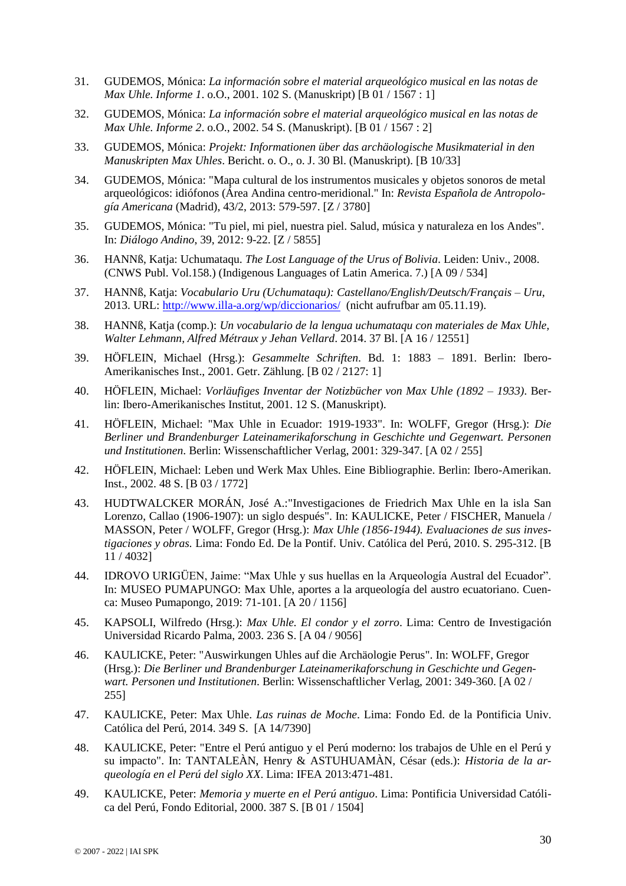- 31. GUDEMOS, Mónica: *La información sobre el material arqueológico musical en las notas de Max Uhle. Informe 1*. o.O., 2001. 102 S. (Manuskript) [B 01 / 1567 : 1]
- 32. GUDEMOS, Mónica: *La información sobre el material arqueológico musical en las notas de Max Uhle. Informe 2*. o.O., 2002. 54 S. (Manuskript). [B 01 / 1567 : 2]
- 33. GUDEMOS, Mónica: *Projekt: Informationen über das archäologische Musikmaterial in den Manuskripten Max Uhles*. Bericht. o. O., o. J. 30 Bl. (Manuskript). [B 10/33]
- 34. GUDEMOS, Mónica: "Mapa cultural de los instrumentos musicales y objetos sonoros de metal arqueológicos: idiófonos (Área Andina centro-meridional." In: *Revista Española de Antropología Americana* (Madrid), 43/2, 2013: 579-597. [Z / 3780]
- 35. GUDEMOS, Mónica: "Tu piel, mi piel, nuestra piel. Salud, música y naturaleza en los Andes". In: *Diálogo Andino*, 39, 2012: 9-22. [Z / 5855]
- 36. HANNß, Katja: Uchumataqu. *The Lost Language of the Urus of Bolivia*. Leiden: Univ., 2008. (CNWS Publ. Vol.158.) (Indigenous Languages of Latin America. 7.) [A 09 / 534]
- 37. HANNß, Katja: *Vocabulario Uru (Uchumataqu): Castellano/English/Deutsch/Français – Uru*, 2013. URL:<http://www.illa-a.org/wp/diccionarios/>(nicht aufrufbar am 05.11.19).
- 38. HANNß, Katja (comp.): *Un vocabulario de la lengua uchumataqu con materiales de Max Uhle, Walter Lehmann, Alfred Métraux y Jehan Vellard*. 2014. 37 Bl. [A 16 / 12551]
- 39. HÖFLEIN, Michael (Hrsg.): *Gesammelte Schriften*. Bd. 1: 1883 1891. Berlin: Ibero-Amerikanisches Inst., 2001. Getr. Zählung. [B 02 / 2127: 1]
- 40. HÖFLEIN, Michael: *Vorläufiges Inventar der Notizbücher von Max Uhle (1892 – 1933)*. Berlin: Ibero-Amerikanisches Institut, 2001. 12 S. (Manuskript).
- 41. HÖFLEIN, Michael: "Max Uhle in Ecuador: 1919-1933". In: WOLFF, Gregor (Hrsg.): *Die Berliner und Brandenburger Lateinamerikaforschung in Geschichte und Gegenwart. Personen und Institutionen*. Berlin: Wissenschaftlicher Verlag, 2001: 329-347. [A 02 / 255]
- 42. HÖFLEIN, Michael: Leben und Werk Max Uhles. Eine Bibliographie. Berlin: Ibero-Amerikan. Inst., 2002. 48 S. [B 03 / 1772]
- 43. HUDTWALCKER MORÁN, José A.:"Investigaciones de Friedrich Max Uhle en la isla San Lorenzo, Callao (1906-1907): un siglo después". In: KAULICKE, Peter / FISCHER, Manuela / MASSON, Peter / WOLFF, Gregor (Hrsg.): *Max Uhle (1856-1944). Evaluaciones de sus investigaciones y obras.* Lima: Fondo Ed. De la Pontif. Univ. Católica del Perú, 2010. S. 295-312. [B 11 / 4032]
- 44. IDROVO URIGÜEN, Jaime: "Max Uhle y sus huellas en la Arqueología Austral del Ecuador". In: MUSEO PUMAPUNGO: Max Uhle, aportes a la arqueología del austro ecuatoriano. Cuenca: Museo Pumapongo, 2019: 71-101. [A 20 / 1156]
- 45. KAPSOLI, Wilfredo (Hrsg.): *Max Uhle. El condor y el zorro*. Lima: Centro de Investigación Universidad Ricardo Palma, 2003. 236 S. [A 04 / 9056]
- 46. KAULICKE, Peter: "Auswirkungen Uhles auf die Archäologie Perus". In: WOLFF, Gregor (Hrsg.): *Die Berliner und Brandenburger Lateinamerikaforschung in Geschichte und Gegenwart. Personen und Institutionen*. Berlin: Wissenschaftlicher Verlag, 2001: 349-360. [A 02 / 255]
- 47. KAULICKE, Peter: Max Uhle. *Las ruinas de Moche*. Lima: Fondo Ed. de la Pontificia Univ. Católica del Perú, 2014. 349 S. [A 14/7390]
- 48. KAULICKE, Peter: "Entre el Perú antiguo y el Perú moderno: los trabajos de Uhle en el Perú y su impacto". In: TANTALEÀN, Henry & ASTUHUAMÀN, César (eds.): *Historia de la arqueología en el Perú del siglo XX*. Lima: IFEA 2013:471-481.
- 49. KAULICKE, Peter: *Memoria y muerte en el Perú antiguo*. Lima: Pontificia Universidad Católica del Perú, Fondo Editorial, 2000. 387 S. [B 01 / 1504]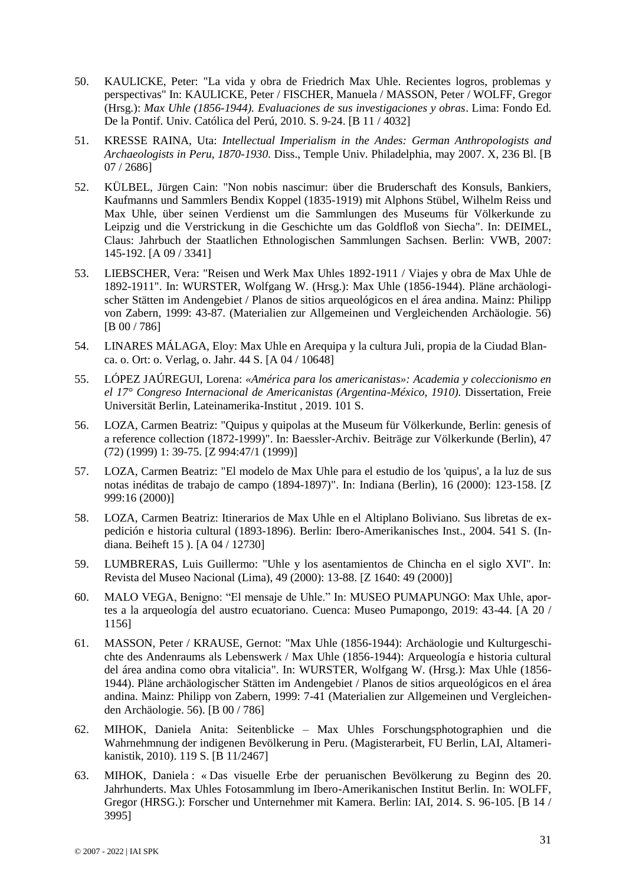- 50. KAULICKE, Peter: "La vida y obra de Friedrich Max Uhle. Recientes logros, problemas y perspectivas" In: KAULICKE, Peter / FISCHER, Manuela / MASSON, Peter / WOLFF, Gregor (Hrsg.): *Max Uhle (1856-1944). Evaluaciones de sus investigaciones y obras*. Lima: Fondo Ed. De la Pontif. Univ. Católica del Perú, 2010. S. 9-24. [B 11 / 4032]
- 51. KRESSE RAINA, Uta: *Intellectual Imperialism in the Andes: German Anthropologists and Archaeologists in Peru, 1870-1930*. Diss., Temple Univ. Philadelphia, may 2007. X, 236 Bl. [B 07 / 2686]
- 52. KÜLBEL, Jürgen Cain: "Non nobis nascimur: über die Bruderschaft des Konsuls, Bankiers, Kaufmanns und Sammlers Bendix Koppel (1835-1919) mit Alphons Stübel, Wilhelm Reiss und Max Uhle, über seinen Verdienst um die Sammlungen des Museums für Völkerkunde zu Leipzig und die Verstrickung in die Geschichte um das Goldfloß von Siecha". In: DEIMEL, Claus: Jahrbuch der Staatlichen Ethnologischen Sammlungen Sachsen. Berlin: VWB, 2007: 145-192. [A 09 / 3341]
- 53. LIEBSCHER, Vera: "Reisen und Werk Max Uhles 1892-1911 / Viajes y obra de Max Uhle de 1892-1911". In: WURSTER, Wolfgang W. (Hrsg.): Max Uhle (1856-1944). Pläne archäologischer Stätten im Andengebiet / Planos de sitios arqueológicos en el área andina. Mainz: Philipp von Zabern, 1999: 43-87. (Materialien zur Allgemeinen und Vergleichenden Archäologie. 56) [B 00 / 786]
- 54. LINARES MÁLAGA, Eloy: Max Uhle en Arequipa y la cultura Juli, propia de la Ciudad Blanca. o. Ort: o. Verlag, o. Jahr. 44 S. [A 04 / 10648]
- 55. LÓPEZ JAÚREGUI, Lorena: *«América para los americanistas»: Academia y coleccionismo en el 17° Congreso Internacional de Americanistas (Argentina-México, 1910).* Dissertation, Freie Universität Berlin, Lateinamerika-Institut , 2019. 101 S.
- 56. LOZA, Carmen Beatriz: "Quipus y quipolas at the Museum für Völkerkunde, Berlin: genesis of a reference collection (1872-1999)". In: Baessler-Archiv. Beiträge zur Völkerkunde (Berlin), 47 (72) (1999) 1: 39-75. [Z 994:47/1 (1999)]
- 57. LOZA, Carmen Beatriz: "El modelo de Max Uhle para el estudio de los 'quipus', a la luz de sus notas inéditas de trabajo de campo (1894-1897)". In: Indiana (Berlin), 16 (2000): 123-158. [Z 999:16 (2000)]
- 58. LOZA, Carmen Beatriz: Itinerarios de Max Uhle en el Altiplano Boliviano. Sus libretas de expedición e historia cultural (1893-1896). Berlin: Ibero-Amerikanisches Inst., 2004. 541 S. (Indiana. Beiheft 15 ). [A 04 / 12730]
- 59. LUMBRERAS, Luis Guillermo: "Uhle y los asentamientos de Chincha en el siglo XVI". In: Revista del Museo Nacional (Lima), 49 (2000): 13-88. [Z 1640: 49 (2000)]
- 60. MALO VEGA, Benigno: "El mensaje de Uhle." In: MUSEO PUMAPUNGO: Max Uhle, aportes a la arqueología del austro ecuatoriano. Cuenca: Museo Pumapongo, 2019: 43-44. [A 20 / 1156]
- 61. MASSON, Peter / KRAUSE, Gernot: "Max Uhle (1856-1944): Archäologie und Kulturgeschichte des Andenraums als Lebenswerk / Max Uhle (1856-1944): Arqueología e historia cultural del área andina como obra vitalicia". In: WURSTER, Wolfgang W. (Hrsg.): Max Uhle (1856- 1944). Pläne archäologischer Stätten im Andengebiet / Planos de sitios arqueológicos en el área andina. Mainz: Philipp von Zabern, 1999: 7-41 (Materialien zur Allgemeinen und Vergleichenden Archäologie. 56). [B 00 / 786]
- 62. MIHOK, Daniela Anita: Seitenblicke Max Uhles Forschungsphotographien und die Wahrnehmnung der indigenen Bevölkerung in Peru. (Magisterarbeit, FU Berlin, LAI, Altamerikanistik, 2010). 119 S. [B 11/2467]
- 63. MIHOK, Daniela : « Das visuelle Erbe der peruanischen Bevölkerung zu Beginn des 20. Jahrhunderts. Max Uhles Fotosammlung im Ibero-Amerikanischen Institut Berlin. In: WOLFF, Gregor (HRSG.): Forscher und Unternehmer mit Kamera. Berlin: IAI, 2014. S. 96-105. [B 14 / 3995]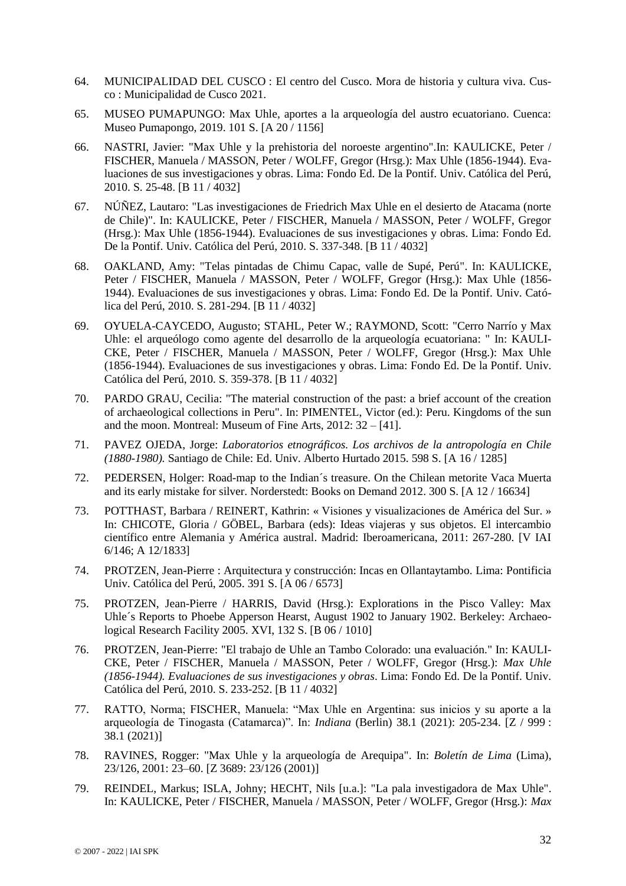- 64. MUNICIPALIDAD DEL CUSCO : El centro del Cusco. Mora de historia y cultura viva. Cusco : Municipalidad de Cusco 2021.
- 65. MUSEO PUMAPUNGO: Max Uhle, aportes a la arqueología del austro ecuatoriano. Cuenca: Museo Pumapongo, 2019. 101 S. [A 20 / 1156]
- 66. NASTRI, Javier: "Max Uhle y la prehistoria del noroeste argentino".In: KAULICKE, Peter / FISCHER, Manuela / MASSON, Peter / WOLFF, Gregor (Hrsg.): Max Uhle (1856-1944). Evaluaciones de sus investigaciones y obras. Lima: Fondo Ed. De la Pontif. Univ. Católica del Perú, 2010. S. 25-48. [B 11 / 4032]
- 67. NÚÑEZ, Lautaro: "Las investigaciones de Friedrich Max Uhle en el desierto de Atacama (norte de Chile)". In: KAULICKE, Peter / FISCHER, Manuela / MASSON, Peter / WOLFF, Gregor (Hrsg.): Max Uhle (1856-1944). Evaluaciones de sus investigaciones y obras. Lima: Fondo Ed. De la Pontif. Univ. Católica del Perú, 2010. S. 337-348. [B 11 / 4032]
- 68. OAKLAND, Amy: "Telas pintadas de Chimu Capac, valle de Supé, Perú". In: KAULICKE, Peter / FISCHER, Manuela / MASSON, Peter / WOLFF, Gregor (Hrsg.): Max Uhle (1856- 1944). Evaluaciones de sus investigaciones y obras. Lima: Fondo Ed. De la Pontif. Univ. Católica del Perú, 2010. S. 281-294. [B 11 / 4032]
- 69. OYUELA-CAYCEDO, Augusto; STAHL, Peter W.; RAYMOND, Scott: "Cerro Narrío y Max Uhle: el arqueólogo como agente del desarrollo de la arqueología ecuatoriana: " In: KAULI-CKE, Peter / FISCHER, Manuela / MASSON, Peter / WOLFF, Gregor (Hrsg.): Max Uhle (1856-1944). Evaluaciones de sus investigaciones y obras. Lima: Fondo Ed. De la Pontif. Univ. Católica del Perú, 2010. S. 359-378. [B 11 / 4032]
- 70. PARDO GRAU, Cecilia: "The material construction of the past: a brief account of the creation of archaeological collections in Peru". In: PIMENTEL, Victor (ed.): Peru. Kingdoms of the sun and the moon. Montreal: Museum of Fine Arts, 2012: 32 – [41].
- 71. PAVEZ OJEDA, Jorge: *Laboratorios etnográficos. Los archivos de la antropología en Chile (1880-1980).* Santiago de Chile: Ed. Univ. Alberto Hurtado 2015. 598 S. [A 16 / 1285]
- 72. PEDERSEN, Holger: Road-map to the Indian´s treasure. On the Chilean metorite Vaca Muerta and its early mistake for silver. Norderstedt: Books on Demand 2012. 300 S. [A 12 / 16634]
- 73. POTTHAST, Barbara / REINERT, Kathrin: « Visiones y visualizaciones de América del Sur. » In: CHICOTE, Gloria / GÖBEL, Barbara (eds): Ideas viajeras y sus objetos. El intercambio científico entre Alemania y América austral. Madrid: Iberoamericana, 2011: 267-280. [V IAI 6/146; A 12/1833]
- 74. PROTZEN, Jean-Pierre : Arquitectura y construcción: Incas en Ollantaytambo. Lima: Pontificia Univ. Católica del Perú, 2005. 391 S. [A 06 / 6573]
- 75. PROTZEN, Jean-Pierre / HARRIS, David (Hrsg.): Explorations in the Pisco Valley: Max Uhle´s Reports to Phoebe Apperson Hearst, August 1902 to January 1902. Berkeley: Archaeological Research Facility 2005. XVI, 132 S. [B 06 / 1010]
- 76. PROTZEN, Jean-Pierre: "El trabajo de Uhle an Tambo Colorado: una evaluación." In: KAULI-CKE, Peter / FISCHER, Manuela / MASSON, Peter / WOLFF, Gregor (Hrsg.): *Max Uhle (1856-1944). Evaluaciones de sus investigaciones y obras*. Lima: Fondo Ed. De la Pontif. Univ. Católica del Perú, 2010. S. 233-252. [B 11 / 4032]
- 77. RATTO, Norma; FISCHER, Manuela: "Max Uhle en Argentina: sus inicios y su aporte a la arqueología de Tinogasta (Catamarca)". In: *Indiana* (Berlin) 38.1 (2021): 205-234. [Z / 999 : 38.1 (2021)]
- 78. RAVINES, Rogger: "Max Uhle y la arqueología de Arequipa". In: *Boletín de Lima* (Lima), 23/126, 2001: 23–60. [Z 3689: 23/126 (2001)]
- 79. REINDEL, Markus; ISLA, Johny; HECHT, Nils [u.a.]: "La pala investigadora de Max Uhle". In: KAULICKE, Peter / FISCHER, Manuela / MASSON, Peter / WOLFF, Gregor (Hrsg.): *Max*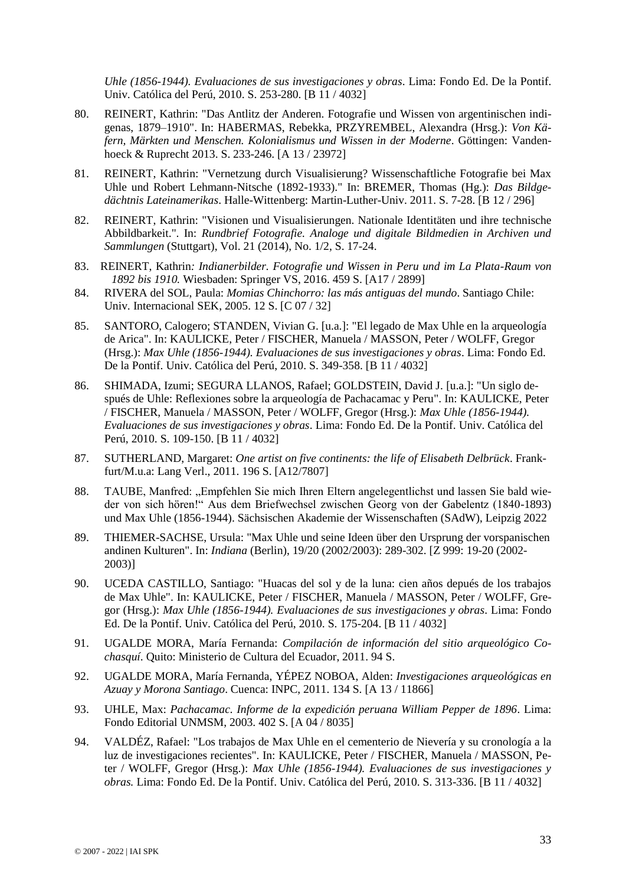*Uhle (1856-1944). Evaluaciones de sus investigaciones y obras*. Lima: Fondo Ed. De la Pontif. Univ. Católica del Perú, 2010. S. 253-280. [B 11 / 4032]

- 80. REINERT, Kathrin: "Das Antlitz der Anderen. Fotografie und Wissen von argentinischen indigenas, 1879–1910". In: HABERMAS, Rebekka, PRZYREMBEL, Alexandra (Hrsg.): *Von Käfern, Märkten und Menschen. Kolonialismus und Wissen in der Moderne*. Göttingen: Vandenhoeck & Ruprecht 2013. S. 233-246. [A 13 / 23972]
- 81. REINERT, Kathrin: "Vernetzung durch Visualisierung? Wissenschaftliche Fotografie bei Max Uhle und Robert Lehmann-Nitsche (1892-1933)." In: BREMER, Thomas (Hg.): *Das Bildgedächtnis Lateinamerikas*. Halle-Wittenberg: Martin-Luther-Univ. 2011. S. 7-28. [B 12 / 296]
- 82. REINERT, Kathrin: "Visionen und Visualisierungen. Nationale Identitäten und ihre technische Abbildbarkeit.". In: *Rundbrief Fotografie. Analoge und digitale Bildmedien in Archiven und Sammlungen* (Stuttgart), Vol. 21 (2014), No. 1/2, S. 17-24.
- 83. REINERT, Kathrin*: Indianerbilder. Fotografie und Wissen in Peru und im La Plata-Raum von 1892 bis 1910.* Wiesbaden: Springer VS, 2016. 459 S. [A17 / 2899]
- 84. RIVERA del SOL, Paula: *Momias Chinchorro: las más antiguas del mundo*. Santiago Chile: Univ. Internacional SEK, 2005. 12 S. [C 07 / 32]
- 85. SANTORO, Calogero; STANDEN, Vivian G. [u.a.]: "El legado de Max Uhle en la arqueología de Arica". In: KAULICKE, Peter / FISCHER, Manuela / MASSON, Peter / WOLFF, Gregor (Hrsg.): *Max Uhle (1856-1944). Evaluaciones de sus investigaciones y obras*. Lima: Fondo Ed. De la Pontif. Univ. Católica del Perú, 2010. S. 349-358. [B 11 / 4032]
- 86. SHIMADA, Izumi; SEGURA LLANOS, Rafael; GOLDSTEIN, David J. [u.a.]: "Un siglo después de Uhle: Reflexiones sobre la arqueología de Pachacamac y Peru". In: KAULICKE, Peter / FISCHER, Manuela / MASSON, Peter / WOLFF, Gregor (Hrsg.): *Max Uhle (1856-1944). Evaluaciones de sus investigaciones y obras*. Lima: Fondo Ed. De la Pontif. Univ. Católica del Perú, 2010. S. 109-150. [B 11 / 4032]
- 87. SUTHERLAND, Margaret: *One artist on five continents: the life of Elisabeth Delbrück*. Frankfurt/M.u.a: Lang Verl., 2011. 196 S. [A12/7807]
- 88. TAUBE, Manfred: "Empfehlen Sie mich Ihren Eltern angelegentlichst und lassen Sie bald wieder von sich hören!" Aus dem Briefwechsel zwischen Georg von der Gabelentz (1840-1893) und Max Uhle (1856-1944). Sächsischen Akademie der Wissenschaften (SAdW), Leipzig 2022
- 89. THIEMER-SACHSE, Ursula: "Max Uhle und seine Ideen über den Ursprung der vorspanischen andinen Kulturen". In: *Indiana* (Berlin), 19/20 (2002/2003): 289-302. [Z 999: 19-20 (2002- 2003)]
- 90. UCEDA CASTILLO, Santiago: "Huacas del sol y de la luna: cien años depués de los trabajos de Max Uhle". In: KAULICKE, Peter / FISCHER, Manuela / MASSON, Peter / WOLFF, Gregor (Hrsg.): *Max Uhle (1856-1944). Evaluaciones de sus investigaciones y obras*. Lima: Fondo Ed. De la Pontif. Univ. Católica del Perú, 2010. S. 175-204. [B 11 / 4032]
- 91. UGALDE MORA, María Fernanda: *Compilación de información del sitio arqueológico Cochasquí*. Quito: Ministerio de Cultura del Ecuador, 2011. 94 S.
- 92. UGALDE MORA, María Fernanda, YÉPEZ NOBOA, Alden: *Investigaciones arqueológicas en Azuay y Morona Santiago*. Cuenca: INPC, 2011. 134 S. [A 13 / 11866]
- 93. UHLE, Max: *Pachacamac. Informe de la expedición peruana William Pepper de 1896*. Lima: Fondo Editorial UNMSM, 2003. 402 S. [A 04 / 8035]
- 94. VALDÉZ, Rafael: "Los trabajos de Max Uhle en el cementerio de Nievería y su cronología a la luz de investigaciones recientes". In: KAULICKE, Peter / FISCHER, Manuela / MASSON, Peter / WOLFF, Gregor (Hrsg.): *Max Uhle (1856-1944). Evaluaciones de sus investigaciones y obras.* Lima: Fondo Ed. De la Pontif. Univ. Católica del Perú, 2010. S. 313-336. [B 11 / 4032]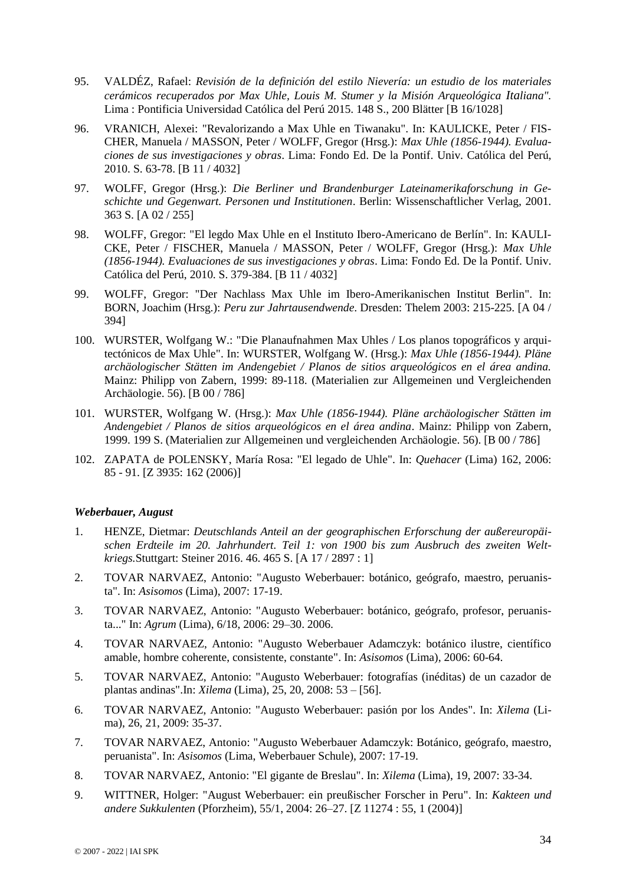- 95. VALDÉZ, Rafael: *Revisión de la definición del estilo Nievería: un estudio de los materiales cerámicos recuperados por Max Uhle, Louis M. Stumer y la Misión Arqueológica Italiana".* Lima : Pontificia Universidad Católica del Perú 2015. 148 S., 200 Blätter [B 16/1028]
- 96. VRANICH, Alexei: "Revalorizando a Max Uhle en Tiwanaku". In: KAULICKE, Peter / FIS-CHER, Manuela / MASSON, Peter / WOLFF, Gregor (Hrsg.): *Max Uhle (1856-1944). Evaluaciones de sus investigaciones y obras*. Lima: Fondo Ed. De la Pontif. Univ. Católica del Perú, 2010. S. 63-78. [B 11 / 4032]
- 97. WOLFF, Gregor (Hrsg.): *Die Berliner und Brandenburger Lateinamerikaforschung in Geschichte und Gegenwart. Personen und Institutionen*. Berlin: Wissenschaftlicher Verlag, 2001. 363 S. [A 02 / 255]
- 98. WOLFF, Gregor: "El legdo Max Uhle en el Instituto Ibero-Americano de Berlín". In: KAULI-CKE, Peter / FISCHER, Manuela / MASSON, Peter / WOLFF, Gregor (Hrsg.): *Max Uhle (1856-1944). Evaluaciones de sus investigaciones y obras*. Lima: Fondo Ed. De la Pontif. Univ. Católica del Perú, 2010. S. 379-384. [B 11 / 4032]
- 99. WOLFF, Gregor: "Der Nachlass Max Uhle im Ibero-Amerikanischen Institut Berlin". In: BORN, Joachim (Hrsg.): *Peru zur Jahrtausendwende*. Dresden: Thelem 2003: 215-225. [A 04 / 394]
- 100. WURSTER, Wolfgang W.: "Die Planaufnahmen Max Uhles / Los planos topográficos y arquitectónicos de Max Uhle". In: WURSTER, Wolfgang W. (Hrsg.): *Max Uhle (1856-1944). Pläne archäologischer Stätten im Andengebiet / Planos de sitios arqueológicos en el área andina.* Mainz: Philipp von Zabern, 1999: 89-118. (Materialien zur Allgemeinen und Vergleichenden Archäologie. 56). [B 00 / 786]
- 101. WURSTER, Wolfgang W. (Hrsg.): *Max Uhle (1856-1944). Pläne archäologischer Stätten im Andengebiet / Planos de sitios arqueológicos en el área andina*. Mainz: Philipp von Zabern, 1999. 199 S. (Materialien zur Allgemeinen und vergleichenden Archäologie. 56). [B 00 / 786]
- 102. ZAPATA de POLENSKY, María Rosa: "El legado de Uhle". In: *Quehacer* (Lima) 162, 2006: 85 - 91. [Z 3935: 162 (2006)]

#### *Weberbauer, August*

- 1. HENZE, Dietmar: *Deutschlands Anteil an der geographischen Erforschung der außereuropäischen Erdteile im 20. Jahrhundert. Teil 1: von 1900 bis zum Ausbruch des zweiten Weltkriegs.*Stuttgart: Steiner 2016. 46. 465 S. [A 17 / 2897 : 1]
- 2. TOVAR NARVAEZ, Antonio: "Augusto Weberbauer: botánico, geógrafo, maestro, peruanista". In: *Asisomos* (Lima), 2007: 17-19.
- 3. TOVAR NARVAEZ, Antonio: "Augusto Weberbauer: botánico, geógrafo, profesor, peruanista..." In: *Agrum* (Lima), 6/18, 2006: 29–30. 2006.
- 4. TOVAR NARVAEZ, Antonio: "Augusto Weberbauer Adamczyk: botánico ilustre, científico amable, hombre coherente, consistente, constante". In: *Asisomos* (Lima), 2006: 60-64.
- 5. TOVAR NARVAEZ, Antonio: "Augusto Weberbauer: fotografías (inéditas) de un cazador de plantas andinas".In: *Xilema* (Lima), 25, 20, 2008: 53 – [56].
- 6. TOVAR NARVAEZ, Antonio: "Augusto Weberbauer: pasión por los Andes". In: *Xilema* (Lima), 26, 21, 2009: 35-37.
- 7. TOVAR NARVAEZ, Antonio: "Augusto Weberbauer Adamczyk: Botánico, geógrafo, maestro, peruanista". In: *Asisomos* (Lima, Weberbauer Schule), 2007: 17-19.
- 8. TOVAR NARVAEZ, Antonio: "El gigante de Breslau". In: *Xilema* (Lima), 19, 2007: 33-34.
- 9. WITTNER, Holger: "August Weberbauer: ein preußischer Forscher in Peru". In: *Kakteen und andere Sukkulenten* (Pforzheim), 55/1, 2004: 26–27. [Z 11274 : 55, 1 (2004)]